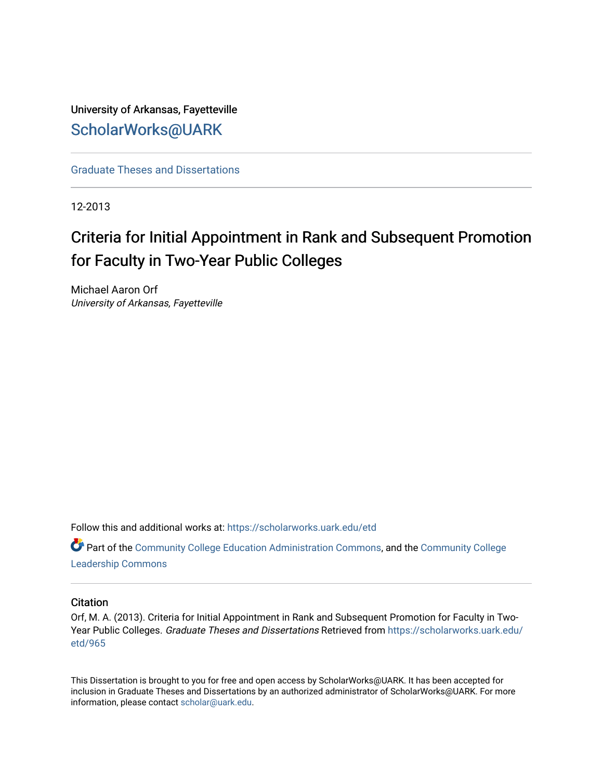University of Arkansas, Fayetteville [ScholarWorks@UARK](https://scholarworks.uark.edu/) 

[Graduate Theses and Dissertations](https://scholarworks.uark.edu/etd) 

12-2013

# Criteria for Initial Appointment in Rank and Subsequent Promotion for Faculty in Two-Year Public Colleges

Michael Aaron Orf University of Arkansas, Fayetteville

Follow this and additional works at: [https://scholarworks.uark.edu/etd](https://scholarworks.uark.edu/etd?utm_source=scholarworks.uark.edu%2Fetd%2F965&utm_medium=PDF&utm_campaign=PDFCoverPages)

Part of the [Community College Education Administration Commons](http://network.bepress.com/hgg/discipline/792?utm_source=scholarworks.uark.edu%2Fetd%2F965&utm_medium=PDF&utm_campaign=PDFCoverPages), and the [Community College](http://network.bepress.com/hgg/discipline/1039?utm_source=scholarworks.uark.edu%2Fetd%2F965&utm_medium=PDF&utm_campaign=PDFCoverPages) [Leadership Commons](http://network.bepress.com/hgg/discipline/1039?utm_source=scholarworks.uark.edu%2Fetd%2F965&utm_medium=PDF&utm_campaign=PDFCoverPages) 

# **Citation**

Orf, M. A. (2013). Criteria for Initial Appointment in Rank and Subsequent Promotion for Faculty in TwoYear Public Colleges. Graduate Theses and Dissertations Retrieved from [https://scholarworks.uark.edu/](https://scholarworks.uark.edu/etd/965?utm_source=scholarworks.uark.edu%2Fetd%2F965&utm_medium=PDF&utm_campaign=PDFCoverPages) [etd/965](https://scholarworks.uark.edu/etd/965?utm_source=scholarworks.uark.edu%2Fetd%2F965&utm_medium=PDF&utm_campaign=PDFCoverPages)

This Dissertation is brought to you for free and open access by ScholarWorks@UARK. It has been accepted for inclusion in Graduate Theses and Dissertations by an authorized administrator of ScholarWorks@UARK. For more information, please contact [scholar@uark.edu.](mailto:scholar@uark.edu)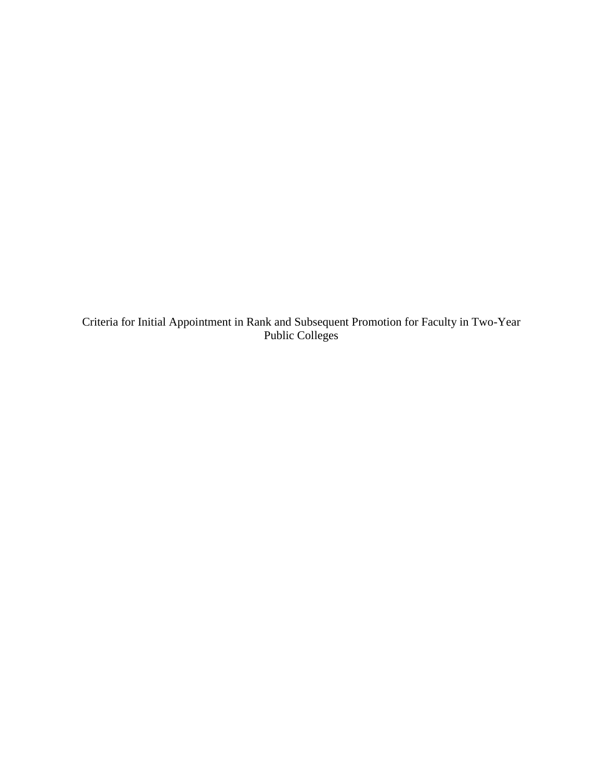Criteria for Initial Appointment in Rank and Subsequent Promotion for Faculty in Two-Year Public Colleges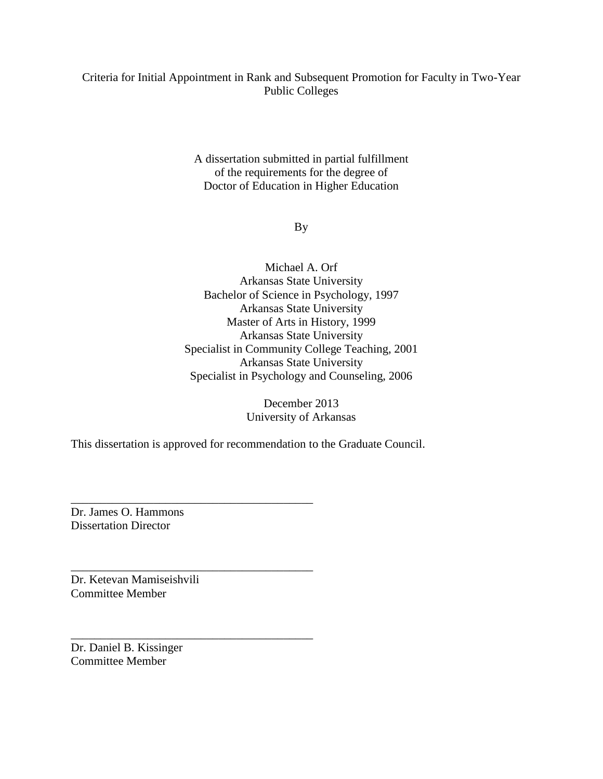# Criteria for Initial Appointment in Rank and Subsequent Promotion for Faculty in Two-Year Public Colleges

A dissertation submitted in partial fulfillment of the requirements for the degree of Doctor of Education in Higher Education

# By

Michael A. Orf Arkansas State University Bachelor of Science in Psychology, 1997 Arkansas State University Master of Arts in History, 1999 Arkansas State University Specialist in Community College Teaching, 2001 Arkansas State University Specialist in Psychology and Counseling, 2006

> December 2013 University of Arkansas

This dissertation is approved for recommendation to the Graduate Council.

\_\_\_\_\_\_\_\_\_\_\_\_\_\_\_\_\_\_\_\_\_\_\_\_\_\_\_\_\_\_\_\_\_\_\_\_\_\_\_\_\_

\_\_\_\_\_\_\_\_\_\_\_\_\_\_\_\_\_\_\_\_\_\_\_\_\_\_\_\_\_\_\_\_\_\_\_\_\_\_\_\_\_

\_\_\_\_\_\_\_\_\_\_\_\_\_\_\_\_\_\_\_\_\_\_\_\_\_\_\_\_\_\_\_\_\_\_\_\_\_\_\_\_\_

Dr. James O. Hammons Dissertation Director

Dr. Ketevan Mamiseishvili Committee Member

Dr. Daniel B. Kissinger Committee Member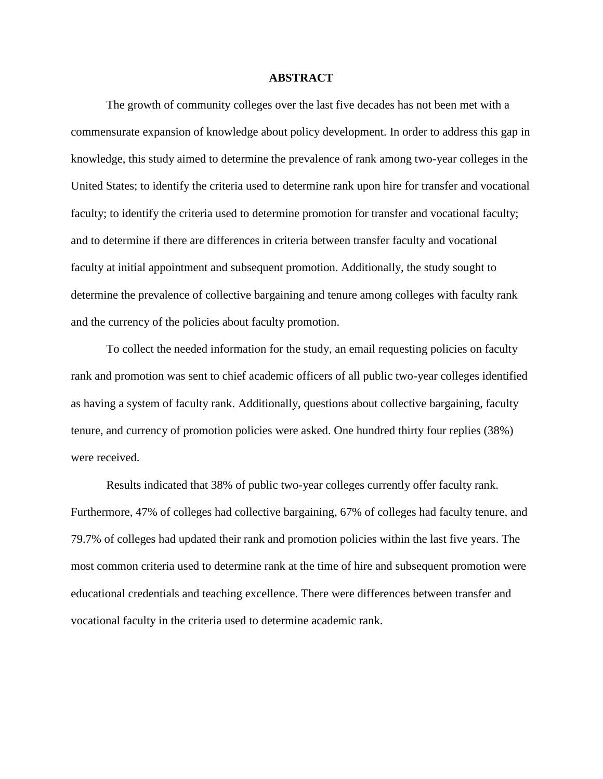### **ABSTRACT**

The growth of community colleges over the last five decades has not been met with a commensurate expansion of knowledge about policy development. In order to address this gap in knowledge, this study aimed to determine the prevalence of rank among two-year colleges in the United States; to identify the criteria used to determine rank upon hire for transfer and vocational faculty; to identify the criteria used to determine promotion for transfer and vocational faculty; and to determine if there are differences in criteria between transfer faculty and vocational faculty at initial appointment and subsequent promotion. Additionally, the study sought to determine the prevalence of collective bargaining and tenure among colleges with faculty rank and the currency of the policies about faculty promotion.

To collect the needed information for the study, an email requesting policies on faculty rank and promotion was sent to chief academic officers of all public two-year colleges identified as having a system of faculty rank. Additionally, questions about collective bargaining, faculty tenure, and currency of promotion policies were asked. One hundred thirty four replies (38%) were received.

Results indicated that 38% of public two-year colleges currently offer faculty rank. Furthermore, 47% of colleges had collective bargaining, 67% of colleges had faculty tenure, and 79.7% of colleges had updated their rank and promotion policies within the last five years. The most common criteria used to determine rank at the time of hire and subsequent promotion were educational credentials and teaching excellence. There were differences between transfer and vocational faculty in the criteria used to determine academic rank.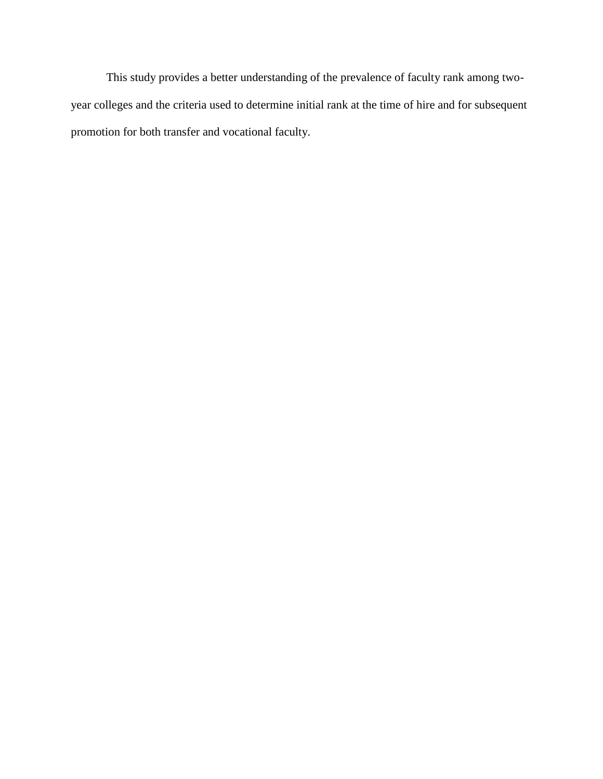This study provides a better understanding of the prevalence of faculty rank among twoyear colleges and the criteria used to determine initial rank at the time of hire and for subsequent promotion for both transfer and vocational faculty.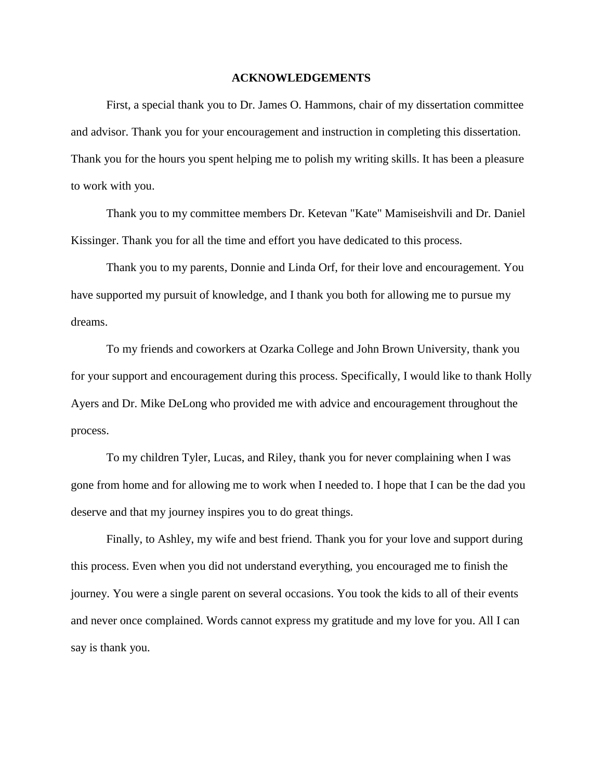#### **ACKNOWLEDGEMENTS**

First, a special thank you to Dr. James O. Hammons, chair of my dissertation committee and advisor. Thank you for your encouragement and instruction in completing this dissertation. Thank you for the hours you spent helping me to polish my writing skills. It has been a pleasure to work with you.

Thank you to my committee members Dr. Ketevan "Kate" Mamiseishvili and Dr. Daniel Kissinger. Thank you for all the time and effort you have dedicated to this process.

Thank you to my parents, Donnie and Linda Orf, for their love and encouragement. You have supported my pursuit of knowledge, and I thank you both for allowing me to pursue my dreams.

To my friends and coworkers at Ozarka College and John Brown University, thank you for your support and encouragement during this process. Specifically, I would like to thank Holly Ayers and Dr. Mike DeLong who provided me with advice and encouragement throughout the process.

To my children Tyler, Lucas, and Riley, thank you for never complaining when I was gone from home and for allowing me to work when I needed to. I hope that I can be the dad you deserve and that my journey inspires you to do great things.

Finally, to Ashley, my wife and best friend. Thank you for your love and support during this process. Even when you did not understand everything, you encouraged me to finish the journey. You were a single parent on several occasions. You took the kids to all of their events and never once complained. Words cannot express my gratitude and my love for you. All I can say is thank you.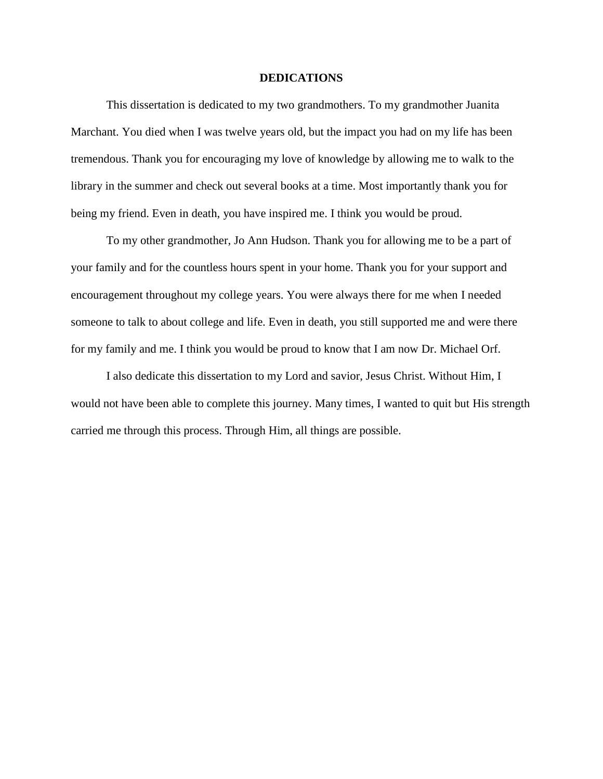#### **DEDICATIONS**

This dissertation is dedicated to my two grandmothers. To my grandmother Juanita Marchant. You died when I was twelve years old, but the impact you had on my life has been tremendous. Thank you for encouraging my love of knowledge by allowing me to walk to the library in the summer and check out several books at a time. Most importantly thank you for being my friend. Even in death, you have inspired me. I think you would be proud.

To my other grandmother, Jo Ann Hudson. Thank you for allowing me to be a part of your family and for the countless hours spent in your home. Thank you for your support and encouragement throughout my college years. You were always there for me when I needed someone to talk to about college and life. Even in death, you still supported me and were there for my family and me. I think you would be proud to know that I am now Dr. Michael Orf.

I also dedicate this dissertation to my Lord and savior, Jesus Christ. Without Him, I would not have been able to complete this journey. Many times, I wanted to quit but His strength carried me through this process. Through Him, all things are possible.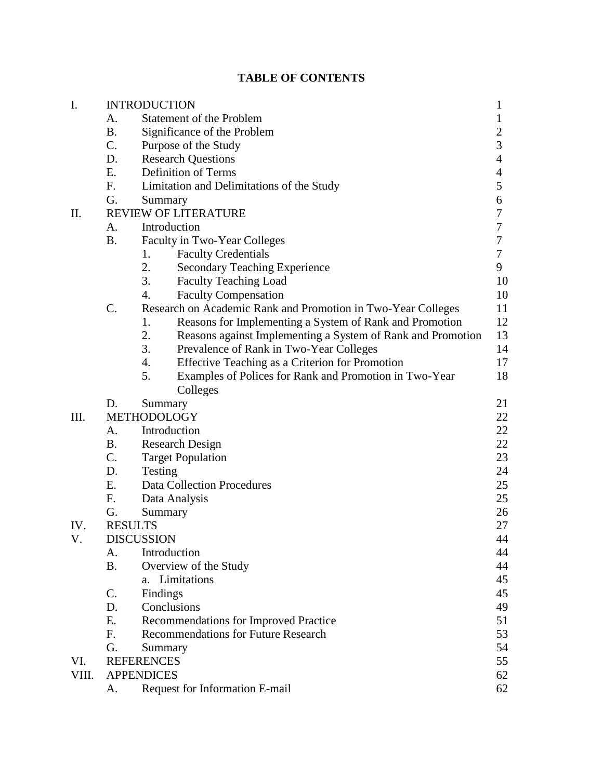|  | <b>TABLE OF CONTENTS</b> |  |  |  |  |  |
|--|--------------------------|--|--|--|--|--|
|--|--------------------------|--|--|--|--|--|

| I.    | <b>INTRODUCTION</b> |                                                                   |                         |  |  |
|-------|---------------------|-------------------------------------------------------------------|-------------------------|--|--|
|       | A.                  | Statement of the Problem                                          | 1                       |  |  |
|       | <b>B.</b>           | Significance of the Problem                                       | $\overline{\mathbf{c}}$ |  |  |
|       | C.                  | Purpose of the Study                                              | 3                       |  |  |
|       | D.                  | <b>Research Questions</b>                                         | $\overline{4}$          |  |  |
|       | E.                  | Definition of Terms                                               | 4                       |  |  |
|       | F.                  | Limitation and Delimitations of the Study                         | 5                       |  |  |
|       | G.                  | Summary                                                           | 6                       |  |  |
| П.    |                     | <b>REVIEW OF LITERATURE</b>                                       | 7                       |  |  |
|       | A.                  | Introduction                                                      | 7                       |  |  |
|       | <b>B.</b>           | Faculty in Two-Year Colleges                                      | $\boldsymbol{7}$        |  |  |
|       |                     | <b>Faculty Credentials</b><br>1.                                  | 7                       |  |  |
|       |                     | 2.<br><b>Secondary Teaching Experience</b>                        | 9                       |  |  |
|       |                     | 3.<br><b>Faculty Teaching Load</b>                                | 10                      |  |  |
|       |                     | 4.<br><b>Faculty Compensation</b>                                 | 10                      |  |  |
|       | C.                  | Research on Academic Rank and Promotion in Two-Year Colleges      | 11                      |  |  |
|       |                     | 1.<br>Reasons for Implementing a System of Rank and Promotion     | 12                      |  |  |
|       |                     | 2.<br>Reasons against Implementing a System of Rank and Promotion | 13                      |  |  |
|       |                     | 3.<br>Prevalence of Rank in Two-Year Colleges                     | 14                      |  |  |
|       |                     | 4.<br>Effective Teaching as a Criterion for Promotion             | 17                      |  |  |
|       |                     | 5.<br>Examples of Polices for Rank and Promotion in Two-Year      | 18                      |  |  |
|       |                     | Colleges                                                          |                         |  |  |
|       | D.                  | Summary                                                           | 21                      |  |  |
| III.  |                     | METHODOLOGY                                                       | 22                      |  |  |
|       | A.                  | Introduction                                                      | 22                      |  |  |
|       | <b>B.</b>           | <b>Research Design</b>                                            | 22                      |  |  |
|       | C.                  | <b>Target Population</b>                                          | 23                      |  |  |
|       | D.                  | Testing                                                           | 24                      |  |  |
|       | Ε.                  | <b>Data Collection Procedures</b>                                 | 25                      |  |  |
|       | F.                  | Data Analysis                                                     | 25                      |  |  |
|       | G.                  | Summary                                                           | 26                      |  |  |
| IV.   | <b>RESULTS</b>      |                                                                   | 27                      |  |  |
| V.    |                     | <b>DISCUSSION</b>                                                 | 44                      |  |  |
|       | A.                  | Introduction                                                      | 44                      |  |  |
|       | <b>B.</b>           | Overview of the Study                                             | 44                      |  |  |
|       |                     | Limitations<br>a.                                                 | 45                      |  |  |
|       | C.                  | Findings                                                          | 45                      |  |  |
|       | D.                  | Conclusions                                                       | 49                      |  |  |
|       | Ε.                  | Recommendations for Improved Practice                             | 51                      |  |  |
|       | F.                  | <b>Recommendations for Future Research</b>                        | 53                      |  |  |
|       | G.                  | Summary                                                           | 54                      |  |  |
| VI.   |                     | <b>REFERENCES</b>                                                 | 55                      |  |  |
| VIII. |                     | <b>APPENDICES</b>                                                 | 62                      |  |  |
|       | A.                  | Request for Information E-mail                                    | 62                      |  |  |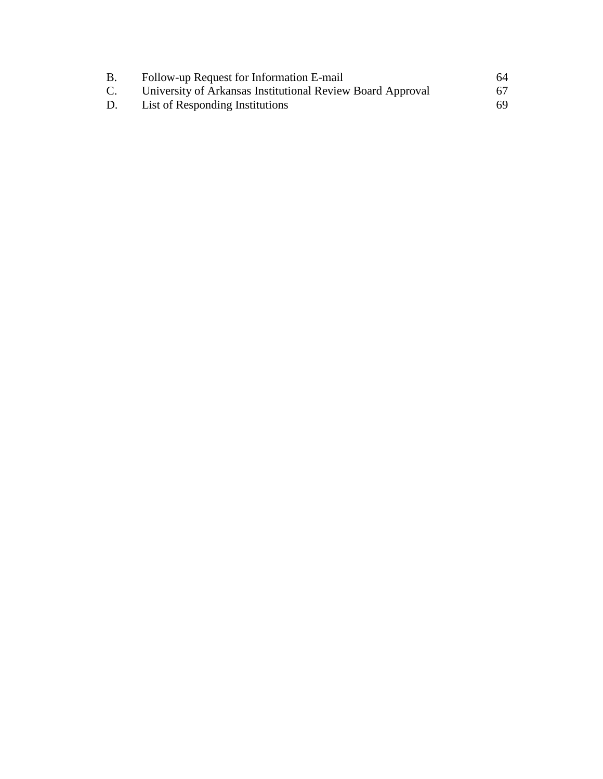| В.             | Follow-up Request for Information E-mail                   | 64  |
|----------------|------------------------------------------------------------|-----|
| $\mathbf{C}$ . | University of Arkansas Institutional Review Board Approval | 67. |
| D.             | List of Responding Institutions                            | 69. |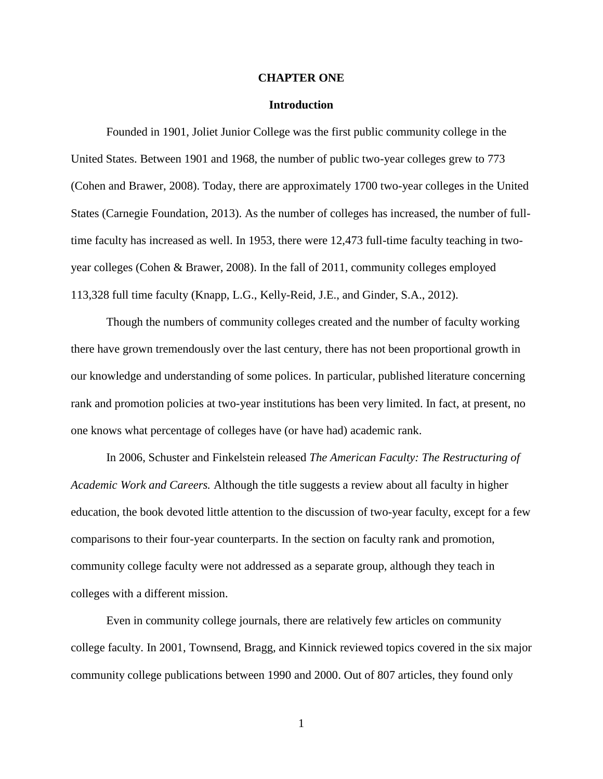#### **CHAPTER ONE**

#### **Introduction**

Founded in 1901, Joliet Junior College was the first public community college in the United States. Between 1901 and 1968, the number of public two-year colleges grew to 773 (Cohen and Brawer, 2008). Today, there are approximately 1700 two-year colleges in the United States (Carnegie Foundation, 2013). As the number of colleges has increased, the number of fulltime faculty has increased as well. In 1953, there were 12,473 full-time faculty teaching in twoyear colleges (Cohen & Brawer, 2008). In the fall of 2011, community colleges employed 113,328 full time faculty (Knapp, L.G., Kelly-Reid, J.E., and Ginder, S.A., 2012).

Though the numbers of community colleges created and the number of faculty working there have grown tremendously over the last century, there has not been proportional growth in our knowledge and understanding of some polices. In particular, published literature concerning rank and promotion policies at two-year institutions has been very limited. In fact, at present, no one knows what percentage of colleges have (or have had) academic rank.

In 2006, Schuster and Finkelstein released *The American Faculty: The Restructuring of Academic Work and Careers.* Although the title suggests a review about all faculty in higher education, the book devoted little attention to the discussion of two-year faculty, except for a few comparisons to their four-year counterparts. In the section on faculty rank and promotion, community college faculty were not addressed as a separate group, although they teach in colleges with a different mission.

Even in community college journals, there are relatively few articles on community college faculty. In 2001, Townsend, Bragg, and Kinnick reviewed topics covered in the six major community college publications between 1990 and 2000. Out of 807 articles, they found only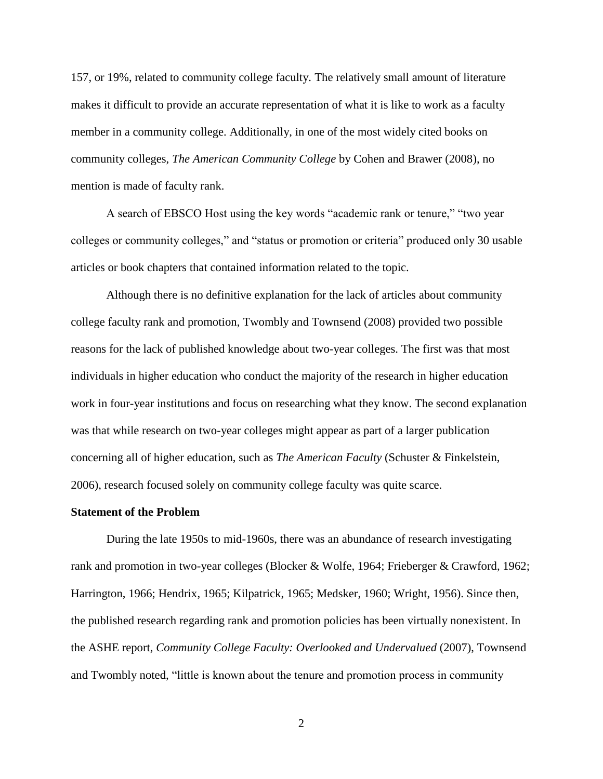157, or 19%, related to community college faculty. The relatively small amount of literature makes it difficult to provide an accurate representation of what it is like to work as a faculty member in a community college. Additionally, in one of the most widely cited books on community colleges, *The American Community College* by Cohen and Brawer (2008), no mention is made of faculty rank.

A search of EBSCO Host using the key words "academic rank or tenure," "two year colleges or community colleges," and "status or promotion or criteria" produced only 30 usable articles or book chapters that contained information related to the topic.

Although there is no definitive explanation for the lack of articles about community college faculty rank and promotion, Twombly and Townsend (2008) provided two possible reasons for the lack of published knowledge about two-year colleges. The first was that most individuals in higher education who conduct the majority of the research in higher education work in four-year institutions and focus on researching what they know. The second explanation was that while research on two-year colleges might appear as part of a larger publication concerning all of higher education, such as *The American Faculty* (Schuster & Finkelstein, 2006), research focused solely on community college faculty was quite scarce.

#### **Statement of the Problem**

During the late 1950s to mid-1960s, there was an abundance of research investigating rank and promotion in two-year colleges (Blocker & Wolfe, 1964; Frieberger & Crawford, 1962; Harrington, 1966; Hendrix, 1965; Kilpatrick, 1965; Medsker, 1960; Wright, 1956). Since then, the published research regarding rank and promotion policies has been virtually nonexistent. In the ASHE report, *Community College Faculty: Overlooked and Undervalued* (2007), Townsend and Twombly noted, "little is known about the tenure and promotion process in community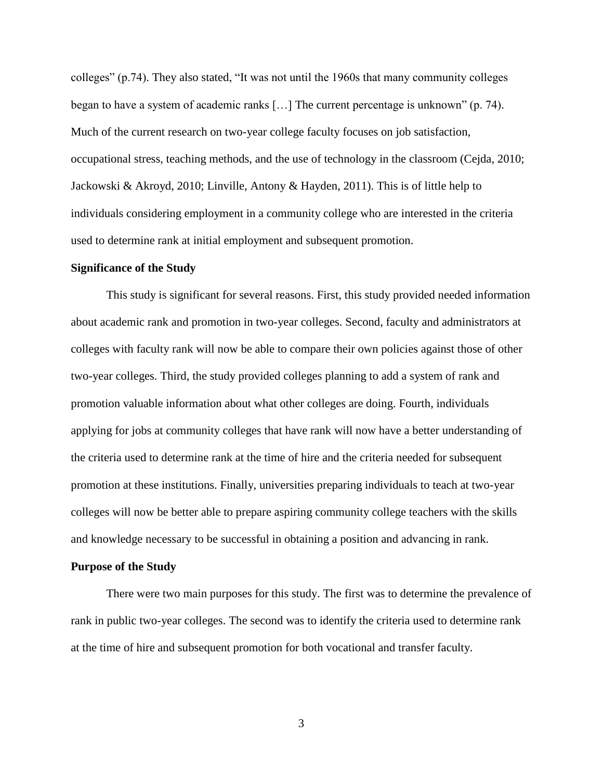colleges" (p.74). They also stated, "It was not until the 1960s that many community colleges began to have a system of academic ranks […] The current percentage is unknown" (p. 74). Much of the current research on two-year college faculty focuses on job satisfaction, occupational stress, teaching methods, and the use of technology in the classroom (Cejda, 2010; Jackowski & Akroyd, 2010; Linville, Antony & Hayden, 2011). This is of little help to individuals considering employment in a community college who are interested in the criteria used to determine rank at initial employment and subsequent promotion.

#### **Significance of the Study**

This study is significant for several reasons. First, this study provided needed information about academic rank and promotion in two-year colleges. Second, faculty and administrators at colleges with faculty rank will now be able to compare their own policies against those of other two-year colleges. Third, the study provided colleges planning to add a system of rank and promotion valuable information about what other colleges are doing. Fourth, individuals applying for jobs at community colleges that have rank will now have a better understanding of the criteria used to determine rank at the time of hire and the criteria needed for subsequent promotion at these institutions. Finally, universities preparing individuals to teach at two-year colleges will now be better able to prepare aspiring community college teachers with the skills and knowledge necessary to be successful in obtaining a position and advancing in rank.

## **Purpose of the Study**

There were two main purposes for this study. The first was to determine the prevalence of rank in public two-year colleges. The second was to identify the criteria used to determine rank at the time of hire and subsequent promotion for both vocational and transfer faculty.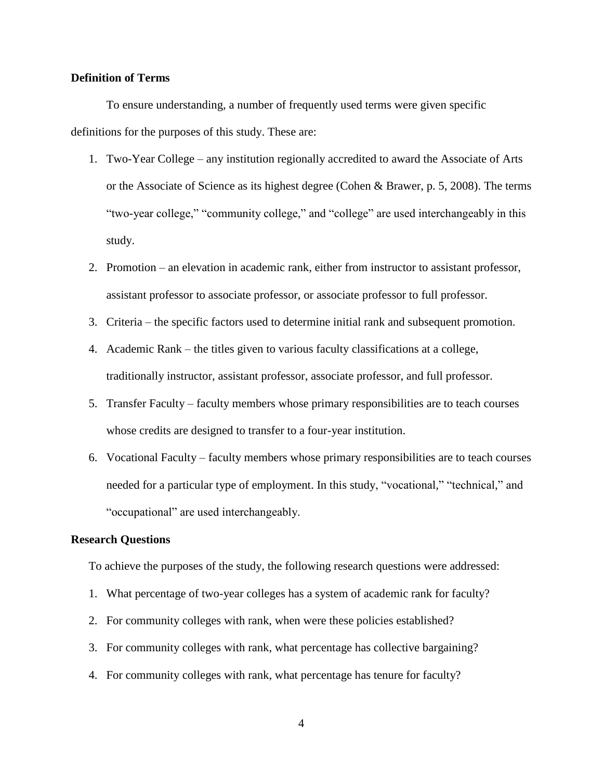# **Definition of Terms**

To ensure understanding, a number of frequently used terms were given specific definitions for the purposes of this study. These are:

- 1. Two-Year College any institution regionally accredited to award the Associate of Arts or the Associate of Science as its highest degree (Cohen & Brawer, p. 5, 2008). The terms "two-year college," "community college," and "college" are used interchangeably in this study.
- 2. Promotion an elevation in academic rank, either from instructor to assistant professor, assistant professor to associate professor, or associate professor to full professor.
- 3. Criteria the specific factors used to determine initial rank and subsequent promotion.
- 4. Academic Rank the titles given to various faculty classifications at a college, traditionally instructor, assistant professor, associate professor, and full professor.
- 5. Transfer Faculty faculty members whose primary responsibilities are to teach courses whose credits are designed to transfer to a four-year institution.
- 6. Vocational Faculty faculty members whose primary responsibilities are to teach courses needed for a particular type of employment. In this study, "vocational," "technical," and "occupational" are used interchangeably.

## **Research Questions**

To achieve the purposes of the study, the following research questions were addressed:

- 1. What percentage of two-year colleges has a system of academic rank for faculty?
- 2. For community colleges with rank, when were these policies established?
- 3. For community colleges with rank, what percentage has collective bargaining?
- 4. For community colleges with rank, what percentage has tenure for faculty?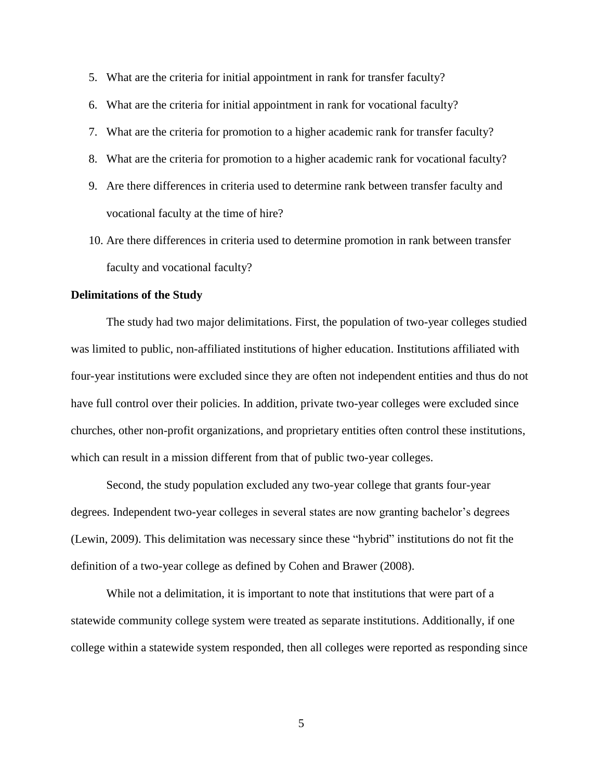- 5. What are the criteria for initial appointment in rank for transfer faculty?
- 6. What are the criteria for initial appointment in rank for vocational faculty?
- 7. What are the criteria for promotion to a higher academic rank for transfer faculty?
- 8. What are the criteria for promotion to a higher academic rank for vocational faculty?
- 9. Are there differences in criteria used to determine rank between transfer faculty and vocational faculty at the time of hire?
- 10. Are there differences in criteria used to determine promotion in rank between transfer faculty and vocational faculty?

## **Delimitations of the Study**

The study had two major delimitations. First, the population of two-year colleges studied was limited to public, non-affiliated institutions of higher education. Institutions affiliated with four-year institutions were excluded since they are often not independent entities and thus do not have full control over their policies. In addition, private two-year colleges were excluded since churches, other non-profit organizations, and proprietary entities often control these institutions, which can result in a mission different from that of public two-year colleges.

Second, the study population excluded any two-year college that grants four-year degrees. Independent two-year colleges in several states are now granting bachelor's degrees (Lewin, 2009). This delimitation was necessary since these "hybrid" institutions do not fit the definition of a two-year college as defined by Cohen and Brawer (2008).

While not a delimitation, it is important to note that institutions that were part of a statewide community college system were treated as separate institutions. Additionally, if one college within a statewide system responded, then all colleges were reported as responding since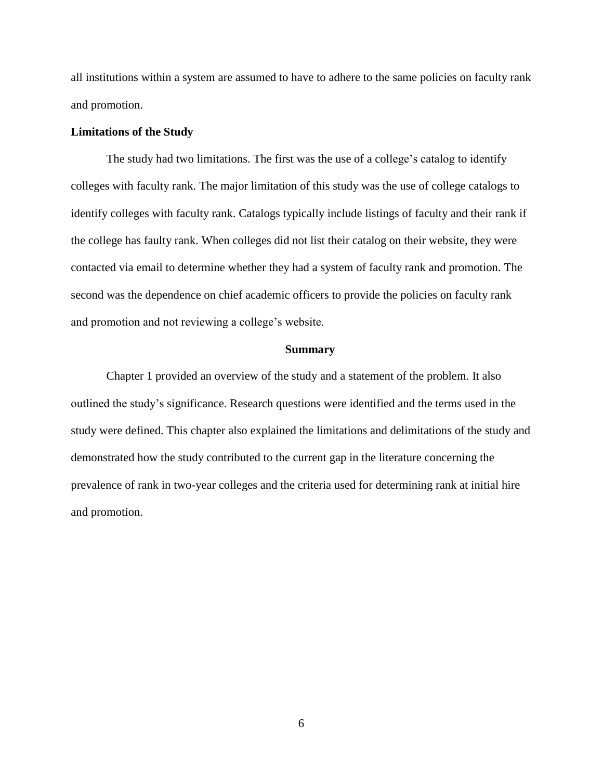all institutions within a system are assumed to have to adhere to the same policies on faculty rank and promotion.

# **Limitations of the Study**

The study had two limitations. The first was the use of a college's catalog to identify colleges with faculty rank. The major limitation of this study was the use of college catalogs to identify colleges with faculty rank. Catalogs typically include listings of faculty and their rank if the college has faulty rank. When colleges did not list their catalog on their website, they were contacted via email to determine whether they had a system of faculty rank and promotion. The second was the dependence on chief academic officers to provide the policies on faculty rank and promotion and not reviewing a college's website.

#### **Summary**

Chapter 1 provided an overview of the study and a statement of the problem. It also outlined the study's significance. Research questions were identified and the terms used in the study were defined. This chapter also explained the limitations and delimitations of the study and demonstrated how the study contributed to the current gap in the literature concerning the prevalence of rank in two-year colleges and the criteria used for determining rank at initial hire and promotion.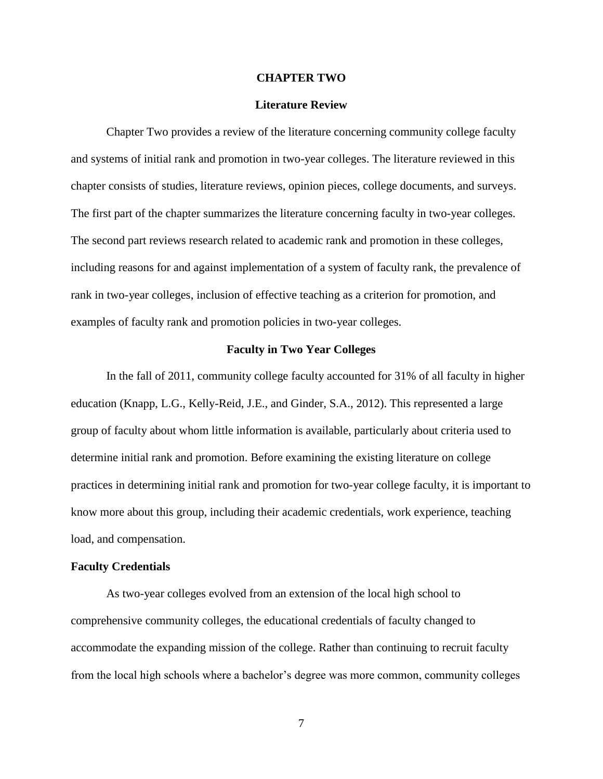## **CHAPTER TWO**

#### **Literature Review**

Chapter Two provides a review of the literature concerning community college faculty and systems of initial rank and promotion in two-year colleges. The literature reviewed in this chapter consists of studies, literature reviews, opinion pieces, college documents, and surveys. The first part of the chapter summarizes the literature concerning faculty in two-year colleges. The second part reviews research related to academic rank and promotion in these colleges, including reasons for and against implementation of a system of faculty rank, the prevalence of rank in two-year colleges, inclusion of effective teaching as a criterion for promotion, and examples of faculty rank and promotion policies in two-year colleges.

### **Faculty in Two Year Colleges**

In the fall of 2011, community college faculty accounted for 31% of all faculty in higher education (Knapp, L.G., Kelly-Reid, J.E., and Ginder, S.A., 2012). This represented a large group of faculty about whom little information is available, particularly about criteria used to determine initial rank and promotion. Before examining the existing literature on college practices in determining initial rank and promotion for two-year college faculty, it is important to know more about this group, including their academic credentials, work experience, teaching load, and compensation.

#### **Faculty Credentials**

As two-year colleges evolved from an extension of the local high school to comprehensive community colleges, the educational credentials of faculty changed to accommodate the expanding mission of the college. Rather than continuing to recruit faculty from the local high schools where a bachelor's degree was more common, community colleges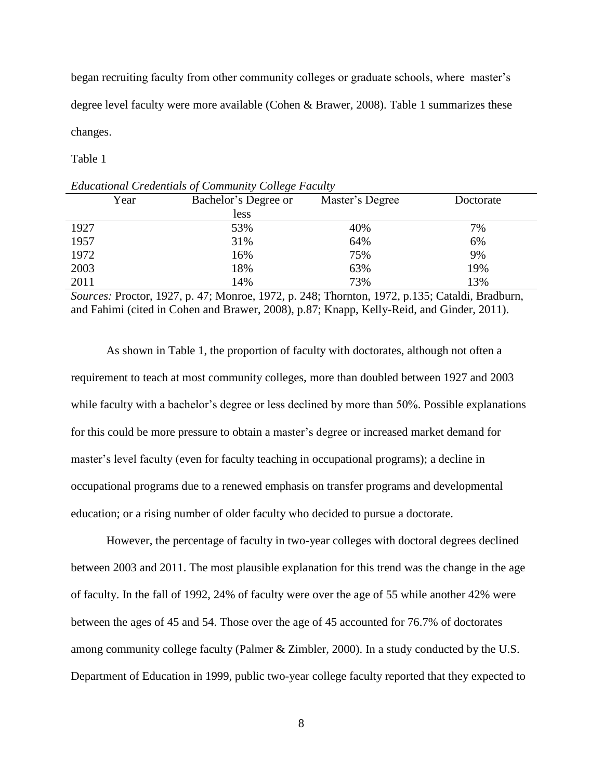began recruiting faculty from other community colleges or graduate schools, where master's degree level faculty were more available (Cohen & Brawer, 2008). Table 1 summarizes these changes.

Table 1

| $=$ $\ldots$ $\ldots$ $\ldots$ $\ldots$ $\ldots$ $\ldots$ $\ldots$ $\ldots$ $\ldots$ $\ldots$ $\ldots$ $\ldots$ $\ldots$ $\ldots$ |                      |                 |           |  |  |  |
|-----------------------------------------------------------------------------------------------------------------------------------|----------------------|-----------------|-----------|--|--|--|
| Year                                                                                                                              | Bachelor's Degree or | Master's Degree | Doctorate |  |  |  |
|                                                                                                                                   | less                 |                 |           |  |  |  |
| 1927                                                                                                                              | 53%                  | 40%             | 7%        |  |  |  |
| 1957                                                                                                                              | 31%                  | 64%             | 6%        |  |  |  |
| 1972                                                                                                                              | 16%                  | 75%             | 9%        |  |  |  |
| 2003                                                                                                                              | 18%                  | 63%             | 19%       |  |  |  |
| 2011                                                                                                                              | 14%                  | 73%             | 13%       |  |  |  |

*Educational Credentials of Community College Faculty*

*Sources:* Proctor, 1927, p. 47; Monroe, 1972, p. 248; Thornton, 1972, p.135; Cataldi, Bradburn, and Fahimi (cited in Cohen and Brawer, 2008), p.87; Knapp, Kelly-Reid, and Ginder, 2011).

As shown in Table 1, the proportion of faculty with doctorates, although not often a requirement to teach at most community colleges, more than doubled between 1927 and 2003 while faculty with a bachelor's degree or less declined by more than 50%. Possible explanations for this could be more pressure to obtain a master's degree or increased market demand for master's level faculty (even for faculty teaching in occupational programs); a decline in occupational programs due to a renewed emphasis on transfer programs and developmental education; or a rising number of older faculty who decided to pursue a doctorate.

However, the percentage of faculty in two-year colleges with doctoral degrees declined between 2003 and 2011. The most plausible explanation for this trend was the change in the age of faculty. In the fall of 1992, 24% of faculty were over the age of 55 while another 42% were between the ages of 45 and 54. Those over the age of 45 accounted for 76.7% of doctorates among community college faculty (Palmer & Zimbler, 2000). In a study conducted by the U.S. Department of Education in 1999, public two-year college faculty reported that they expected to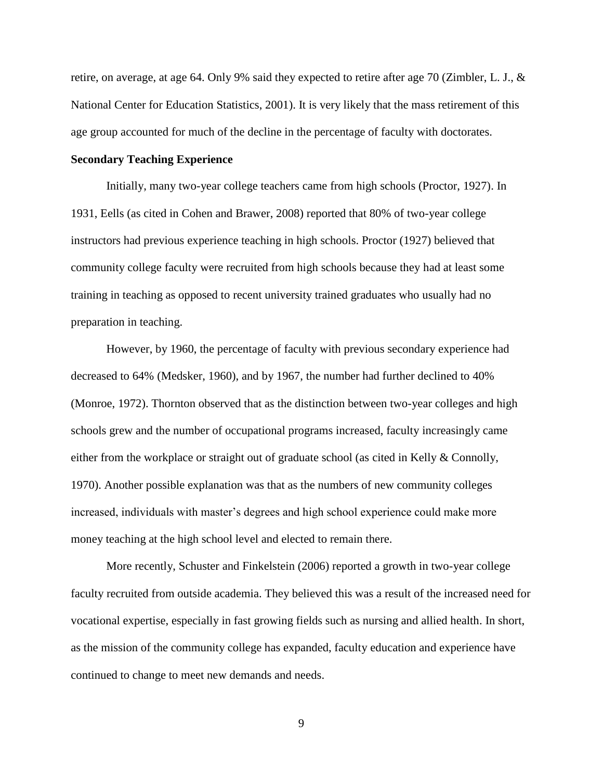retire, on average, at age 64. Only 9% said they expected to retire after age 70 (Zimbler, L. J., & National Center for Education Statistics, 2001). It is very likely that the mass retirement of this age group accounted for much of the decline in the percentage of faculty with doctorates.

# **Secondary Teaching Experience**

Initially, many two-year college teachers came from high schools (Proctor, 1927). In 1931, Eells (as cited in Cohen and Brawer, 2008) reported that 80% of two-year college instructors had previous experience teaching in high schools. Proctor (1927) believed that community college faculty were recruited from high schools because they had at least some training in teaching as opposed to recent university trained graduates who usually had no preparation in teaching.

However, by 1960, the percentage of faculty with previous secondary experience had decreased to 64% (Medsker, 1960), and by 1967, the number had further declined to 40% (Monroe, 1972). Thornton observed that as the distinction between two-year colleges and high schools grew and the number of occupational programs increased, faculty increasingly came either from the workplace or straight out of graduate school (as cited in Kelly & Connolly, 1970). Another possible explanation was that as the numbers of new community colleges increased, individuals with master's degrees and high school experience could make more money teaching at the high school level and elected to remain there.

More recently, Schuster and Finkelstein (2006) reported a growth in two-year college faculty recruited from outside academia. They believed this was a result of the increased need for vocational expertise, especially in fast growing fields such as nursing and allied health. In short, as the mission of the community college has expanded, faculty education and experience have continued to change to meet new demands and needs.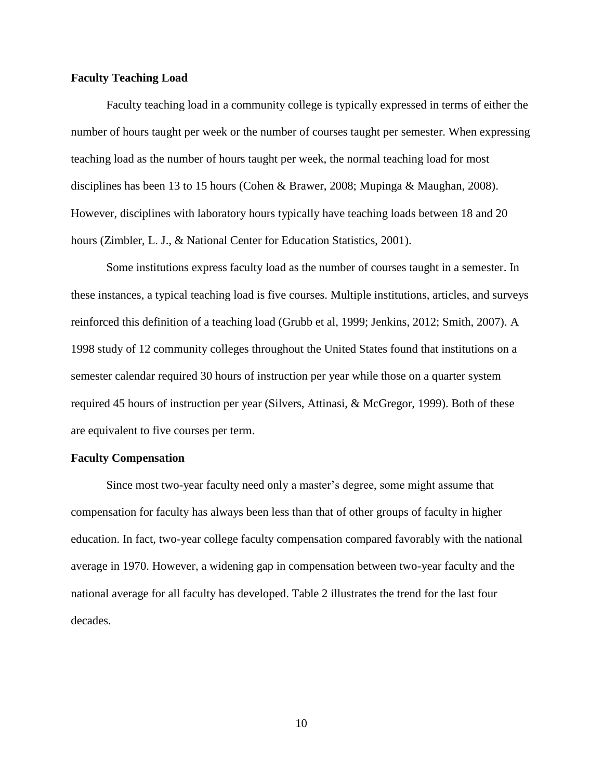# **Faculty Teaching Load**

Faculty teaching load in a community college is typically expressed in terms of either the number of hours taught per week or the number of courses taught per semester. When expressing teaching load as the number of hours taught per week, the normal teaching load for most disciplines has been 13 to 15 hours (Cohen & Brawer, 2008; Mupinga & Maughan, 2008). However, disciplines with laboratory hours typically have teaching loads between 18 and 20 hours (Zimbler, L. J., & National Center for Education Statistics, 2001).

Some institutions express faculty load as the number of courses taught in a semester. In these instances, a typical teaching load is five courses. Multiple institutions, articles, and surveys reinforced this definition of a teaching load (Grubb et al, 1999; Jenkins, 2012; Smith, 2007). A 1998 study of 12 community colleges throughout the United States found that institutions on a semester calendar required 30 hours of instruction per year while those on a quarter system required 45 hours of instruction per year (Silvers, Attinasi, & McGregor, 1999). Both of these are equivalent to five courses per term.

#### **Faculty Compensation**

Since most two-year faculty need only a master's degree, some might assume that compensation for faculty has always been less than that of other groups of faculty in higher education. In fact, two-year college faculty compensation compared favorably with the national average in 1970. However, a widening gap in compensation between two-year faculty and the national average for all faculty has developed. Table 2 illustrates the trend for the last four decades.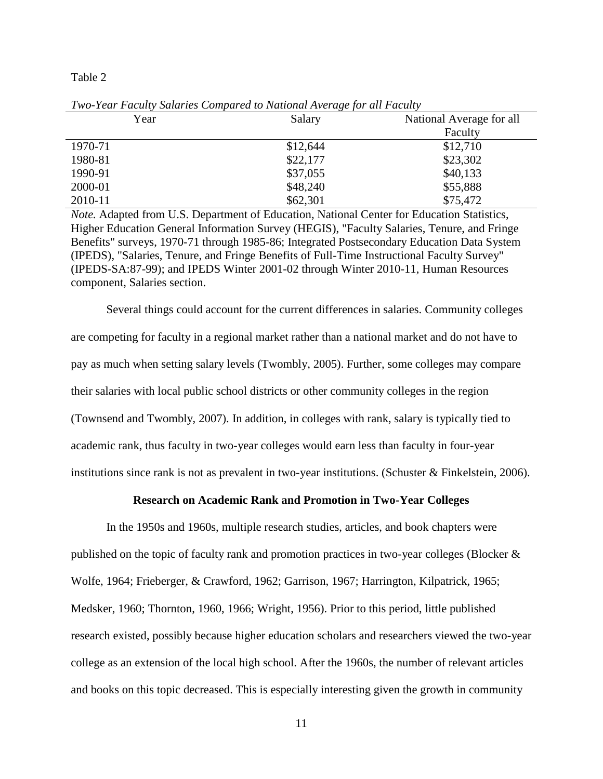Table 2

| Year    | Salary   | National Average for all |
|---------|----------|--------------------------|
|         |          | Faculty                  |
| 1970-71 | \$12,644 | \$12,710                 |
| 1980-81 | \$22,177 | \$23,302                 |
| 1990-91 | \$37,055 | \$40,133                 |
| 2000-01 | \$48,240 | \$55,888                 |
| 2010-11 | \$62,301 | \$75,472                 |

*Two-Year Faculty Salaries Compared to National Average for all Faculty*

*Note.* Adapted from U.S. Department of Education, National Center for Education Statistics, Higher Education General Information Survey (HEGIS), "Faculty Salaries, Tenure, and Fringe Benefits" surveys, 1970-71 through 1985-86; Integrated Postsecondary Education Data System (IPEDS), "Salaries, Tenure, and Fringe Benefits of Full-Time Instructional Faculty Survey" (IPEDS-SA:87-99); and IPEDS Winter 2001-02 through Winter 2010-11, Human Resources component, Salaries section.

Several things could account for the current differences in salaries. Community colleges are competing for faculty in a regional market rather than a national market and do not have to pay as much when setting salary levels (Twombly, 2005). Further, some colleges may compare their salaries with local public school districts or other community colleges in the region (Townsend and Twombly, 2007). In addition, in colleges with rank, salary is typically tied to academic rank, thus faculty in two-year colleges would earn less than faculty in four-year institutions since rank is not as prevalent in two-year institutions. (Schuster & Finkelstein, 2006).

#### **Research on Academic Rank and Promotion in Two-Year Colleges**

In the 1950s and 1960s, multiple research studies, articles, and book chapters were published on the topic of faculty rank and promotion practices in two-year colleges (Blocker & Wolfe, 1964; Frieberger, & Crawford, 1962; Garrison, 1967; Harrington, Kilpatrick, 1965; Medsker, 1960; Thornton, 1960, 1966; Wright, 1956). Prior to this period, little published research existed, possibly because higher education scholars and researchers viewed the two-year college as an extension of the local high school. After the 1960s, the number of relevant articles and books on this topic decreased. This is especially interesting given the growth in community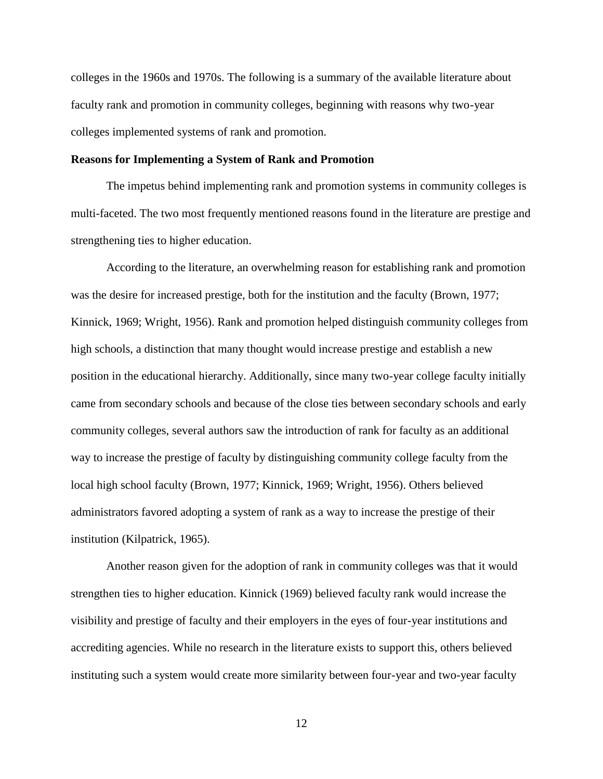colleges in the 1960s and 1970s. The following is a summary of the available literature about faculty rank and promotion in community colleges, beginning with reasons why two-year colleges implemented systems of rank and promotion.

# **Reasons for Implementing a System of Rank and Promotion**

The impetus behind implementing rank and promotion systems in community colleges is multi-faceted. The two most frequently mentioned reasons found in the literature are prestige and strengthening ties to higher education.

According to the literature, an overwhelming reason for establishing rank and promotion was the desire for increased prestige, both for the institution and the faculty (Brown, 1977; Kinnick, 1969; Wright, 1956). Rank and promotion helped distinguish community colleges from high schools, a distinction that many thought would increase prestige and establish a new position in the educational hierarchy. Additionally, since many two-year college faculty initially came from secondary schools and because of the close ties between secondary schools and early community colleges, several authors saw the introduction of rank for faculty as an additional way to increase the prestige of faculty by distinguishing community college faculty from the local high school faculty (Brown, 1977; Kinnick, 1969; Wright, 1956). Others believed administrators favored adopting a system of rank as a way to increase the prestige of their institution (Kilpatrick, 1965).

Another reason given for the adoption of rank in community colleges was that it would strengthen ties to higher education. Kinnick (1969) believed faculty rank would increase the visibility and prestige of faculty and their employers in the eyes of four-year institutions and accrediting agencies. While no research in the literature exists to support this, others believed instituting such a system would create more similarity between four-year and two-year faculty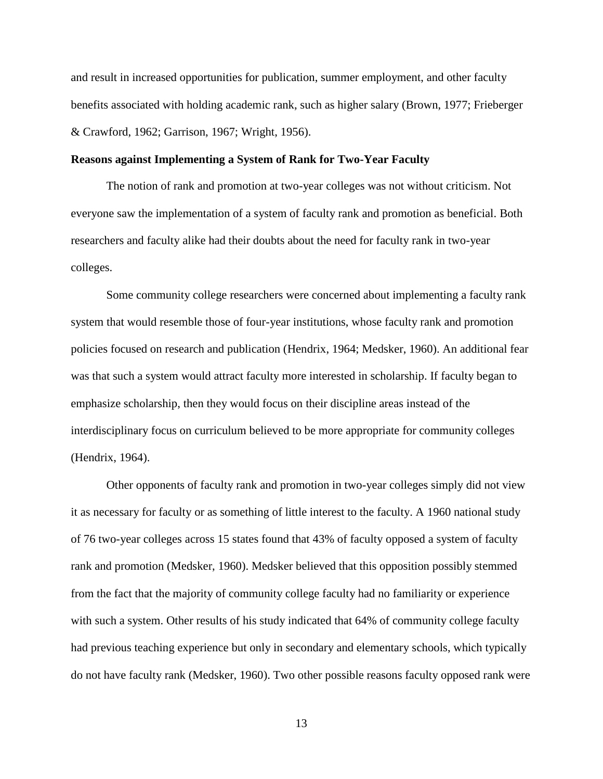and result in increased opportunities for publication, summer employment, and other faculty benefits associated with holding academic rank, such as higher salary (Brown, 1977; Frieberger & Crawford, 1962; Garrison, 1967; Wright, 1956).

# **Reasons against Implementing a System of Rank for Two-Year Faculty**

The notion of rank and promotion at two-year colleges was not without criticism. Not everyone saw the implementation of a system of faculty rank and promotion as beneficial. Both researchers and faculty alike had their doubts about the need for faculty rank in two-year colleges.

Some community college researchers were concerned about implementing a faculty rank system that would resemble those of four-year institutions, whose faculty rank and promotion policies focused on research and publication (Hendrix, 1964; Medsker, 1960). An additional fear was that such a system would attract faculty more interested in scholarship. If faculty began to emphasize scholarship, then they would focus on their discipline areas instead of the interdisciplinary focus on curriculum believed to be more appropriate for community colleges (Hendrix, 1964).

Other opponents of faculty rank and promotion in two-year colleges simply did not view it as necessary for faculty or as something of little interest to the faculty. A 1960 national study of 76 two-year colleges across 15 states found that 43% of faculty opposed a system of faculty rank and promotion (Medsker, 1960). Medsker believed that this opposition possibly stemmed from the fact that the majority of community college faculty had no familiarity or experience with such a system. Other results of his study indicated that 64% of community college faculty had previous teaching experience but only in secondary and elementary schools, which typically do not have faculty rank (Medsker, 1960). Two other possible reasons faculty opposed rank were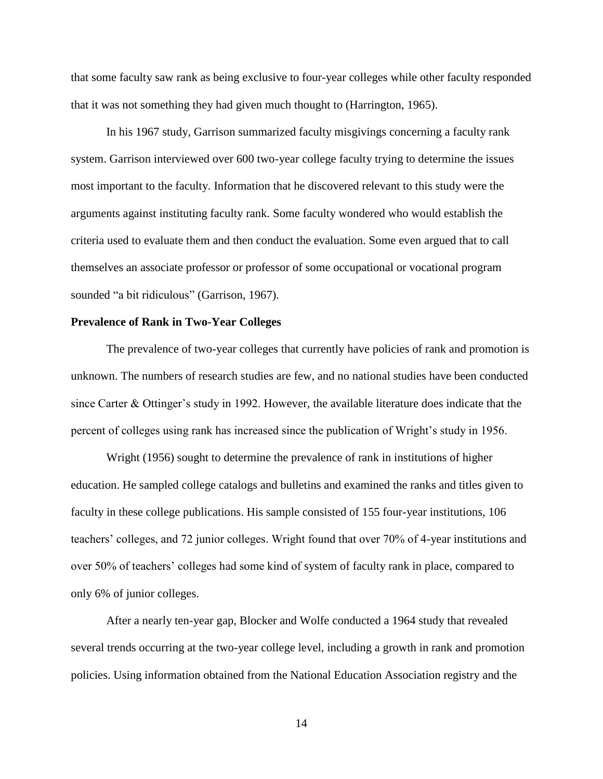that some faculty saw rank as being exclusive to four-year colleges while other faculty responded that it was not something they had given much thought to (Harrington, 1965).

In his 1967 study, Garrison summarized faculty misgivings concerning a faculty rank system. Garrison interviewed over 600 two-year college faculty trying to determine the issues most important to the faculty. Information that he discovered relevant to this study were the arguments against instituting faculty rank. Some faculty wondered who would establish the criteria used to evaluate them and then conduct the evaluation. Some even argued that to call themselves an associate professor or professor of some occupational or vocational program sounded "a bit ridiculous" (Garrison, 1967).

# **Prevalence of Rank in Two-Year Colleges**

The prevalence of two-year colleges that currently have policies of rank and promotion is unknown. The numbers of research studies are few, and no national studies have been conducted since Carter & Ottinger's study in 1992. However, the available literature does indicate that the percent of colleges using rank has increased since the publication of Wright's study in 1956.

Wright (1956) sought to determine the prevalence of rank in institutions of higher education. He sampled college catalogs and bulletins and examined the ranks and titles given to faculty in these college publications. His sample consisted of 155 four-year institutions, 106 teachers' colleges, and 72 junior colleges. Wright found that over 70% of 4-year institutions and over 50% of teachers' colleges had some kind of system of faculty rank in place, compared to only 6% of junior colleges.

After a nearly ten-year gap, Blocker and Wolfe conducted a 1964 study that revealed several trends occurring at the two-year college level, including a growth in rank and promotion policies. Using information obtained from the National Education Association registry and the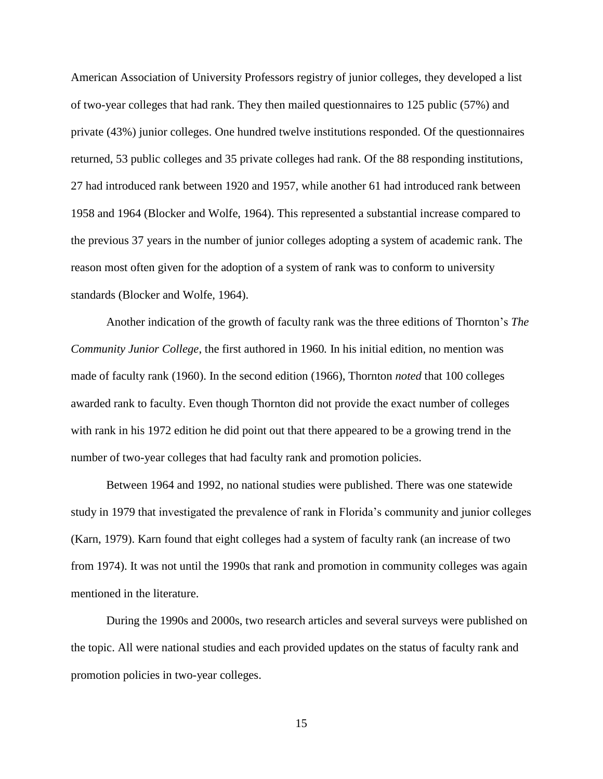American Association of University Professors registry of junior colleges, they developed a list of two-year colleges that had rank. They then mailed questionnaires to 125 public (57%) and private (43%) junior colleges. One hundred twelve institutions responded. Of the questionnaires returned, 53 public colleges and 35 private colleges had rank. Of the 88 responding institutions, 27 had introduced rank between 1920 and 1957, while another 61 had introduced rank between 1958 and 1964 (Blocker and Wolfe, 1964). This represented a substantial increase compared to the previous 37 years in the number of junior colleges adopting a system of academic rank. The reason most often given for the adoption of a system of rank was to conform to university standards (Blocker and Wolfe, 1964).

Another indication of the growth of faculty rank was the three editions of Thornton's *The Community Junior College*, the first authored in 1960*.* In his initial edition, no mention was made of faculty rank (1960). In the second edition (1966), Thornton *noted* that 100 colleges awarded rank to faculty. Even though Thornton did not provide the exact number of colleges with rank in his 1972 edition he did point out that there appeared to be a growing trend in the number of two-year colleges that had faculty rank and promotion policies.

Between 1964 and 1992, no national studies were published. There was one statewide study in 1979 that investigated the prevalence of rank in Florida's community and junior colleges (Karn, 1979). Karn found that eight colleges had a system of faculty rank (an increase of two from 1974). It was not until the 1990s that rank and promotion in community colleges was again mentioned in the literature.

During the 1990s and 2000s, two research articles and several surveys were published on the topic. All were national studies and each provided updates on the status of faculty rank and promotion policies in two-year colleges.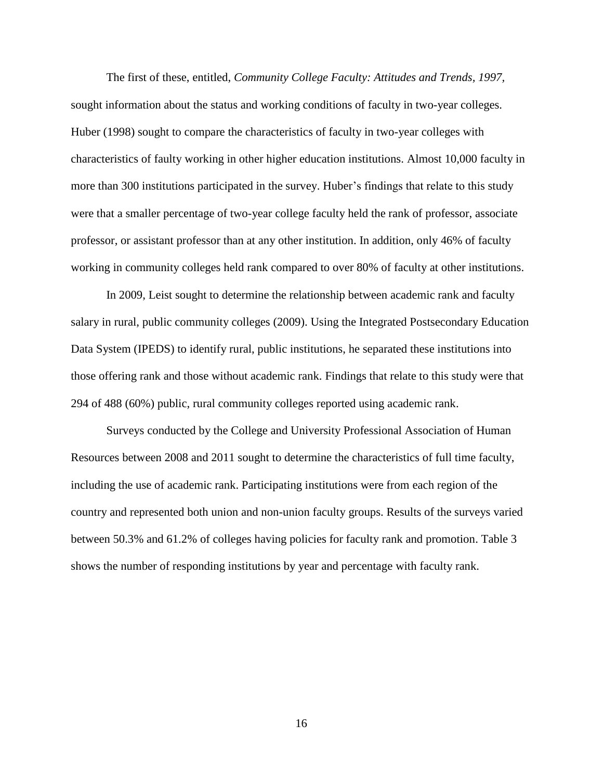The first of these, entitled, *Community College Faculty: Attitudes and Trends, 1997,*  sought information about the status and working conditions of faculty in two-year colleges. Huber (1998) sought to compare the characteristics of faculty in two-year colleges with characteristics of faulty working in other higher education institutions. Almost 10,000 faculty in more than 300 institutions participated in the survey. Huber's findings that relate to this study were that a smaller percentage of two-year college faculty held the rank of professor, associate professor, or assistant professor than at any other institution. In addition, only 46% of faculty working in community colleges held rank compared to over 80% of faculty at other institutions.

In 2009, Leist sought to determine the relationship between academic rank and faculty salary in rural, public community colleges (2009). Using the Integrated Postsecondary Education Data System (IPEDS) to identify rural, public institutions, he separated these institutions into those offering rank and those without academic rank. Findings that relate to this study were that 294 of 488 (60%) public, rural community colleges reported using academic rank.

Surveys conducted by the College and University Professional Association of Human Resources between 2008 and 2011 sought to determine the characteristics of full time faculty, including the use of academic rank. Participating institutions were from each region of the country and represented both union and non-union faculty groups. Results of the surveys varied between 50.3% and 61.2% of colleges having policies for faculty rank and promotion. Table 3 shows the number of responding institutions by year and percentage with faculty rank.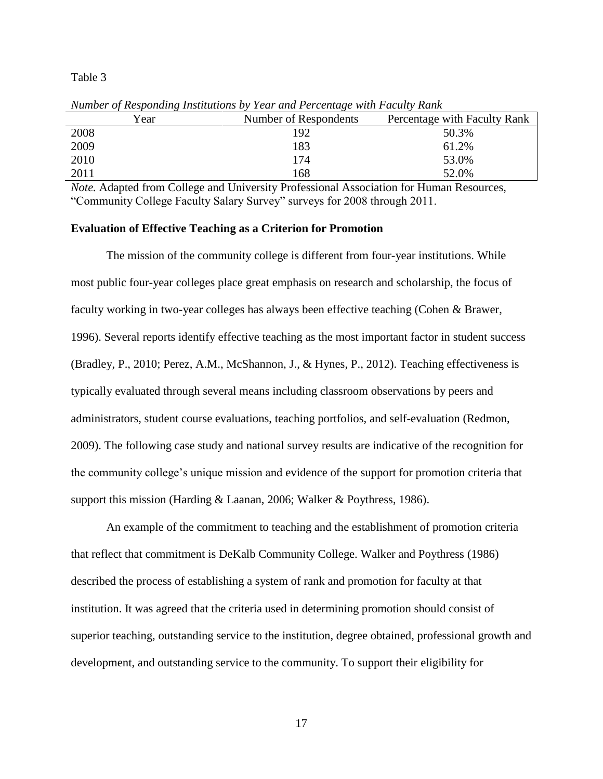#### Table 3

| Year | Number of Respondents | Percentage with Faculty Rank |
|------|-----------------------|------------------------------|
| 2008 | 192                   | 50.3%                        |
| 2009 | 183                   | 61.2%                        |
| 2010 | 174                   | 53.0%                        |
| 2011 | 168                   | 52.0%                        |

*Number of Responding Institutions by Year and Percentage with Faculty Rank* 

*Note.* Adapted from College and University Professional Association for Human Resources, "Community College Faculty Salary Survey" surveys for 2008 through 2011.

#### **Evaluation of Effective Teaching as a Criterion for Promotion**

The mission of the community college is different from four-year institutions. While most public four-year colleges place great emphasis on research and scholarship, the focus of faculty working in two-year colleges has always been effective teaching (Cohen & Brawer, 1996). Several reports identify effective teaching as the most important factor in student success (Bradley, P., 2010; Perez, A.M., McShannon, J., & Hynes, P., 2012). Teaching effectiveness is typically evaluated through several means including classroom observations by peers and administrators, student course evaluations, teaching portfolios, and self-evaluation (Redmon, 2009). The following case study and national survey results are indicative of the recognition for the community college's unique mission and evidence of the support for promotion criteria that support this mission (Harding & Laanan, 2006; Walker & Poythress, 1986).

An example of the commitment to teaching and the establishment of promotion criteria that reflect that commitment is DeKalb Community College. Walker and Poythress (1986) described the process of establishing a system of rank and promotion for faculty at that institution. It was agreed that the criteria used in determining promotion should consist of superior teaching, outstanding service to the institution, degree obtained, professional growth and development, and outstanding service to the community. To support their eligibility for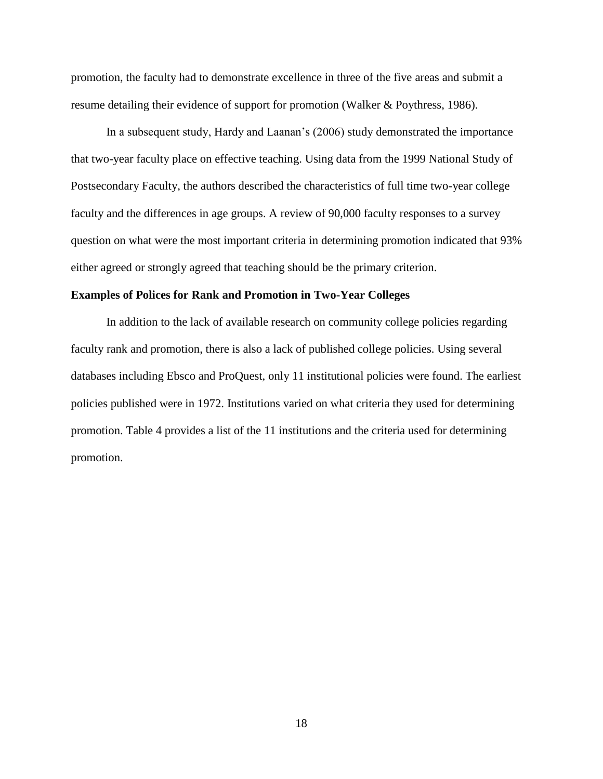promotion, the faculty had to demonstrate excellence in three of the five areas and submit a resume detailing their evidence of support for promotion (Walker & Poythress, 1986).

In a subsequent study, Hardy and Laanan's (2006) study demonstrated the importance that two-year faculty place on effective teaching. Using data from the 1999 National Study of Postsecondary Faculty, the authors described the characteristics of full time two-year college faculty and the differences in age groups. A review of 90,000 faculty responses to a survey question on what were the most important criteria in determining promotion indicated that 93% either agreed or strongly agreed that teaching should be the primary criterion.

# **Examples of Polices for Rank and Promotion in Two-Year Colleges**

In addition to the lack of available research on community college policies regarding faculty rank and promotion, there is also a lack of published college policies. Using several databases including Ebsco and ProQuest, only 11 institutional policies were found. The earliest policies published were in 1972. Institutions varied on what criteria they used for determining promotion. Table 4 provides a list of the 11 institutions and the criteria used for determining promotion.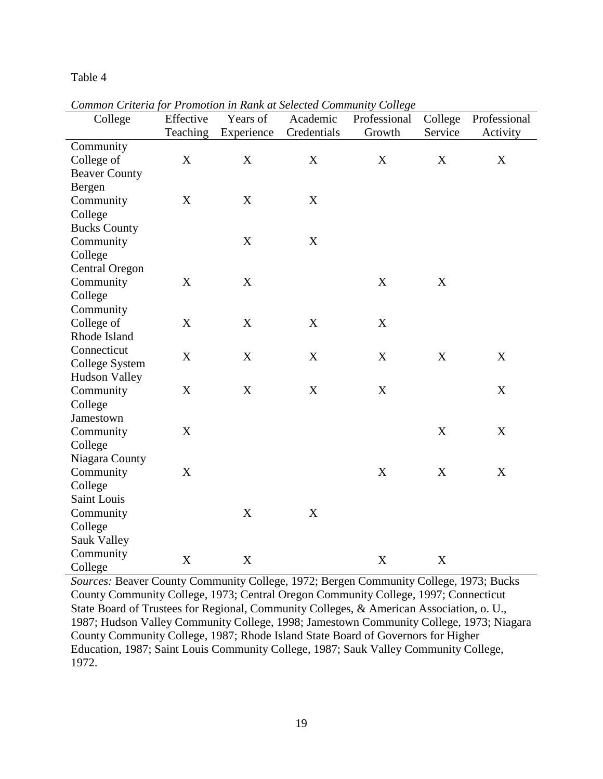Table 4

| common cruci argor I romonon in Itanii ar sciecica community conege<br>College | Effective                 | Years of         | Academic    | Professional | College          | Professional |
|--------------------------------------------------------------------------------|---------------------------|------------------|-------------|--------------|------------------|--------------|
|                                                                                | Teaching                  | Experience       | Credentials | Growth       | Service          | Activity     |
| Community                                                                      |                           |                  |             |              |                  |              |
| College of                                                                     | X                         | X                | X           | X            | $\mathbf X$      | X            |
| <b>Beaver County</b>                                                           |                           |                  |             |              |                  |              |
| Bergen                                                                         |                           |                  |             |              |                  |              |
| Community                                                                      | X                         | $\mathbf X$      | X           |              |                  |              |
| College                                                                        |                           |                  |             |              |                  |              |
| <b>Bucks County</b>                                                            |                           |                  |             |              |                  |              |
| Community                                                                      |                           | X                | X           |              |                  |              |
| College                                                                        |                           |                  |             |              |                  |              |
| <b>Central Oregon</b>                                                          |                           |                  |             |              |                  |              |
| Community                                                                      | $\mathbf X$               | $\mathbf X$      |             | $\mathbf X$  | $\boldsymbol{X}$ |              |
| College                                                                        |                           |                  |             |              |                  |              |
| Community                                                                      |                           |                  |             |              |                  |              |
| College of                                                                     | X                         | X                | X           | X            |                  |              |
| Rhode Island                                                                   |                           |                  |             |              |                  |              |
| Connecticut                                                                    |                           |                  |             |              |                  |              |
| College System                                                                 | X                         | X                | X           | X            | $\boldsymbol{X}$ | X            |
| <b>Hudson Valley</b>                                                           |                           |                  |             |              |                  |              |
| Community                                                                      | X                         | $\mathbf X$      | X           | X            |                  | X            |
| College                                                                        |                           |                  |             |              |                  |              |
| Jamestown                                                                      |                           |                  |             |              |                  |              |
| Community                                                                      | X                         |                  |             |              | $\boldsymbol{X}$ | X            |
| College                                                                        |                           |                  |             |              |                  |              |
| Niagara County                                                                 |                           |                  |             |              |                  |              |
| Community                                                                      | X                         |                  |             | X            | X                | X            |
| College                                                                        |                           |                  |             |              |                  |              |
| Saint Louis                                                                    |                           |                  |             |              |                  |              |
| Community                                                                      |                           | X                | X           |              |                  |              |
| College                                                                        |                           |                  |             |              |                  |              |
| Sauk Valley                                                                    |                           |                  |             |              |                  |              |
| Community                                                                      | $\boldsymbol{\mathrm{X}}$ | $\boldsymbol{X}$ |             |              |                  |              |
| College                                                                        |                           |                  |             | X            | X                |              |

*Common Criteria for Promotion in Rank at Selected Community College* 

*Sources:* Beaver County Community College, 1972; Bergen Community College, 1973; Bucks County Community College, 1973; Central Oregon Community College, 1997; Connecticut State Board of Trustees for Regional, Community Colleges, & American Association, o. U., 1987; Hudson Valley Community College, 1998; Jamestown Community College, 1973; Niagara County Community College, 1987; Rhode Island State Board of Governors for Higher Education, 1987; Saint Louis Community College, 1987; Sauk Valley Community College, 1972.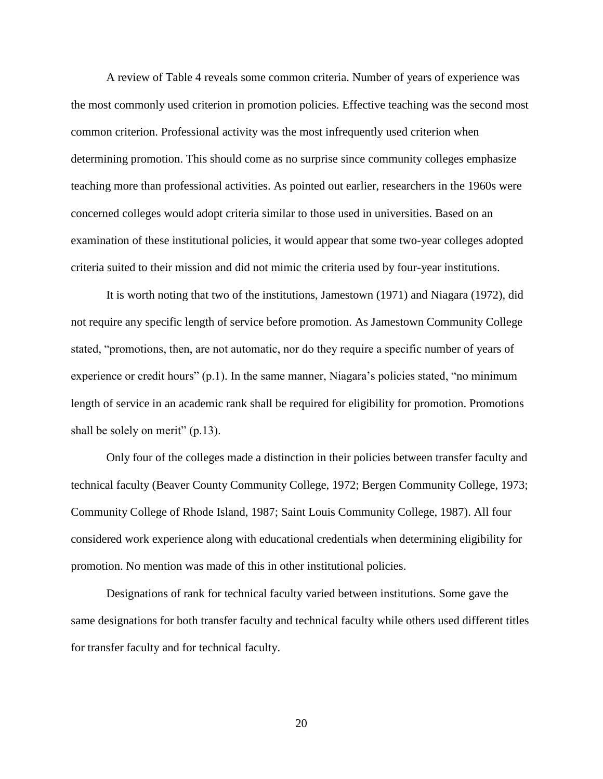A review of Table 4 reveals some common criteria. Number of years of experience was the most commonly used criterion in promotion policies. Effective teaching was the second most common criterion. Professional activity was the most infrequently used criterion when determining promotion. This should come as no surprise since community colleges emphasize teaching more than professional activities. As pointed out earlier, researchers in the 1960s were concerned colleges would adopt criteria similar to those used in universities. Based on an examination of these institutional policies, it would appear that some two-year colleges adopted criteria suited to their mission and did not mimic the criteria used by four-year institutions.

It is worth noting that two of the institutions, Jamestown (1971) and Niagara (1972), did not require any specific length of service before promotion. As Jamestown Community College stated, "promotions, then, are not automatic, nor do they require a specific number of years of experience or credit hours" (p.1). In the same manner, Niagara's policies stated, "no minimum length of service in an academic rank shall be required for eligibility for promotion. Promotions shall be solely on merit" (p.13).

Only four of the colleges made a distinction in their policies between transfer faculty and technical faculty (Beaver County Community College, 1972; Bergen Community College, 1973; Community College of Rhode Island, 1987; Saint Louis Community College, 1987). All four considered work experience along with educational credentials when determining eligibility for promotion. No mention was made of this in other institutional policies.

Designations of rank for technical faculty varied between institutions. Some gave the same designations for both transfer faculty and technical faculty while others used different titles for transfer faculty and for technical faculty.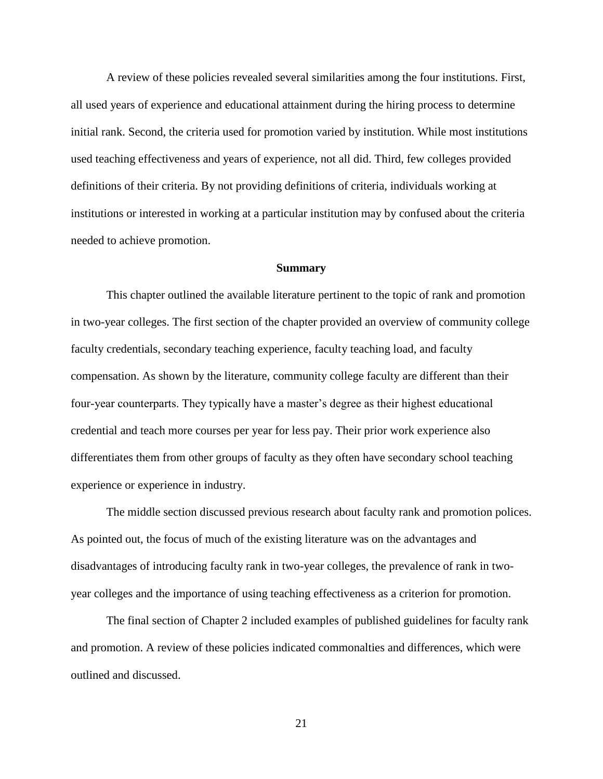A review of these policies revealed several similarities among the four institutions. First, all used years of experience and educational attainment during the hiring process to determine initial rank. Second, the criteria used for promotion varied by institution. While most institutions used teaching effectiveness and years of experience, not all did. Third, few colleges provided definitions of their criteria. By not providing definitions of criteria, individuals working at institutions or interested in working at a particular institution may by confused about the criteria needed to achieve promotion.

#### **Summary**

This chapter outlined the available literature pertinent to the topic of rank and promotion in two-year colleges. The first section of the chapter provided an overview of community college faculty credentials, secondary teaching experience, faculty teaching load, and faculty compensation. As shown by the literature, community college faculty are different than their four-year counterparts. They typically have a master's degree as their highest educational credential and teach more courses per year for less pay. Their prior work experience also differentiates them from other groups of faculty as they often have secondary school teaching experience or experience in industry.

The middle section discussed previous research about faculty rank and promotion polices. As pointed out, the focus of much of the existing literature was on the advantages and disadvantages of introducing faculty rank in two-year colleges, the prevalence of rank in twoyear colleges and the importance of using teaching effectiveness as a criterion for promotion.

The final section of Chapter 2 included examples of published guidelines for faculty rank and promotion. A review of these policies indicated commonalties and differences, which were outlined and discussed.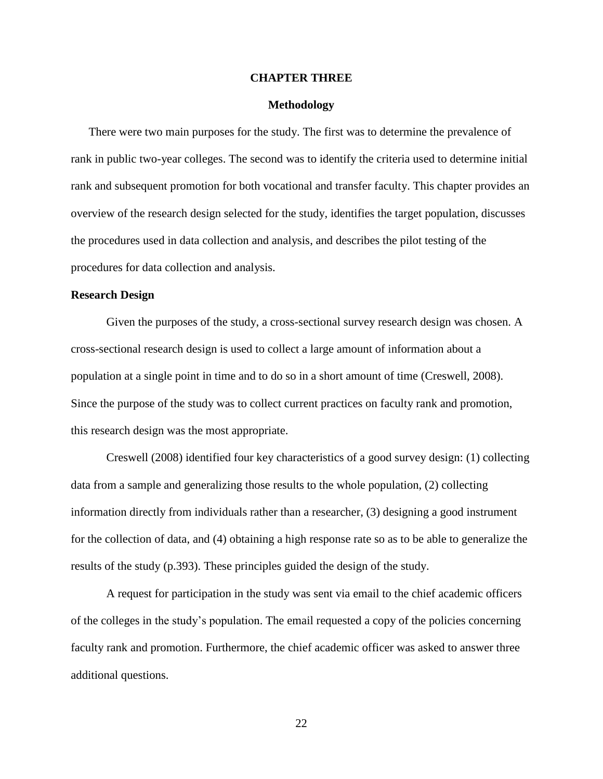## **CHAPTER THREE**

## **Methodology**

There were two main purposes for the study. The first was to determine the prevalence of rank in public two-year colleges. The second was to identify the criteria used to determine initial rank and subsequent promotion for both vocational and transfer faculty. This chapter provides an overview of the research design selected for the study, identifies the target population, discusses the procedures used in data collection and analysis, and describes the pilot testing of the procedures for data collection and analysis.

## **Research Design**

Given the purposes of the study, a cross-sectional survey research design was chosen. A cross-sectional research design is used to collect a large amount of information about a population at a single point in time and to do so in a short amount of time (Creswell, 2008). Since the purpose of the study was to collect current practices on faculty rank and promotion, this research design was the most appropriate.

Creswell (2008) identified four key characteristics of a good survey design: (1) collecting data from a sample and generalizing those results to the whole population, (2) collecting information directly from individuals rather than a researcher, (3) designing a good instrument for the collection of data, and (4) obtaining a high response rate so as to be able to generalize the results of the study (p.393). These principles guided the design of the study.

A request for participation in the study was sent via email to the chief academic officers of the colleges in the study's population. The email requested a copy of the policies concerning faculty rank and promotion. Furthermore, the chief academic officer was asked to answer three additional questions.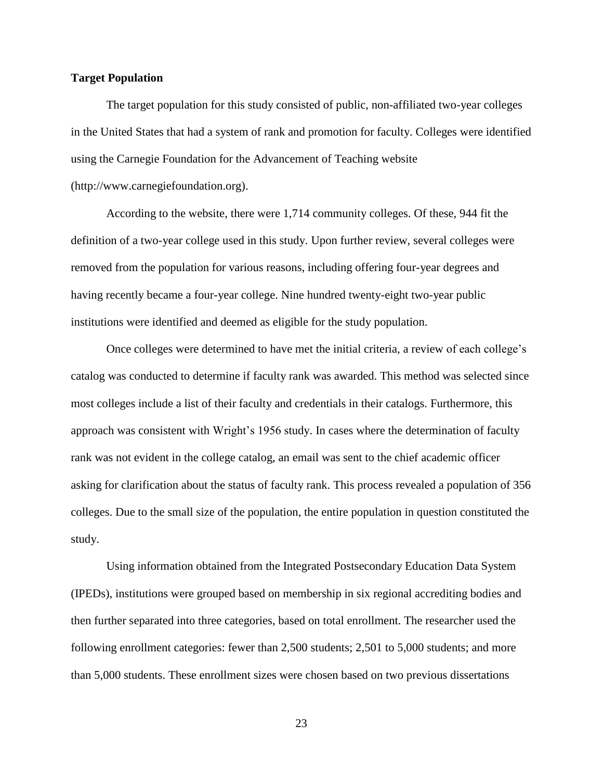# **Target Population**

The target population for this study consisted of public, non-affiliated two-year colleges in the United States that had a system of rank and promotion for faculty. Colleges were identified using the Carnegie Foundation for the Advancement of Teaching website (http://www.carnegiefoundation.org).

According to the website, there were 1,714 community colleges. Of these, 944 fit the definition of a two-year college used in this study. Upon further review, several colleges were removed from the population for various reasons, including offering four-year degrees and having recently became a four-year college. Nine hundred twenty-eight two-year public institutions were identified and deemed as eligible for the study population.

Once colleges were determined to have met the initial criteria, a review of each college's catalog was conducted to determine if faculty rank was awarded. This method was selected since most colleges include a list of their faculty and credentials in their catalogs. Furthermore, this approach was consistent with Wright's 1956 study. In cases where the determination of faculty rank was not evident in the college catalog, an email was sent to the chief academic officer asking for clarification about the status of faculty rank. This process revealed a population of 356 colleges. Due to the small size of the population, the entire population in question constituted the study.

Using information obtained from the Integrated Postsecondary Education Data System (IPEDs), institutions were grouped based on membership in six regional accrediting bodies and then further separated into three categories, based on total enrollment. The researcher used the following enrollment categories: fewer than 2,500 students; 2,501 to 5,000 students; and more than 5,000 students. These enrollment sizes were chosen based on two previous dissertations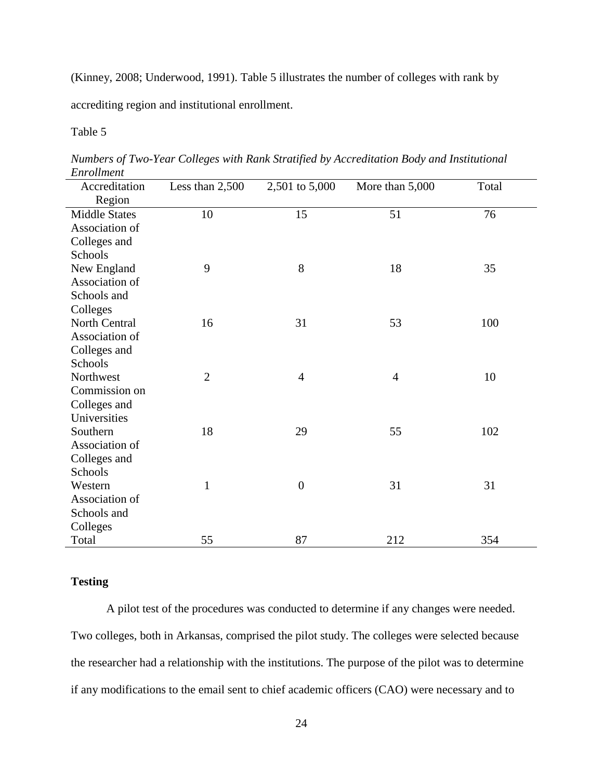(Kinney, 2008; Underwood, 1991). Table 5 illustrates the number of colleges with rank by

accrediting region and institutional enrollment.

# Table 5

| Accreditation        | Less than 2,500 | 2,501 to 5,000 | More than 5,000 | Total |
|----------------------|-----------------|----------------|-----------------|-------|
| Region               |                 |                |                 |       |
| <b>Middle States</b> | 10              | 15             | 51              | 76    |
| Association of       |                 |                |                 |       |
| Colleges and         |                 |                |                 |       |
| Schools              |                 |                |                 |       |
| New England          | 9               | 8              | 18              | 35    |
| Association of       |                 |                |                 |       |
| Schools and          |                 |                |                 |       |
| Colleges             |                 |                |                 |       |
| North Central        | 16              | 31             | 53              | 100   |
| Association of       |                 |                |                 |       |
| Colleges and         |                 |                |                 |       |
| Schools              |                 |                |                 |       |
| Northwest            | $\overline{2}$  | $\overline{4}$ | $\overline{4}$  | 10    |
| Commission on        |                 |                |                 |       |
| Colleges and         |                 |                |                 |       |
| Universities         |                 |                |                 |       |
| Southern             | 18              | 29             | 55              | 102   |
| Association of       |                 |                |                 |       |
| Colleges and         |                 |                |                 |       |
| Schools              |                 |                |                 |       |
| Western              | $\mathbf{1}$    | $\overline{0}$ | 31              | 31    |
| Association of       |                 |                |                 |       |
| Schools and          |                 |                |                 |       |
| Colleges             |                 |                |                 |       |
| Total                | 55              | 87             | 212             | 354   |

*Numbers of Two-Year Colleges with Rank Stratified by Accreditation Body and Institutional Enrollment*

# **Testing**

A pilot test of the procedures was conducted to determine if any changes were needed. Two colleges, both in Arkansas, comprised the pilot study. The colleges were selected because the researcher had a relationship with the institutions. The purpose of the pilot was to determine if any modifications to the email sent to chief academic officers (CAO) were necessary and to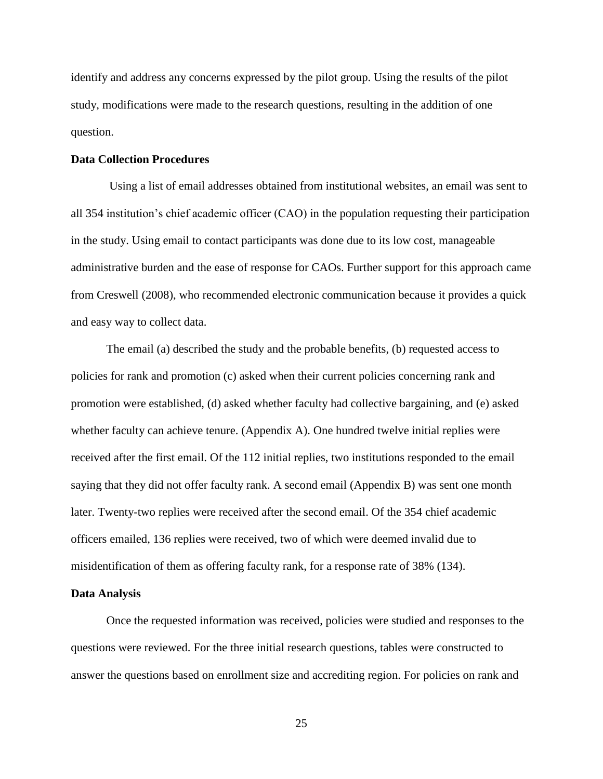identify and address any concerns expressed by the pilot group. Using the results of the pilot study, modifications were made to the research questions, resulting in the addition of one question.

#### **Data Collection Procedures**

Using a list of email addresses obtained from institutional websites, an email was sent to all 354 institution's chief academic officer (CAO) in the population requesting their participation in the study. Using email to contact participants was done due to its low cost, manageable administrative burden and the ease of response for CAOs. Further support for this approach came from Creswell (2008), who recommended electronic communication because it provides a quick and easy way to collect data.

The email (a) described the study and the probable benefits, (b) requested access to policies for rank and promotion (c) asked when their current policies concerning rank and promotion were established, (d) asked whether faculty had collective bargaining, and (e) asked whether faculty can achieve tenure. (Appendix A). One hundred twelve initial replies were received after the first email. Of the 112 initial replies, two institutions responded to the email saying that they did not offer faculty rank. A second email (Appendix B) was sent one month later. Twenty-two replies were received after the second email. Of the 354 chief academic officers emailed, 136 replies were received, two of which were deemed invalid due to misidentification of them as offering faculty rank, for a response rate of 38% (134).

#### **Data Analysis**

Once the requested information was received, policies were studied and responses to the questions were reviewed. For the three initial research questions, tables were constructed to answer the questions based on enrollment size and accrediting region. For policies on rank and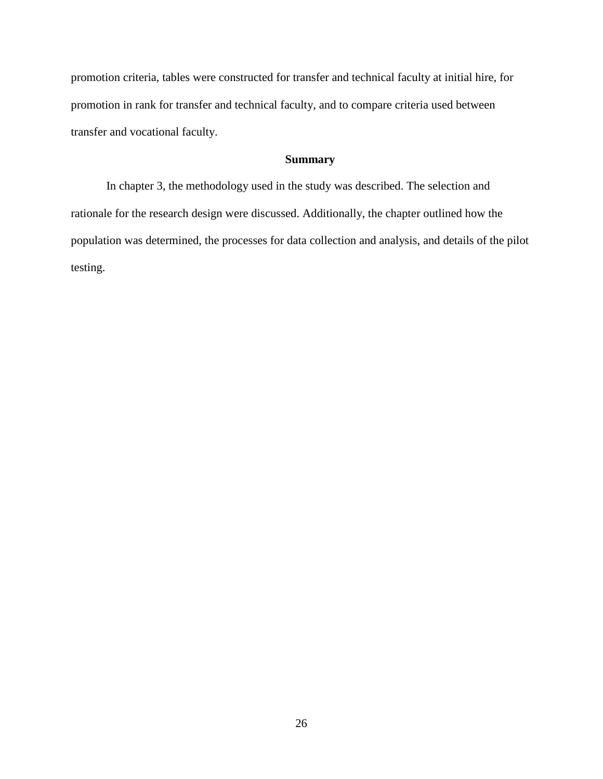promotion criteria, tables were constructed for transfer and technical faculty at initial hire, for promotion in rank for transfer and technical faculty, and to compare criteria used between transfer and vocational faculty.

# **Summary**

In chapter 3, the methodology used in the study was described. The selection and rationale for the research design were discussed. Additionally, the chapter outlined how the population was determined, the processes for data collection and analysis, and details of the pilot testing.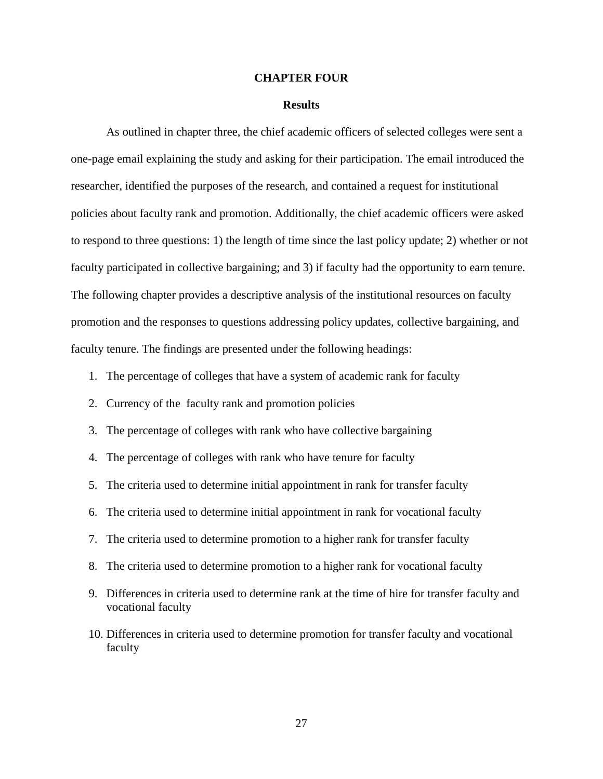#### **CHAPTER FOUR**

#### **Results**

As outlined in chapter three, the chief academic officers of selected colleges were sent a one-page email explaining the study and asking for their participation. The email introduced the researcher, identified the purposes of the research, and contained a request for institutional policies about faculty rank and promotion. Additionally, the chief academic officers were asked to respond to three questions: 1) the length of time since the last policy update; 2) whether or not faculty participated in collective bargaining; and 3) if faculty had the opportunity to earn tenure. The following chapter provides a descriptive analysis of the institutional resources on faculty promotion and the responses to questions addressing policy updates, collective bargaining, and faculty tenure. The findings are presented under the following headings:

- 1. The percentage of colleges that have a system of academic rank for faculty
- 2. Currency of the faculty rank and promotion policies
- 3. The percentage of colleges with rank who have collective bargaining
- 4. The percentage of colleges with rank who have tenure for faculty
- 5. The criteria used to determine initial appointment in rank for transfer faculty
- 6. The criteria used to determine initial appointment in rank for vocational faculty
- 7. The criteria used to determine promotion to a higher rank for transfer faculty
- 8. The criteria used to determine promotion to a higher rank for vocational faculty
- 9. Differences in criteria used to determine rank at the time of hire for transfer faculty and vocational faculty
- 10. Differences in criteria used to determine promotion for transfer faculty and vocational faculty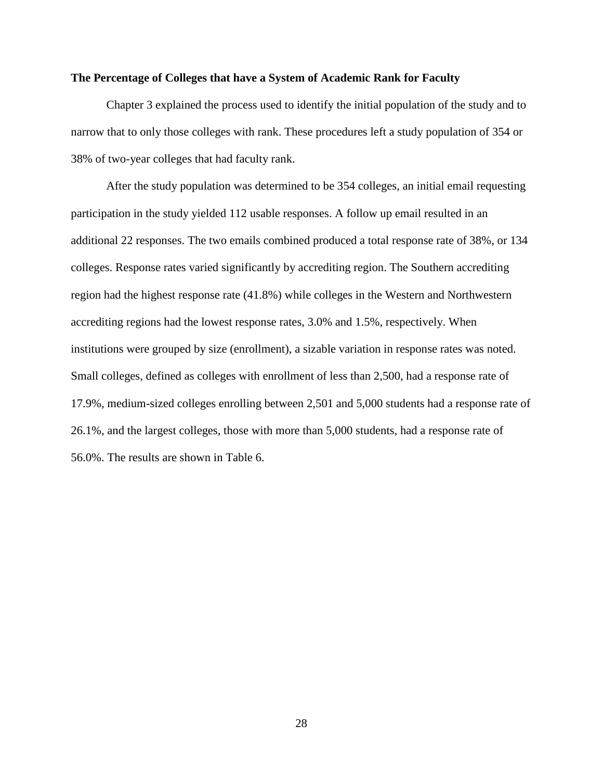## **The Percentage of Colleges that have a System of Academic Rank for Faculty**

Chapter 3 explained the process used to identify the initial population of the study and to narrow that to only those colleges with rank. These procedures left a study population of 354 or 38% of two-year colleges that had faculty rank.

After the study population was determined to be 354 colleges, an initial email requesting participation in the study yielded 112 usable responses. A follow up email resulted in an additional 22 responses. The two emails combined produced a total response rate of 38%, or 134 colleges. Response rates varied significantly by accrediting region. The Southern accrediting region had the highest response rate (41.8%) while colleges in the Western and Northwestern accrediting regions had the lowest response rates, 3.0% and 1.5%, respectively. When institutions were grouped by size (enrollment), a sizable variation in response rates was noted. Small colleges, defined as colleges with enrollment of less than 2,500, had a response rate of 17.9%, medium-sized colleges enrolling between 2,501 and 5,000 students had a response rate of 26.1%, and the largest colleges, those with more than 5,000 students, had a response rate of 56.0%. The results are shown in Table 6.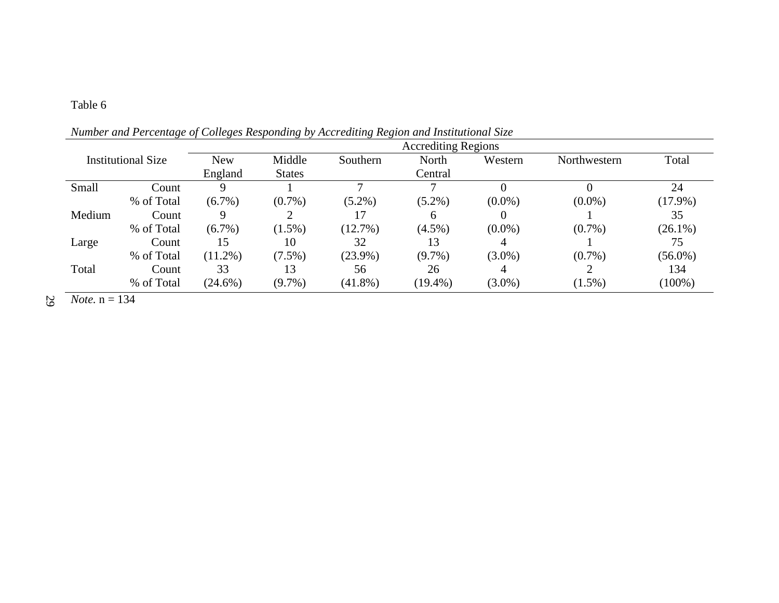| Institutional Size |            | <b>New</b> | Middle        | Southern   | North      | Western   | Northwestern | Total      |
|--------------------|------------|------------|---------------|------------|------------|-----------|--------------|------------|
|                    |            | England    | <b>States</b> |            | Central    |           |              |            |
| Small              | Count      | 9          |               |            |            |           | O            | 24         |
|                    | % of Total | $(6.7\%)$  | $(0.7\%)$     | $(5.2\%)$  | $(5.2\%)$  | $(0.0\%)$ | $(0.0\%)$    | $(17.9\%)$ |
| Medium             | Count      | 9          |               | 17         | 6          | 0         |              | 35         |
|                    | % of Total | $(6.7\%)$  | $(1.5\%)$     | $(12.7\%)$ | $(4.5\%)$  | $(0.0\%)$ | $(0.7\%)$    | $(26.1\%)$ |
| Large              | Count      | 15         | 10            | 32         | 13         | 4         |              | 75         |
|                    | % of Total | $(11.2\%)$ | $(7.5\%)$     | $(23.9\%)$ | $(9.7\%)$  | $(3.0\%)$ | $(0.7\%)$    | $(56.0\%)$ |
| Total              | Count      | 33         | 13            | 56         | 26         | 4         |              | 134        |
|                    | % of Total | $(24.6\%)$ | $(9.7\%)$     | $(41.8\%)$ | $(19.4\%)$ | $(3.0\%)$ | $(1.5\%)$    | $(100\%)$  |

*Number and Percentage of Colleges Responding by Accrediting Region and Institutional Size* 

29  $$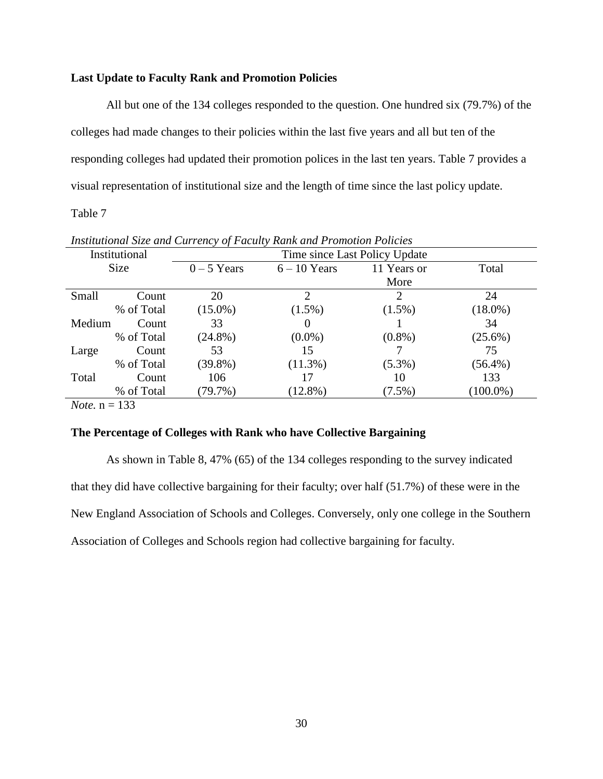# **Last Update to Faculty Rank and Promotion Policies**

All but one of the 134 colleges responded to the question. One hundred six (79.7%) of the colleges had made changes to their policies within the last five years and all but ten of the responding colleges had updated their promotion polices in the last ten years. Table 7 provides a visual representation of institutional size and the length of time since the last policy update.

Table 7

|              | Institutional | Time since Last Policy Update |                |             |             |  |  |  |  |  |  |  |
|--------------|---------------|-------------------------------|----------------|-------------|-------------|--|--|--|--|--|--|--|
|              | Size          | $0 - 5$ Years                 | $6 - 10$ Years | 11 Years or | Total       |  |  |  |  |  |  |  |
|              |               |                               |                | More        |             |  |  |  |  |  |  |  |
| Small        | Count         | 20                            | 2              | 2           | 24          |  |  |  |  |  |  |  |
|              | % of Total    | $(15.0\%)$                    | $(1.5\%)$      | $(1.5\%)$   | $(18.0\%)$  |  |  |  |  |  |  |  |
| Medium       | Count         | 33                            | $\theta$       |             | 34          |  |  |  |  |  |  |  |
|              | % of Total    | $(24.8\%)$                    | $(0.0\%)$      | $(0.8\%)$   | $(25.6\%)$  |  |  |  |  |  |  |  |
| Large        | Count         | 53                            | 15             |             | 75          |  |  |  |  |  |  |  |
|              | % of Total    | $(39.8\%)$                    | $(11.3\%)$     | $(5.3\%)$   | $(56.4\%)$  |  |  |  |  |  |  |  |
| Total        | Count         | 106                           | 17             | 10          | 133         |  |  |  |  |  |  |  |
|              | % of Total    | $(79.7\%)$                    | $(12.8\%)$     | $(7.5\%)$   | $(100.0\%)$ |  |  |  |  |  |  |  |
| $\mathbf{r}$ | $\sim$ $\sim$ |                               |                |             |             |  |  |  |  |  |  |  |

*Institutional Size and Currency of Faculty Rank and Promotion Policies* 

*Note.* n = 133

# **The Percentage of Colleges with Rank who have Collective Bargaining**

As shown in Table 8, 47% (65) of the 134 colleges responding to the survey indicated that they did have collective bargaining for their faculty; over half (51.7%) of these were in the New England Association of Schools and Colleges. Conversely, only one college in the Southern Association of Colleges and Schools region had collective bargaining for faculty.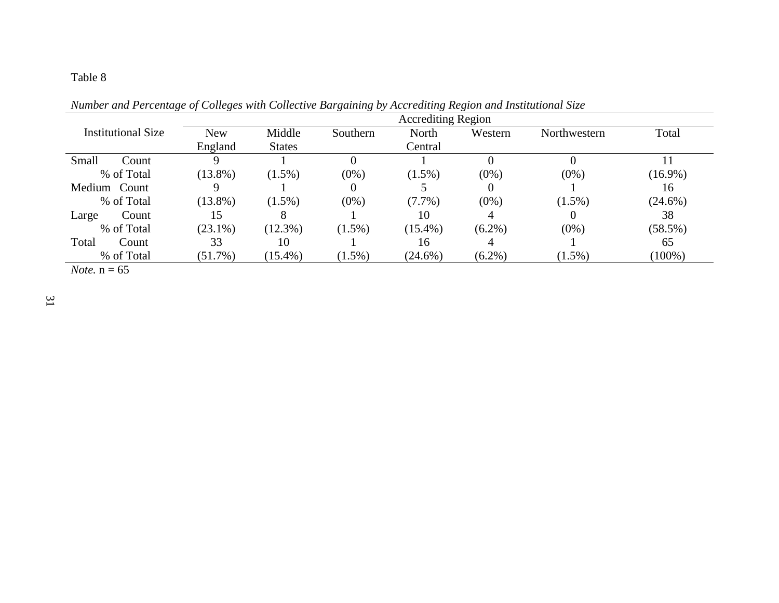|                           |            |               |           | <b>Accrediting Region</b> |           |              |            |
|---------------------------|------------|---------------|-----------|---------------------------|-----------|--------------|------------|
| <b>Institutional Size</b> | <b>New</b> | Middle        | Southern  | North                     | Western   | Northwestern | Total      |
|                           | England    | <b>States</b> |           | Central                   |           |              |            |
| Small<br>Count            |            |               |           |                           |           |              |            |
| % of Total                | $(13.8\%)$ | $(1.5\%)$     | $(0\%)$   | $(1.5\%)$                 | $(0\%)$   | $(0\%)$      | $(16.9\%)$ |
| Medium Count              |            |               |           |                           |           |              | 16         |
| % of Total                | $(13.8\%)$ | $(1.5\%)$     | $(0\%)$   | $(7.7\%)$                 | $(0\%)$   | $(1.5\%)$    | $(24.6\%)$ |
| Count<br>Large            | 15         |               |           | 10                        |           | O            | 38         |
| % of Total                | $(23.1\%)$ | $(12.3\%)$    | $(1.5\%)$ | $(15.4\%)$                | $(6.2\%)$ | $(0\%)$      | $(58.5\%)$ |
| Total<br>Count            | 33         | 10            |           | 16                        | 4         |              | 65         |
| % of Total                | $(51.7\%)$ | $(15.4\%)$    | $(1.5\%)$ | $(24.6\%)$                | $(6.2\%)$ | $(1.5\%)$    | $(100\%)$  |
| $N_{\alpha}$ $n - 65$     |            |               |           |                           |           |              |            |

*Number and Percentage of Colleges with Collective Bargaining by Accrediting Region and Institutional Size* 

*Note.*  $n = 65$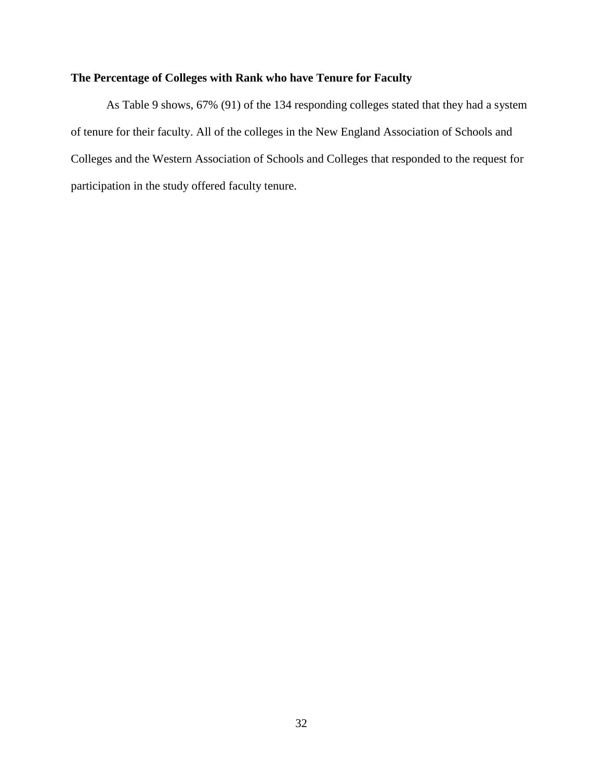# **The Percentage of Colleges with Rank who have Tenure for Faculty**

As Table 9 shows, 67% (91) of the 134 responding colleges stated that they had a system of tenure for their faculty. All of the colleges in the New England Association of Schools and Colleges and the Western Association of Schools and Colleges that responded to the request for participation in the study offered faculty tenure.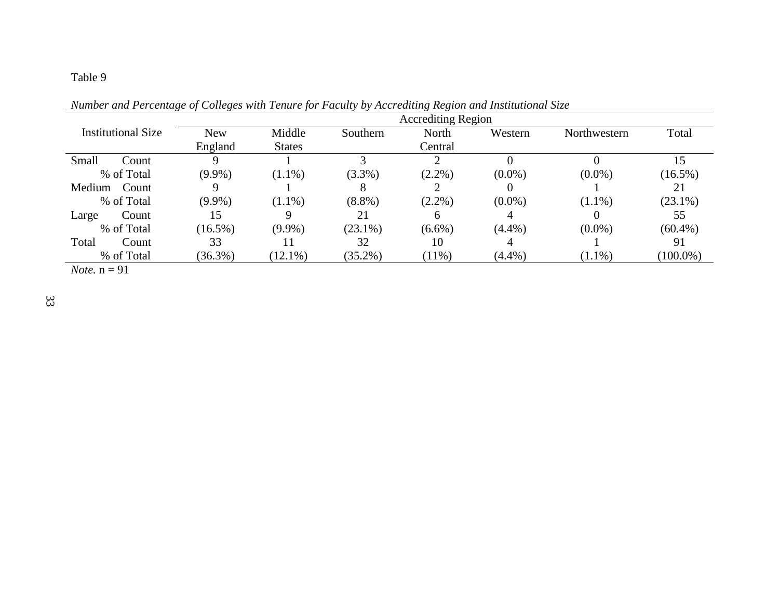|                             |            |               |            | <b>Accrediting Region</b> |           |              |             |
|-----------------------------|------------|---------------|------------|---------------------------|-----------|--------------|-------------|
| Institutional Size          | <b>New</b> | Middle        | Southern   | North                     | Western   | Northwestern | Total       |
|                             | England    | <b>States</b> |            | Central                   |           |              |             |
| Small<br>Count              |            |               | 3          |                           |           |              |             |
| % of Total                  | $(9.9\%)$  | $(1.1\%)$     | (3.3%)     | $(2.2\%)$                 | $(0.0\%)$ | $(0.0\%)$    | $(16.5\%)$  |
| Medium<br>Count             |            |               | 8          |                           |           |              | 21          |
| % of Total                  | $(9.9\%)$  | $(1.1\%)$     | $(8.8\%)$  | $(2.2\%)$                 | $(0.0\%)$ | $(1.1\%)$    | $(23.1\%)$  |
| Count<br>Large              | 15         | 9             | 21         | $\mathfrak b$             |           |              | 55          |
| % of Total                  | $(16.5\%)$ | $(9.9\%)$     | $(23.1\%)$ | $(6.6\%)$                 | $(4.4\%)$ | $(0.0\%)$    | $(60.4\%)$  |
| Total<br>Count              | 33         |               | 32         | 10                        |           |              | 91          |
| % of Total                  | $(36.3\%)$ | $(12.1\%)$    | $(35.2\%)$ | $(11\%)$                  | $(4.4\%)$ | $(1.1\%)$    | $(100.0\%)$ |
| $\mathbf{M}$ , $\mathbf{M}$ |            |               |            |                           |           |              |             |

*Number and Percentage of Colleges with Tenure for Faculty by Accrediting Region and Institutional Size* 

*Note.*  $n = 91$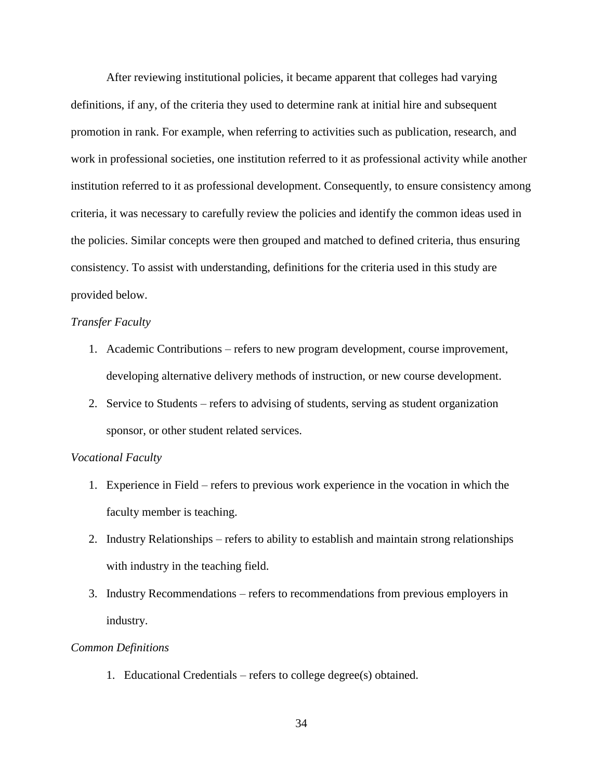After reviewing institutional policies, it became apparent that colleges had varying definitions, if any, of the criteria they used to determine rank at initial hire and subsequent promotion in rank. For example, when referring to activities such as publication, research, and work in professional societies, one institution referred to it as professional activity while another institution referred to it as professional development. Consequently, to ensure consistency among criteria, it was necessary to carefully review the policies and identify the common ideas used in the policies. Similar concepts were then grouped and matched to defined criteria, thus ensuring consistency. To assist with understanding, definitions for the criteria used in this study are provided below.

# *Transfer Faculty*

- 1. Academic Contributions refers to new program development, course improvement, developing alternative delivery methods of instruction, or new course development.
- 2. Service to Students refers to advising of students, serving as student organization sponsor, or other student related services.

## *Vocational Faculty*

- 1. Experience in Field refers to previous work experience in the vocation in which the faculty member is teaching.
- 2. Industry Relationships refers to ability to establish and maintain strong relationships with industry in the teaching field.
- 3. Industry Recommendations refers to recommendations from previous employers in industry.

#### *Common Definitions*

1. Educational Credentials – refers to college degree(s) obtained.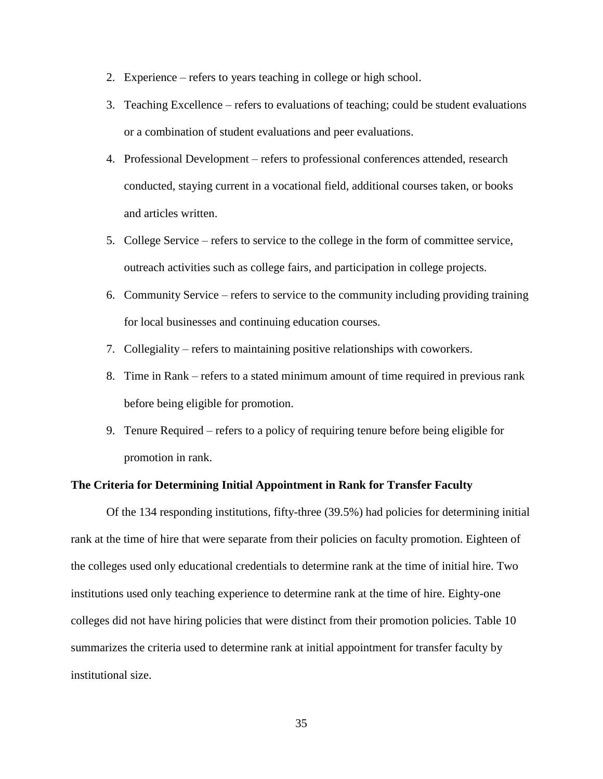- 2. Experience refers to years teaching in college or high school.
- 3. Teaching Excellence refers to evaluations of teaching; could be student evaluations or a combination of student evaluations and peer evaluations.
- 4. Professional Development refers to professional conferences attended, research conducted, staying current in a vocational field, additional courses taken, or books and articles written.
- 5. College Service refers to service to the college in the form of committee service, outreach activities such as college fairs, and participation in college projects.
- 6. Community Service refers to service to the community including providing training for local businesses and continuing education courses.
- 7. Collegiality refers to maintaining positive relationships with coworkers.
- 8. Time in Rank refers to a stated minimum amount of time required in previous rank before being eligible for promotion.
- 9. Tenure Required refers to a policy of requiring tenure before being eligible for promotion in rank.

## **The Criteria for Determining Initial Appointment in Rank for Transfer Faculty**

Of the 134 responding institutions, fifty-three (39.5%) had policies for determining initial rank at the time of hire that were separate from their policies on faculty promotion. Eighteen of the colleges used only educational credentials to determine rank at the time of initial hire. Two institutions used only teaching experience to determine rank at the time of hire. Eighty-one colleges did not have hiring policies that were distinct from their promotion policies. Table 10 summarizes the criteria used to determine rank at initial appointment for transfer faculty by institutional size.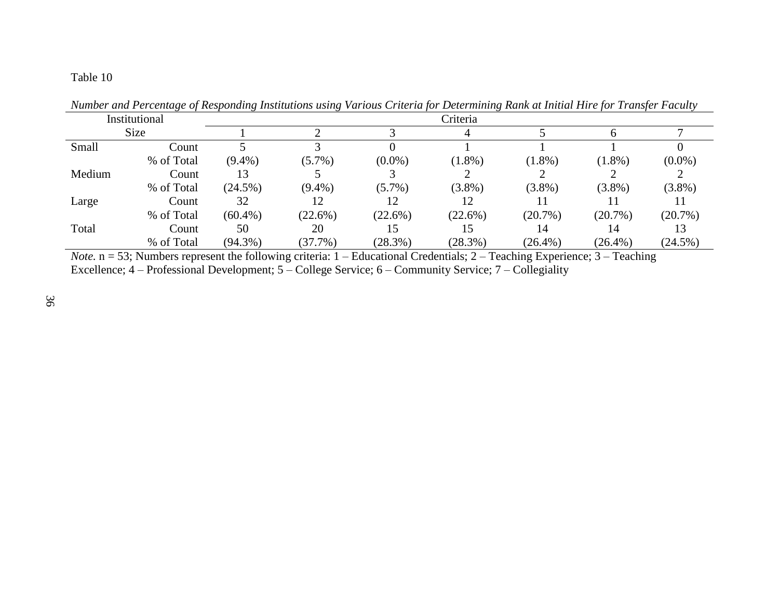| Institutional<br>Size |            | Criteria   |            |            |            |            |            |            |  |  |  |  |  |  |
|-----------------------|------------|------------|------------|------------|------------|------------|------------|------------|--|--|--|--|--|--|
|                       |            |            |            |            |            |            |            |            |  |  |  |  |  |  |
| Small                 | Count      |            |            |            |            |            |            |            |  |  |  |  |  |  |
|                       | % of Total | $(9.4\%)$  | $(5.7\%)$  | $(0.0\%)$  | $(1.8\%)$  | $(1.8\%)$  | $(1.8\%)$  | $(0.0\%)$  |  |  |  |  |  |  |
| Medium                | Count      | 13         |            |            |            |            |            |            |  |  |  |  |  |  |
|                       | % of Total | $(24.5\%)$ | $(9.4\%)$  | $(5.7\%)$  | $(3.8\%)$  | $(3.8\%)$  | $(3.8\%)$  | $(3.8\%)$  |  |  |  |  |  |  |
| Large                 | Count      | 32         | 12         |            | 12         |            |            |            |  |  |  |  |  |  |
|                       | % of Total | $(60.4\%)$ | $(22.6\%)$ | $(22.6\%)$ | $(22.6\%)$ | $(20.7\%)$ | $(20.7\%)$ | $(20.7\%)$ |  |  |  |  |  |  |
| Total                 | Count      | 50         | 20         |            | 15         | 14         | 14         |            |  |  |  |  |  |  |
|                       | % of Total | $(94.3\%)$ | (37.7%)    | $(28.3\%)$ | (28.3%)    | $(26.4\%)$ | $(26.4\%)$ | $(24.5\%)$ |  |  |  |  |  |  |

*Number and Percentage of Responding Institutions using Various Criteria for Determining Rank at Initial Hire for Transfer Faculty* 

*Note.*  $n = 53$ ; Numbers represent the following criteria: 1 – Educational Credentials; 2 – Teaching Experience; 3 – Teaching Excellence; 4 – Professional Development; 5 – College Service; 6 – Community Service; 7 – Collegiality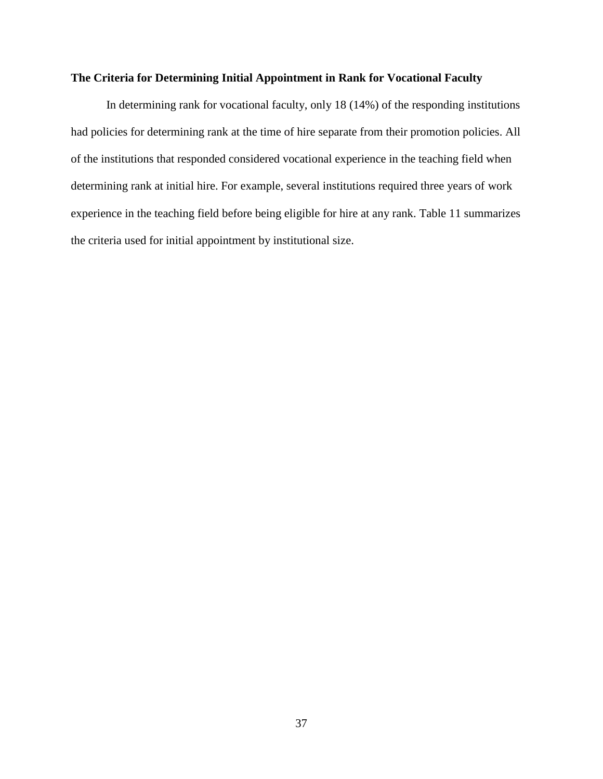# **The Criteria for Determining Initial Appointment in Rank for Vocational Faculty**

In determining rank for vocational faculty, only 18 (14%) of the responding institutions had policies for determining rank at the time of hire separate from their promotion policies. All of the institutions that responded considered vocational experience in the teaching field when determining rank at initial hire. For example, several institutions required three years of work experience in the teaching field before being eligible for hire at any rank. Table 11 summarizes the criteria used for initial appointment by institutional size.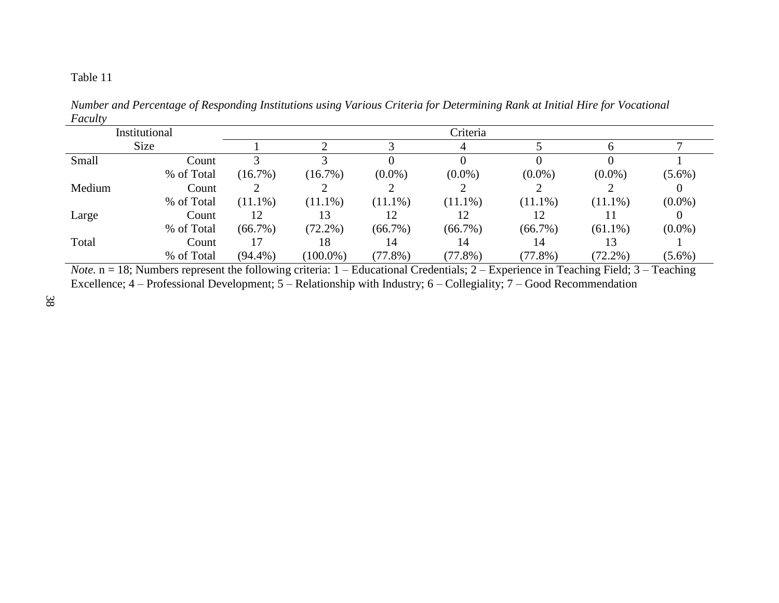| 1 acan y |               |            |             |            |            |            |            |           |
|----------|---------------|------------|-------------|------------|------------|------------|------------|-----------|
|          | Institutional |            |             |            | Criteria   |            |            |           |
|          | Size          |            |             |            |            |            |            |           |
| Small    | Count         |            |             |            |            |            |            |           |
|          | % of Total    | $(16.7\%)$ | $(16.7\%)$  | $(0.0\%)$  | $(0.0\%)$  | $(0.0\%)$  | $(0.0\%)$  | $(5.6\%)$ |
| Medium   | Count         |            |             |            |            |            |            |           |
|          | % of Total    | $(11.1\%)$ | $(11.1\%)$  | $(11.1\%)$ | $(11.1\%)$ | $(11.1\%)$ | $(11.1\%)$ | $(0.0\%)$ |
| Large    | Count         | 12         |             |            |            |            |            |           |
|          | % of Total    | $(66.7\%)$ | $(72.2\%)$  | $(66.7\%)$ | $(66.7\%)$ | $(66.7\%)$ | $(61.1\%)$ | $(0.0\%)$ |
| Total    | Count         | 17         | 18          | 14         | 14         | 14         |            |           |
|          | % of Total    | $(94.4\%)$ | $(100.0\%)$ | $(77.8\%)$ | $(77.8\%)$ | (77.8%)    | $(72.2\%)$ | $(5.6\%)$ |

*Number and Percentage of Responding Institutions using Various Criteria for Determining Rank at Initial Hire for Vocational Faculty* 

*Note.* n = 18; Numbers represent the following criteria: 1 – Educational Credentials; 2 – Experience in Teaching Field; 3 – Teaching Excellence; 4 – Professional Development; 5 – Relationship with Industry; 6 – Collegiality; 7 – Good Recommendation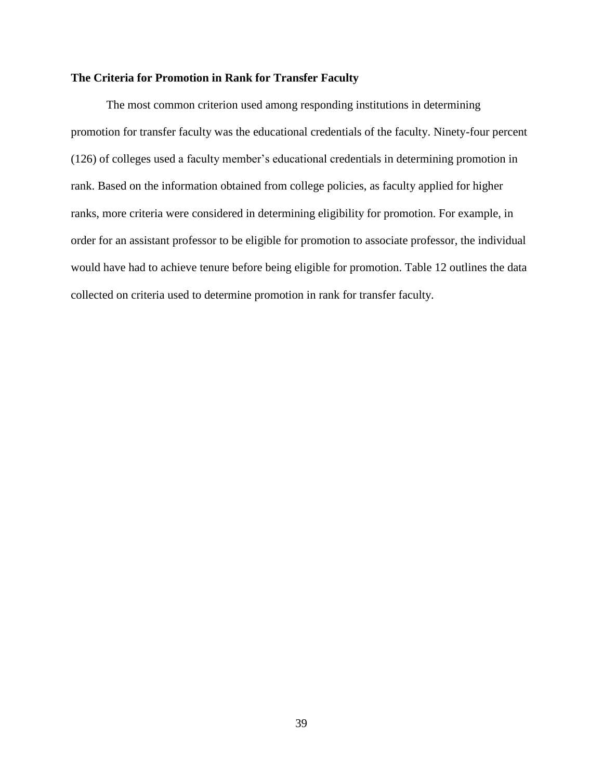# **The Criteria for Promotion in Rank for Transfer Faculty**

The most common criterion used among responding institutions in determining promotion for transfer faculty was the educational credentials of the faculty. Ninety-four percent (126) of colleges used a faculty member's educational credentials in determining promotion in rank. Based on the information obtained from college policies, as faculty applied for higher ranks, more criteria were considered in determining eligibility for promotion. For example, in order for an assistant professor to be eligible for promotion to associate professor, the individual would have had to achieve tenure before being eligible for promotion. Table 12 outlines the data collected on criteria used to determine promotion in rank for transfer faculty.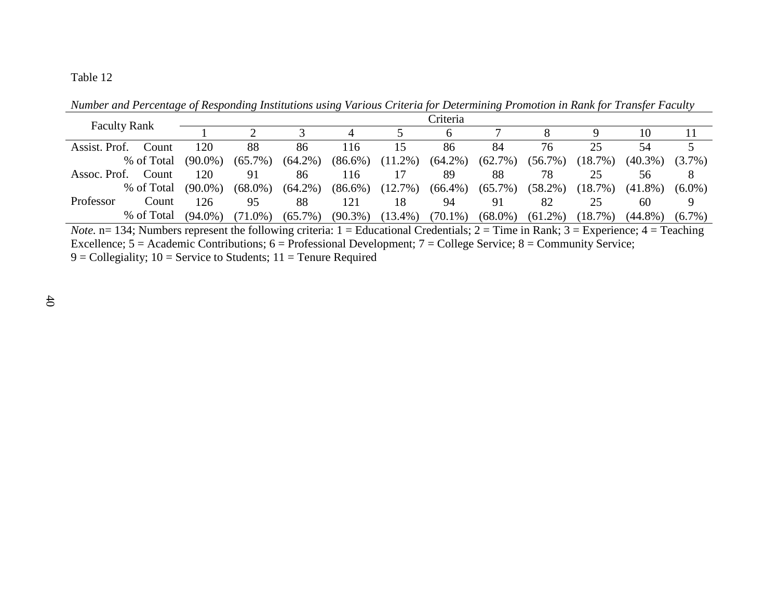Faculty Rank  $\frac{1}{1}$   $\frac{2}{3}$   $\frac{3}{4}$   $\frac{5}{5}$   $\frac{6}{6}$ 1 2 3 4 5 6 7 8 9 10 11 Assist. Prof. Count % of Total Assoc. Prof. Count % of Total Professor Count % of Total 120 (90.0%) 88 (65.7%) (64.2%) 86 116 (86.6%) 15 (11.2%) (64.2%) 86 84 (62.7%) 76 (56.7%) (18.7%) 25 54 (40.3%) 5 (3.7%) 120 (90.0%) 91 (68.0%) 86 (64.2%) 116  $(86.6\%)$ 17 (12.7%) (66.4%) 89 88  $(65.7\%)$ 78 (58.2%) (18.7%) 25 56 (41.8%) 8  $(6.0\%)$ 126 (94.0%) 95 (71.0%) 88 (65.7%) (90.3%) 121 18 (13.4%) 94 (70.1%) (68.0%) 91 82 (61.2%) (18.7%) 25 60 (44.8%) 9 (6.7%)

*Number and Percentage of Responding Institutions using Various Criteria for Determining Promotion in Rank for Transfer Faculty* 

*Note.*  $n= 134$ ; Numbers represent the following criteria:  $1 =$  Educational Credentials;  $2 =$  Time in Rank;  $3 =$  Experience;  $4 =$  Teaching Excellence;  $5 =$  Academic Contributions;  $6 =$  Professional Development;  $7 =$  College Service;  $8 =$  Community Service;  $9 =$  Collegiality; 10 = Service to Students; 11 = Tenure Required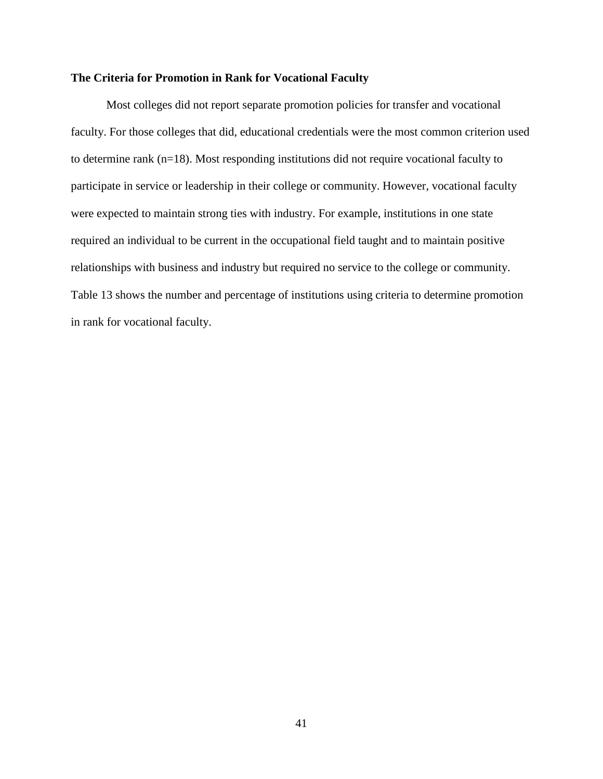#### **The Criteria for Promotion in Rank for Vocational Faculty**

Most colleges did not report separate promotion policies for transfer and vocational faculty. For those colleges that did, educational credentials were the most common criterion used to determine rank (n=18). Most responding institutions did not require vocational faculty to participate in service or leadership in their college or community. However, vocational faculty were expected to maintain strong ties with industry. For example, institutions in one state required an individual to be current in the occupational field taught and to maintain positive relationships with business and industry but required no service to the college or community. Table 13 shows the number and percentage of institutions using criteria to determine promotion in rank for vocational faculty.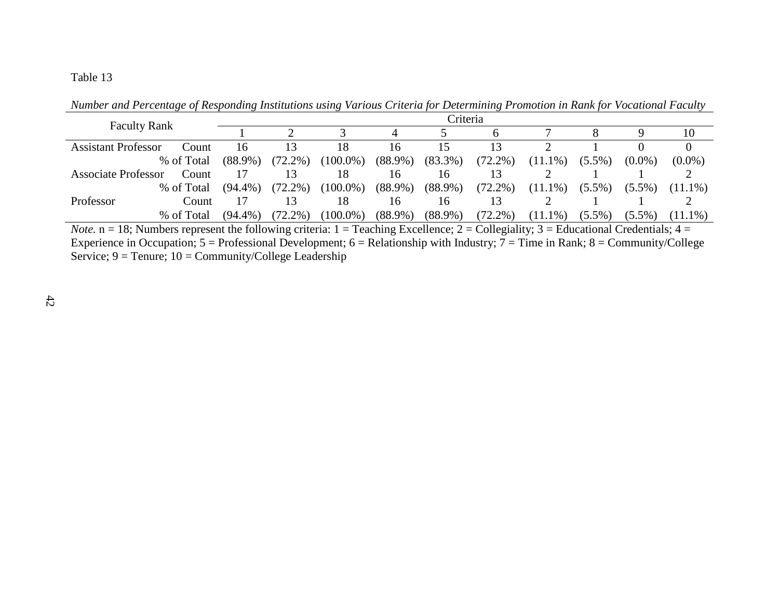|                                     |            | <b>Criteria</b> |             |            |            |            |            |           |           |            |  |  |  |
|-------------------------------------|------------|-----------------|-------------|------------|------------|------------|------------|-----------|-----------|------------|--|--|--|
| <b>Faculty Rank</b>                 |            |                 |             |            |            |            |            |           |           | 10         |  |  |  |
| Assistant Professor<br>Count        | 16         | 3               | 18          | 16         |            |            |            |           |           |            |  |  |  |
| % of Total                          | $(88.9\%)$ | $(72.2\%)$      | $(100.0\%)$ | $(88.9\%)$ | $(83.3\%)$ | $(72.2\%)$ | $(11.1\%)$ | $(5.5\%)$ | $(0.0\%)$ | $(0.0\%)$  |  |  |  |
| Count<br><b>Associate Professor</b> |            |                 | 18          | 16         | 16         |            |            |           |           |            |  |  |  |
| % of Total                          | $(94.4\%)$ | $(72.2\%)$      | $(100.0\%)$ | $(88.9\%)$ | $(88.9\%)$ | $(72.2\%)$ | $(11.1\%)$ | $(5.5\%)$ | $(5.5\%)$ | $(11.1\%)$ |  |  |  |
| Professor<br>Count                  |            | 13              | 18          | 16         | 16         |            |            |           |           |            |  |  |  |
| % of Total                          | $(94.4\%)$ | $(72.2\%)$      | $(100.0\%)$ | $(88.9\%)$ | $(88.9\%)$ | $(72.2\%)$ | $(11.1\%)$ | $(5.5\%)$ | $(5.5\%)$ | $(11.1\%)$ |  |  |  |

*Number and Percentage of Responding Institutions using Various Criteria for Determining Promotion in Rank for Vocational Faculty* 

*Note.* n = 18; Numbers represent the following criteria: 1 = Teaching Excellence; 2 = Collegiality; 3 = Educational Credentials; 4 = Experience in Occupation;  $5 =$  Professional Development;  $6 =$  Relationship with Industry;  $7 =$  Time in Rank;  $8 =$  Community/College Service;  $9 =$  Tenure;  $10 =$  Community/College Leadership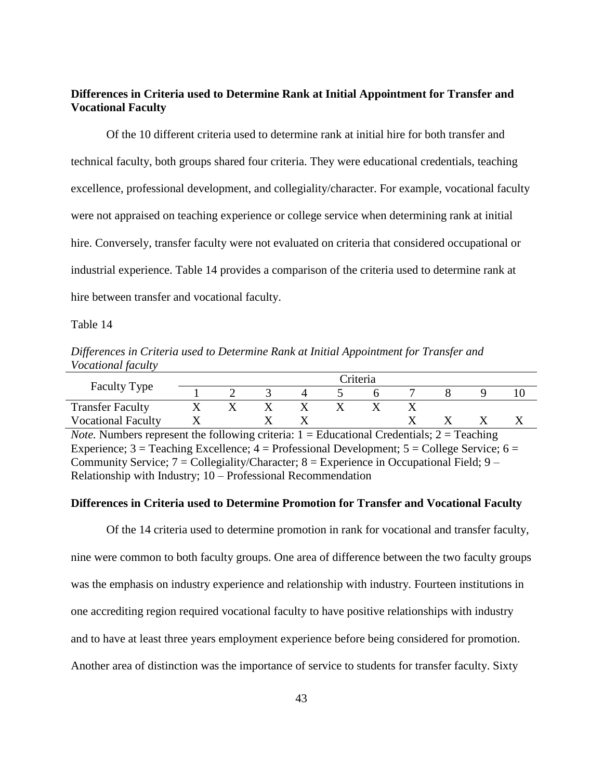# **Differences in Criteria used to Determine Rank at Initial Appointment for Transfer and Vocational Faculty**

Of the 10 different criteria used to determine rank at initial hire for both transfer and technical faculty, both groups shared four criteria. They were educational credentials, teaching excellence, professional development, and collegiality/character. For example, vocational faculty were not appraised on teaching experience or college service when determining rank at initial hire. Conversely, transfer faculty were not evaluated on criteria that considered occupational or industrial experience. Table 14 provides a comparison of the criteria used to determine rank at hire between transfer and vocational faculty.

Table 14

*Differences in Criteria used to Determine Rank at Initial Appointment for Transfer and Vocational faculty*

|                                                                                                      | Criteria                  |   |  |   |  |   |  |  |  |  |  |  |
|------------------------------------------------------------------------------------------------------|---------------------------|---|--|---|--|---|--|--|--|--|--|--|
| <b>Faculty Type</b>                                                                                  |                           |   |  |   |  | h |  |  |  |  |  |  |
| <b>Transfer Faculty</b>                                                                              | Х                         | X |  | X |  |   |  |  |  |  |  |  |
| <b>Vocational Faculty</b>                                                                            | $\boldsymbol{\mathrm{X}}$ |   |  |   |  |   |  |  |  |  |  |  |
| <i>Note.</i> Numbers represent the following criteria: $1 =$ Educational Credentials; $2 =$ Teaching |                           |   |  |   |  |   |  |  |  |  |  |  |
| Experience; $3 =$ Teaching Excellence; $4 =$ Professional Development; $5 =$ College Service; $6 =$  |                           |   |  |   |  |   |  |  |  |  |  |  |
| Community Service; $7 =$ Collegiality/Character; $8 =$ Experience in Occupational Field; $9 -$       |                           |   |  |   |  |   |  |  |  |  |  |  |
| Relationship with Industry; $10 -$ Professional Recommendation                                       |                           |   |  |   |  |   |  |  |  |  |  |  |

## **Differences in Criteria used to Determine Promotion for Transfer and Vocational Faculty**

Of the 14 criteria used to determine promotion in rank for vocational and transfer faculty, nine were common to both faculty groups. One area of difference between the two faculty groups was the emphasis on industry experience and relationship with industry. Fourteen institutions in one accrediting region required vocational faculty to have positive relationships with industry and to have at least three years employment experience before being considered for promotion. Another area of distinction was the importance of service to students for transfer faculty. Sixty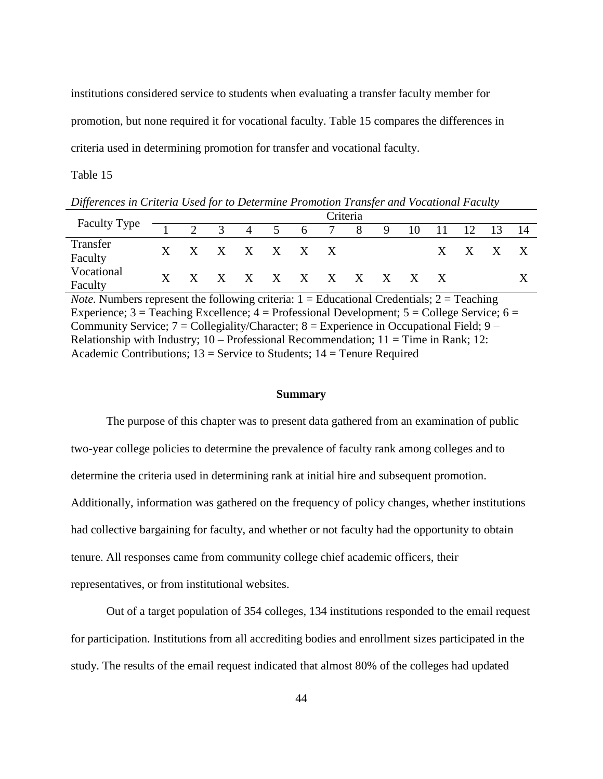institutions considered service to students when evaluating a transfer faculty member for promotion, but none required it for vocational faculty. Table 15 compares the differences in criteria used in determining promotion for transfer and vocational faculty.

Table 15

*Differences in Criteria Used for to Determine Promotion Transfer and Vocational Faculty* 

|                       |  |                             |  | Criteria |  |  |                                |  |
|-----------------------|--|-----------------------------|--|----------|--|--|--------------------------------|--|
| Faculty Type          |  |                             |  |          |  |  | 2 3 4 5 6 7 8 9 10 11 12 13 14 |  |
| Transfer<br>Faculty   |  | $X$ $X$ $X$ $X$ $X$ $X$ $X$ |  |          |  |  | X X X X                        |  |
| Vocational<br>Faculty |  | X X X X X X X X X X X X     |  |          |  |  |                                |  |

*Note.* Numbers represent the following criteria:  $1 =$  Educational Credentials;  $2 =$  Teaching Experience;  $3 =$  Teaching Excellence;  $4 =$  Professional Development;  $5 =$  College Service;  $6 =$ Community Service;  $7 =$  Collegiality/Character;  $8 =$  Experience in Occupational Field;  $9 -$ Relationship with Industry;  $10 -$ Professional Recommendation;  $11 =$ Time in Rank; 12: Academic Contributions;  $13$  = Service to Students;  $14$  = Tenure Required

## **Summary**

The purpose of this chapter was to present data gathered from an examination of public two-year college policies to determine the prevalence of faculty rank among colleges and to determine the criteria used in determining rank at initial hire and subsequent promotion. Additionally, information was gathered on the frequency of policy changes, whether institutions had collective bargaining for faculty, and whether or not faculty had the opportunity to obtain tenure. All responses came from community college chief academic officers, their representatives, or from institutional websites.

Out of a target population of 354 colleges, 134 institutions responded to the email request for participation. Institutions from all accrediting bodies and enrollment sizes participated in the study. The results of the email request indicated that almost 80% of the colleges had updated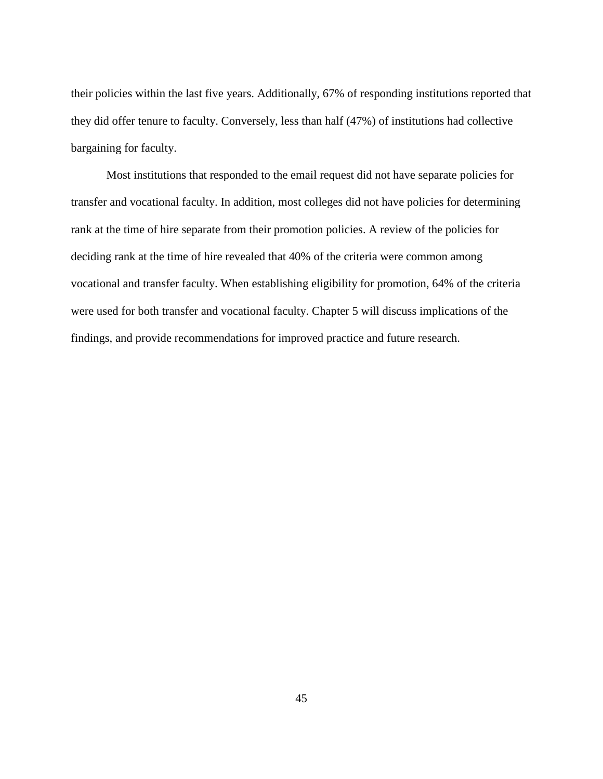their policies within the last five years. Additionally, 67% of responding institutions reported that they did offer tenure to faculty. Conversely, less than half (47%) of institutions had collective bargaining for faculty.

Most institutions that responded to the email request did not have separate policies for transfer and vocational faculty. In addition, most colleges did not have policies for determining rank at the time of hire separate from their promotion policies. A review of the policies for deciding rank at the time of hire revealed that 40% of the criteria were common among vocational and transfer faculty. When establishing eligibility for promotion, 64% of the criteria were used for both transfer and vocational faculty. Chapter 5 will discuss implications of the findings, and provide recommendations for improved practice and future research.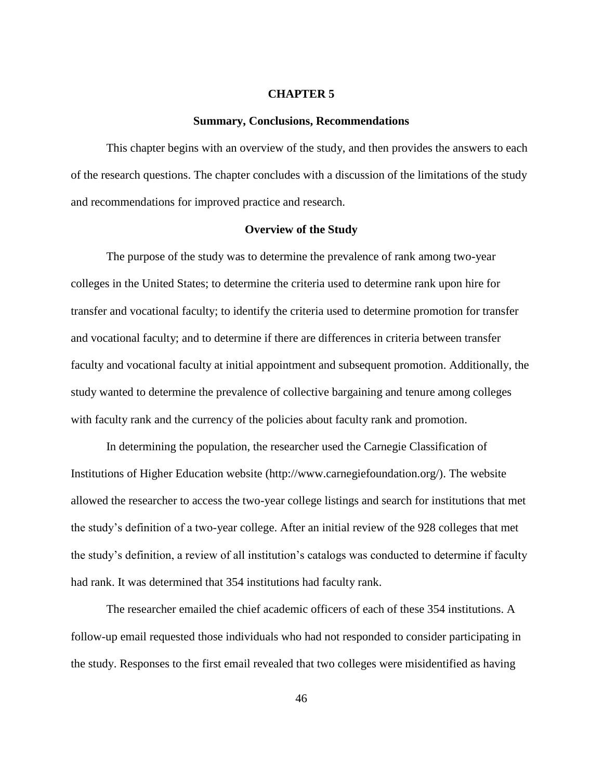## **CHAPTER 5**

#### **Summary, Conclusions, Recommendations**

This chapter begins with an overview of the study, and then provides the answers to each of the research questions. The chapter concludes with a discussion of the limitations of the study and recommendations for improved practice and research.

#### **Overview of the Study**

The purpose of the study was to determine the prevalence of rank among two-year colleges in the United States; to determine the criteria used to determine rank upon hire for transfer and vocational faculty; to identify the criteria used to determine promotion for transfer and vocational faculty; and to determine if there are differences in criteria between transfer faculty and vocational faculty at initial appointment and subsequent promotion. Additionally, the study wanted to determine the prevalence of collective bargaining and tenure among colleges with faculty rank and the currency of the policies about faculty rank and promotion.

In determining the population, the researcher used the Carnegie Classification of Institutions of Higher Education website (http://www.carnegiefoundation.org/). The website allowed the researcher to access the two-year college listings and search for institutions that met the study's definition of a two-year college. After an initial review of the 928 colleges that met the study's definition, a review of all institution's catalogs was conducted to determine if faculty had rank. It was determined that 354 institutions had faculty rank.

The researcher emailed the chief academic officers of each of these 354 institutions. A follow-up email requested those individuals who had not responded to consider participating in the study. Responses to the first email revealed that two colleges were misidentified as having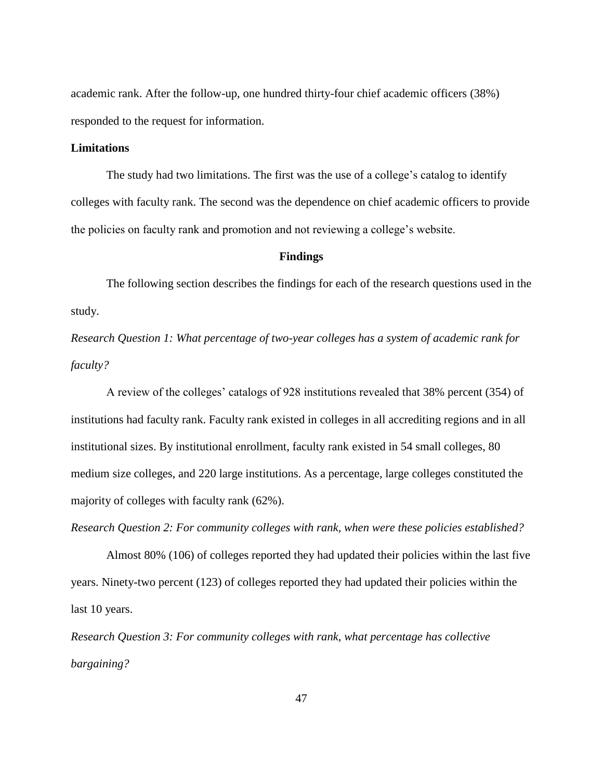academic rank. After the follow-up, one hundred thirty-four chief academic officers (38%) responded to the request for information.

# **Limitations**

The study had two limitations. The first was the use of a college's catalog to identify colleges with faculty rank. The second was the dependence on chief academic officers to provide the policies on faculty rank and promotion and not reviewing a college's website.

## **Findings**

The following section describes the findings for each of the research questions used in the study.

*Research Question 1: What percentage of two-year colleges has a system of academic rank for faculty?* 

A review of the colleges' catalogs of 928 institutions revealed that 38% percent (354) of institutions had faculty rank. Faculty rank existed in colleges in all accrediting regions and in all institutional sizes. By institutional enrollment, faculty rank existed in 54 small colleges, 80 medium size colleges, and 220 large institutions. As a percentage, large colleges constituted the majority of colleges with faculty rank (62%).

*Research Question 2: For community colleges with rank, when were these policies established?*

Almost 80% (106) of colleges reported they had updated their policies within the last five years. Ninety-two percent (123) of colleges reported they had updated their policies within the last 10 years.

*Research Question 3: For community colleges with rank, what percentage has collective bargaining?*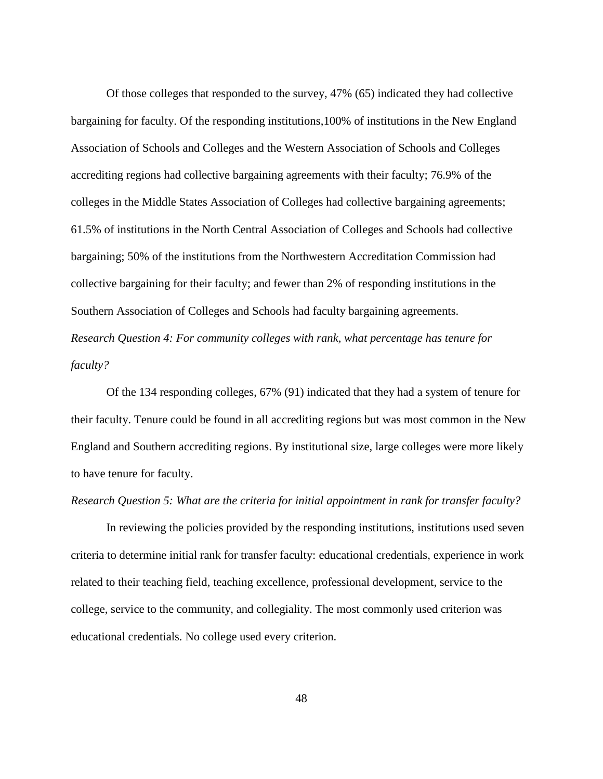Of those colleges that responded to the survey, 47% (65) indicated they had collective bargaining for faculty. Of the responding institutions,100% of institutions in the New England Association of Schools and Colleges and the Western Association of Schools and Colleges accrediting regions had collective bargaining agreements with their faculty; 76.9% of the colleges in the Middle States Association of Colleges had collective bargaining agreements; 61.5% of institutions in the North Central Association of Colleges and Schools had collective bargaining; 50% of the institutions from the Northwestern Accreditation Commission had collective bargaining for their faculty; and fewer than 2% of responding institutions in the Southern Association of Colleges and Schools had faculty bargaining agreements. *Research Question 4: For community colleges with rank, what percentage has tenure for faculty?*

Of the 134 responding colleges, 67% (91) indicated that they had a system of tenure for their faculty. Tenure could be found in all accrediting regions but was most common in the New England and Southern accrediting regions. By institutional size, large colleges were more likely to have tenure for faculty.

#### *Research Question 5: What are the criteria for initial appointment in rank for transfer faculty?*

In reviewing the policies provided by the responding institutions, institutions used seven criteria to determine initial rank for transfer faculty: educational credentials, experience in work related to their teaching field, teaching excellence, professional development, service to the college, service to the community, and collegiality. The most commonly used criterion was educational credentials. No college used every criterion.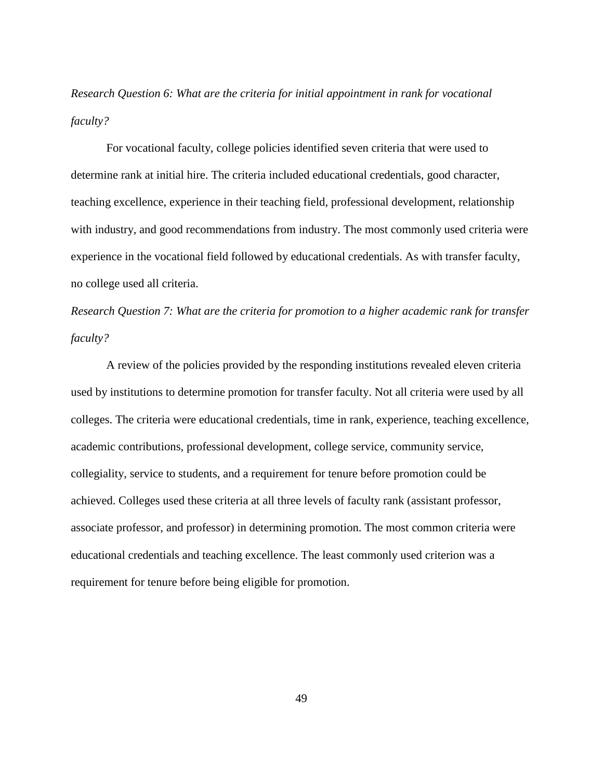*Research Question 6: What are the criteria for initial appointment in rank for vocational faculty?*

For vocational faculty, college policies identified seven criteria that were used to determine rank at initial hire. The criteria included educational credentials, good character, teaching excellence, experience in their teaching field, professional development, relationship with industry, and good recommendations from industry. The most commonly used criteria were experience in the vocational field followed by educational credentials. As with transfer faculty, no college used all criteria.

*Research Question 7: What are the criteria for promotion to a higher academic rank for transfer faculty?*

A review of the policies provided by the responding institutions revealed eleven criteria used by institutions to determine promotion for transfer faculty. Not all criteria were used by all colleges. The criteria were educational credentials, time in rank, experience, teaching excellence, academic contributions, professional development, college service, community service, collegiality, service to students, and a requirement for tenure before promotion could be achieved. Colleges used these criteria at all three levels of faculty rank (assistant professor, associate professor, and professor) in determining promotion. The most common criteria were educational credentials and teaching excellence. The least commonly used criterion was a requirement for tenure before being eligible for promotion.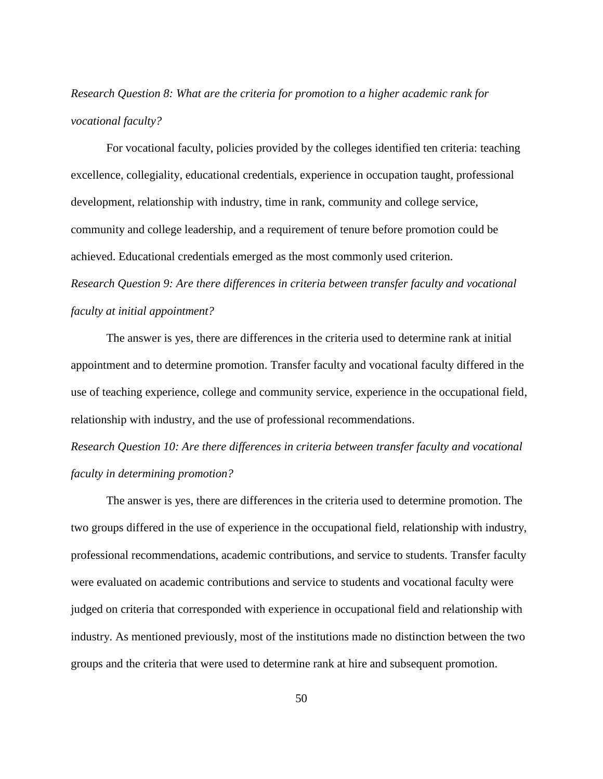# *Research Question 8: What are the criteria for promotion to a higher academic rank for vocational faculty?*

For vocational faculty, policies provided by the colleges identified ten criteria: teaching excellence, collegiality, educational credentials, experience in occupation taught, professional development, relationship with industry, time in rank, community and college service, community and college leadership, and a requirement of tenure before promotion could be achieved. Educational credentials emerged as the most commonly used criterion. *Research Question 9: Are there differences in criteria between transfer faculty and vocational faculty at initial appointment?* 

The answer is yes, there are differences in the criteria used to determine rank at initial appointment and to determine promotion. Transfer faculty and vocational faculty differed in the use of teaching experience, college and community service, experience in the occupational field, relationship with industry, and the use of professional recommendations.

*Research Question 10: Are there differences in criteria between transfer faculty and vocational faculty in determining promotion?* 

The answer is yes, there are differences in the criteria used to determine promotion. The two groups differed in the use of experience in the occupational field, relationship with industry, professional recommendations, academic contributions, and service to students. Transfer faculty were evaluated on academic contributions and service to students and vocational faculty were judged on criteria that corresponded with experience in occupational field and relationship with industry. As mentioned previously, most of the institutions made no distinction between the two groups and the criteria that were used to determine rank at hire and subsequent promotion.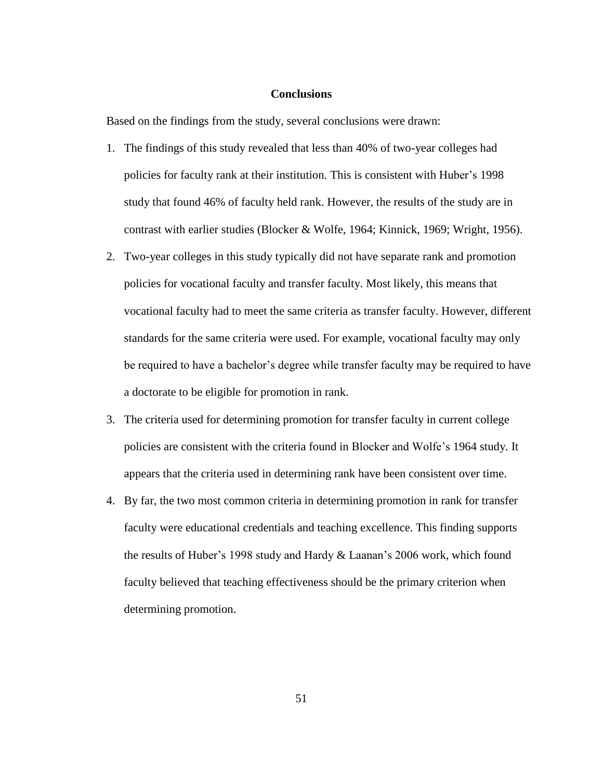# **Conclusions**

Based on the findings from the study, several conclusions were drawn:

- 1. The findings of this study revealed that less than 40% of two-year colleges had policies for faculty rank at their institution. This is consistent with Huber's 1998 study that found 46% of faculty held rank. However, the results of the study are in contrast with earlier studies (Blocker & Wolfe, 1964; Kinnick, 1969; Wright, 1956).
- 2. Two-year colleges in this study typically did not have separate rank and promotion policies for vocational faculty and transfer faculty. Most likely, this means that vocational faculty had to meet the same criteria as transfer faculty. However, different standards for the same criteria were used. For example, vocational faculty may only be required to have a bachelor's degree while transfer faculty may be required to have a doctorate to be eligible for promotion in rank.
- 3. The criteria used for determining promotion for transfer faculty in current college policies are consistent with the criteria found in Blocker and Wolfe's 1964 study. It appears that the criteria used in determining rank have been consistent over time.
- 4. By far, the two most common criteria in determining promotion in rank for transfer faculty were educational credentials and teaching excellence. This finding supports the results of Huber's 1998 study and Hardy & Laanan's 2006 work, which found faculty believed that teaching effectiveness should be the primary criterion when determining promotion.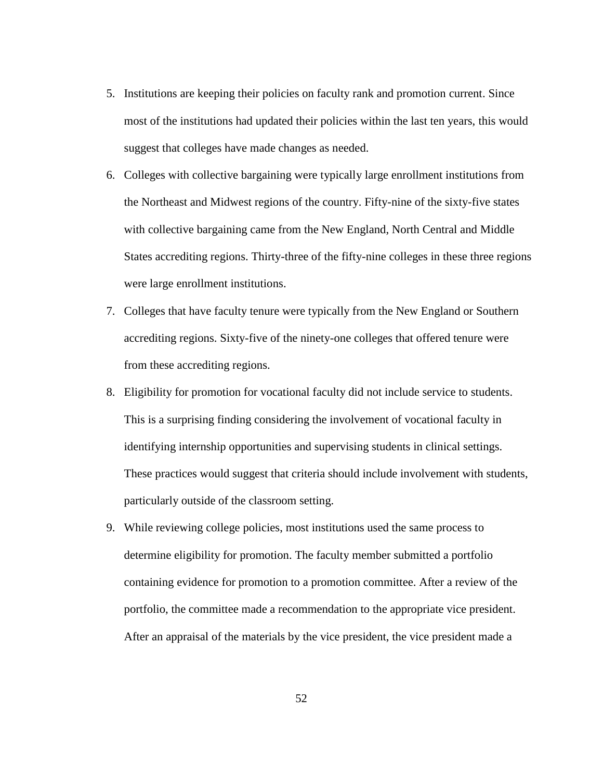- 5. Institutions are keeping their policies on faculty rank and promotion current. Since most of the institutions had updated their policies within the last ten years, this would suggest that colleges have made changes as needed.
- 6. Colleges with collective bargaining were typically large enrollment institutions from the Northeast and Midwest regions of the country. Fifty-nine of the sixty-five states with collective bargaining came from the New England, North Central and Middle States accrediting regions. Thirty-three of the fifty-nine colleges in these three regions were large enrollment institutions.
- 7. Colleges that have faculty tenure were typically from the New England or Southern accrediting regions. Sixty-five of the ninety-one colleges that offered tenure were from these accrediting regions.
- 8. Eligibility for promotion for vocational faculty did not include service to students. This is a surprising finding considering the involvement of vocational faculty in identifying internship opportunities and supervising students in clinical settings. These practices would suggest that criteria should include involvement with students, particularly outside of the classroom setting.
- 9. While reviewing college policies, most institutions used the same process to determine eligibility for promotion. The faculty member submitted a portfolio containing evidence for promotion to a promotion committee. After a review of the portfolio, the committee made a recommendation to the appropriate vice president. After an appraisal of the materials by the vice president, the vice president made a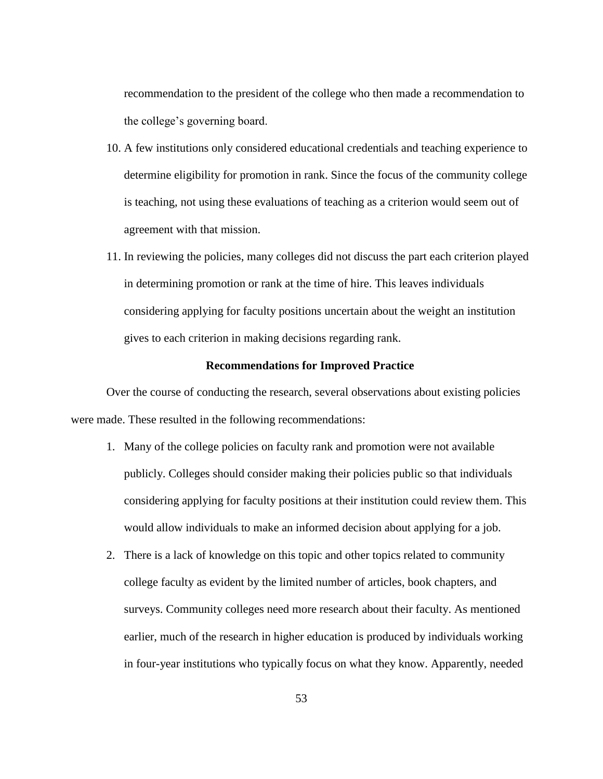recommendation to the president of the college who then made a recommendation to the college's governing board.

- 10. A few institutions only considered educational credentials and teaching experience to determine eligibility for promotion in rank. Since the focus of the community college is teaching, not using these evaluations of teaching as a criterion would seem out of agreement with that mission.
- 11. In reviewing the policies, many colleges did not discuss the part each criterion played in determining promotion or rank at the time of hire. This leaves individuals considering applying for faculty positions uncertain about the weight an institution gives to each criterion in making decisions regarding rank.

## **Recommendations for Improved Practice**

Over the course of conducting the research, several observations about existing policies were made. These resulted in the following recommendations:

- 1. Many of the college policies on faculty rank and promotion were not available publicly. Colleges should consider making their policies public so that individuals considering applying for faculty positions at their institution could review them. This would allow individuals to make an informed decision about applying for a job.
- 2. There is a lack of knowledge on this topic and other topics related to community college faculty as evident by the limited number of articles, book chapters, and surveys. Community colleges need more research about their faculty. As mentioned earlier, much of the research in higher education is produced by individuals working in four-year institutions who typically focus on what they know. Apparently, needed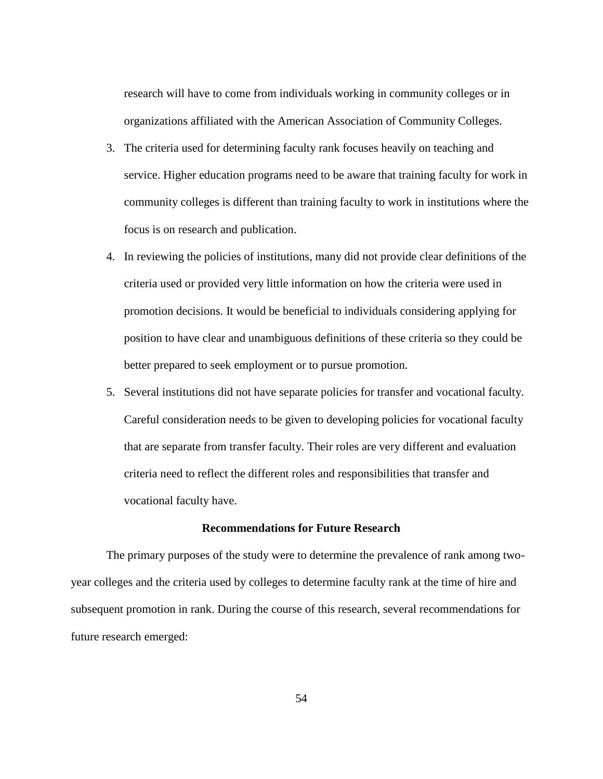research will have to come from individuals working in community colleges or in organizations affiliated with the American Association of Community Colleges.

- 3. The criteria used for determining faculty rank focuses heavily on teaching and service. Higher education programs need to be aware that training faculty for work in community colleges is different than training faculty to work in institutions where the focus is on research and publication.
- 4. In reviewing the policies of institutions, many did not provide clear definitions of the criteria used or provided very little information on how the criteria were used in promotion decisions. It would be beneficial to individuals considering applying for position to have clear and unambiguous definitions of these criteria so they could be better prepared to seek employment or to pursue promotion.
- 5. Several institutions did not have separate policies for transfer and vocational faculty. Careful consideration needs to be given to developing policies for vocational faculty that are separate from transfer faculty. Their roles are very different and evaluation criteria need to reflect the different roles and responsibilities that transfer and vocational faculty have.

## **Recommendations for Future Research**

The primary purposes of the study were to determine the prevalence of rank among twoyear colleges and the criteria used by colleges to determine faculty rank at the time of hire and subsequent promotion in rank. During the course of this research, several recommendations for future research emerged: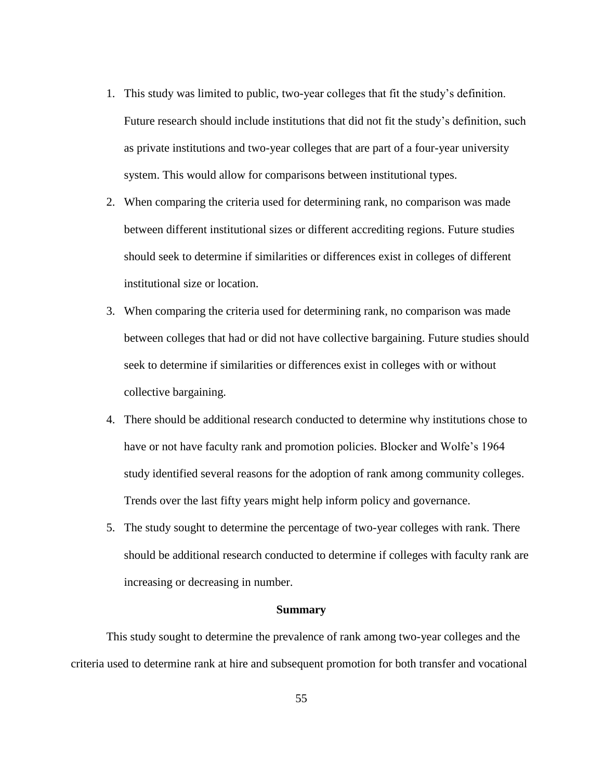- 1. This study was limited to public, two-year colleges that fit the study's definition. Future research should include institutions that did not fit the study's definition, such as private institutions and two-year colleges that are part of a four-year university system. This would allow for comparisons between institutional types.
- 2. When comparing the criteria used for determining rank, no comparison was made between different institutional sizes or different accrediting regions. Future studies should seek to determine if similarities or differences exist in colleges of different institutional size or location.
- 3. When comparing the criteria used for determining rank, no comparison was made between colleges that had or did not have collective bargaining. Future studies should seek to determine if similarities or differences exist in colleges with or without collective bargaining.
- 4. There should be additional research conducted to determine why institutions chose to have or not have faculty rank and promotion policies. Blocker and Wolfe's 1964 study identified several reasons for the adoption of rank among community colleges. Trends over the last fifty years might help inform policy and governance.
- 5. The study sought to determine the percentage of two-year colleges with rank. There should be additional research conducted to determine if colleges with faculty rank are increasing or decreasing in number.

#### **Summary**

This study sought to determine the prevalence of rank among two-year colleges and the criteria used to determine rank at hire and subsequent promotion for both transfer and vocational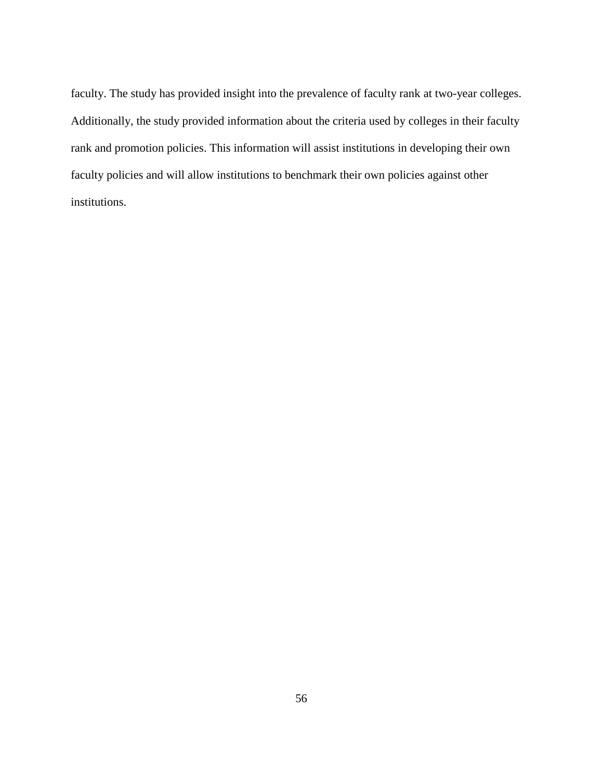faculty. The study has provided insight into the prevalence of faculty rank at two-year colleges. Additionally, the study provided information about the criteria used by colleges in their faculty rank and promotion policies. This information will assist institutions in developing their own faculty policies and will allow institutions to benchmark their own policies against other institutions.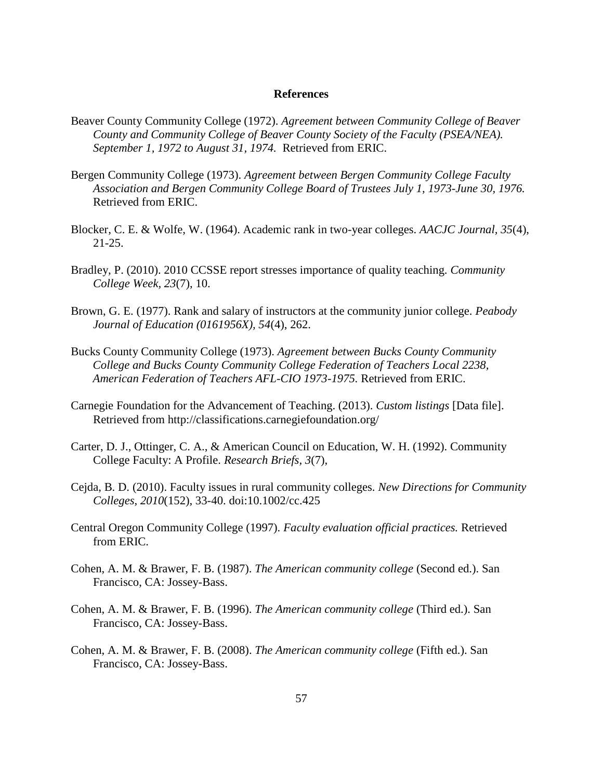#### **References**

- Beaver County Community College (1972). *Agreement between Community College of Beaver County and Community College of Beaver County Society of the Faculty (PSEA/NEA). September 1, 1972 to August 31, 1974.* Retrieved from ERIC.
- Bergen Community College (1973). *Agreement between Bergen Community College Faculty Association and Bergen Community College Board of Trustees July 1, 1973-June 30, 1976.*  Retrieved from ERIC.
- Blocker, C. E. & Wolfe, W. (1964). Academic rank in two-year colleges. *AACJC Journal, 35*(4), 21-25.
- Bradley, P. (2010). 2010 CCSSE report stresses importance of quality teaching. *Community College Week, 23*(7), 10.
- Brown, G. E. (1977). Rank and salary of instructors at the community junior college. *Peabody Journal of Education (0161956X), 54*(4), 262.
- Bucks County Community College (1973). *Agreement between Bucks County Community College and Bucks County Community College Federation of Teachers Local 2238, American Federation of Teachers AFL-CIO 1973-1975.* Retrieved from ERIC.
- Carnegie Foundation for the Advancement of Teaching. (2013). *Custom listings* [Data file]. Retrieved from http://classifications.carnegiefoundation.org/
- Carter, D. J., Ottinger, C. A., & American Council on Education, W. H. (1992). Community College Faculty: A Profile. *Research Briefs, 3*(7),
- Cejda, B. D. (2010). Faculty issues in rural community colleges. *New Directions for Community Colleges*, *2010*(152), 33-40. doi:10.1002/cc.425
- Central Oregon Community College (1997). *Faculty evaluation official practices.* Retrieved from ERIC.
- Cohen, A. M. & Brawer, F. B. (1987). *The American community college* (Second ed.). San Francisco, CA: Jossey-Bass.
- Cohen, A. M. & Brawer, F. B. (1996). *The American community college* (Third ed.). San Francisco, CA: Jossey-Bass.
- Cohen, A. M. & Brawer, F. B. (2008). *The American community college* (Fifth ed.). San Francisco, CA: Jossey-Bass.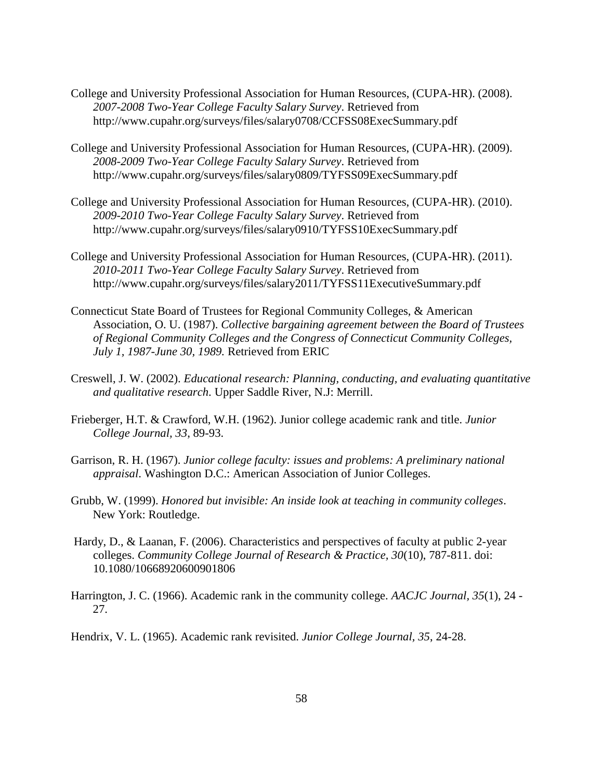- College and University Professional Association for Human Resources, (CUPA-HR). (2008). *2007-2008 Two-Year College Faculty Salary Survey*. Retrieved from http://www.cupahr.org/surveys/files/salary0708/CCFSS08ExecSummary.pdf
- College and University Professional Association for Human Resources, (CUPA-HR). (2009). *2008-2009 Two-Year College Faculty Salary Survey*. Retrieved from http://www.cupahr.org/surveys/files/salary0809/TYFSS09ExecSummary.pdf
- College and University Professional Association for Human Resources, (CUPA-HR). (2010). *2009-2010 Two-Year College Faculty Salary Survey*. Retrieved from http://www.cupahr.org/surveys/files/salary0910/TYFSS10ExecSummary.pdf
- College and University Professional Association for Human Resources, (CUPA-HR). (2011). *2010-2011 Two-Year College Faculty Salary Survey*. Retrieved from http://www.cupahr.org/surveys/files/salary2011/TYFSS11ExecutiveSummary.pdf
- Connecticut State Board of Trustees for Regional Community Colleges, & American Association, O. U. (1987). *Collective bargaining agreement between the Board of Trustees of Regional Community Colleges and the Congress of Connecticut Community Colleges, July 1, 1987-June 30, 1989.* Retrieved from ERIC
- Creswell, J. W. (2002). *Educational research: Planning, conducting, and evaluating quantitative and qualitative research*. Upper Saddle River, N.J: Merrill.
- Frieberger, H.T. & Crawford, W.H. (1962). Junior college academic rank and title. *Junior College Journal, 33*, 89-93.
- Garrison, R. H. (1967). *Junior college faculty: issues and problems: A preliminary national appraisal*. Washington D.C.: American Association of Junior Colleges.
- Grubb, W. (1999). *Honored but invisible: An inside look at teaching in community colleges*. New York: Routledge.
- Hardy, D., & Laanan, F. (2006). Characteristics and perspectives of faculty at public 2-year colleges. *Community College Journal of Research & Practice, 30*(10), 787-811. doi: 10.1080/10668920600901806
- Harrington, J. C. (1966). Academic rank in the community college. *AACJC Journal, 35*(1), 24 27.
- Hendrix, V. L. (1965). Academic rank revisited. *Junior College Journal, 35*, 24-28.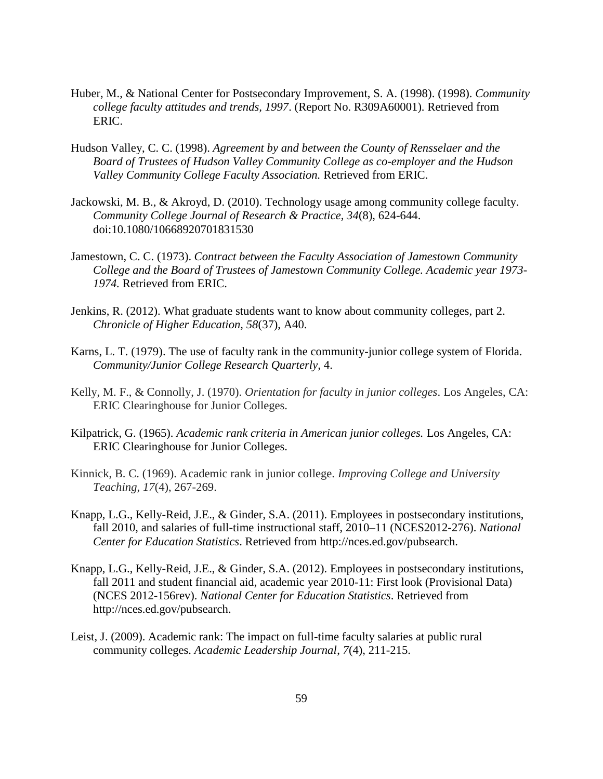- Huber, M., & National Center for Postsecondary Improvement, S. A. (1998). (1998). *Community college faculty attitudes and trends, 1997*. (Report No. R309A60001). Retrieved from ERIC.
- Hudson Valley, C. C. (1998). *Agreement by and between the County of Rensselaer and the Board of Trustees of Hudson Valley Community College as co-employer and the Hudson Valley Community College Faculty Association.* Retrieved from ERIC.
- Jackowski, M. B., & Akroyd, D. (2010). Technology usage among community college faculty. *Community College Journal of Research & Practice, 34*(8), 624-644. doi:10.1080/10668920701831530
- Jamestown, C. C. (1973). *Contract between the Faculty Association of Jamestown Community College and the Board of Trustees of Jamestown Community College. Academic year 1973- 1974.* Retrieved from ERIC.
- Jenkins, R. (2012). What graduate students want to know about community colleges, part 2. *Chronicle of Higher Education, 58*(37), A40.
- Karns, L. T. (1979). The use of faculty rank in the community-junior college system of Florida. *Community/Junior College Research Quarterly,* 4.
- Kelly, M. F., & Connolly, J. (1970). *Orientation for faculty in junior colleges*. Los Angeles, CA: ERIC Clearinghouse for Junior Colleges.
- Kilpatrick, G. (1965). *Academic rank criteria in American junior colleges.* Los Angeles, CA: ERIC Clearinghouse for Junior Colleges.
- Kinnick, B. C. (1969). Academic rank in junior college. *Improving College and University Teaching*, *17*(4), 267-269.
- Knapp, L.G., Kelly-Reid, J.E., & Ginder, S.A. (2011). Employees in postsecondary institutions, fall 2010, and salaries of full-time instructional staff, 2010–11 (NCES2012-276). *National Center for Education Statistics*. Retrieved from http://nces.ed.gov/pubsearch.
- Knapp, L.G., Kelly-Reid, J.E., & Ginder, S.A. (2012). Employees in postsecondary institutions, fall 2011 and student financial aid, academic year 2010-11: First look (Provisional Data) (NCES 2012-156rev). *National Center for Education Statistics*. Retrieved from http://nces.ed.gov/pubsearch.
- Leist, J. (2009). Academic rank: The impact on full-time faculty salaries at public rural community colleges. *Academic Leadership Journal*, *7*(4), 211-215.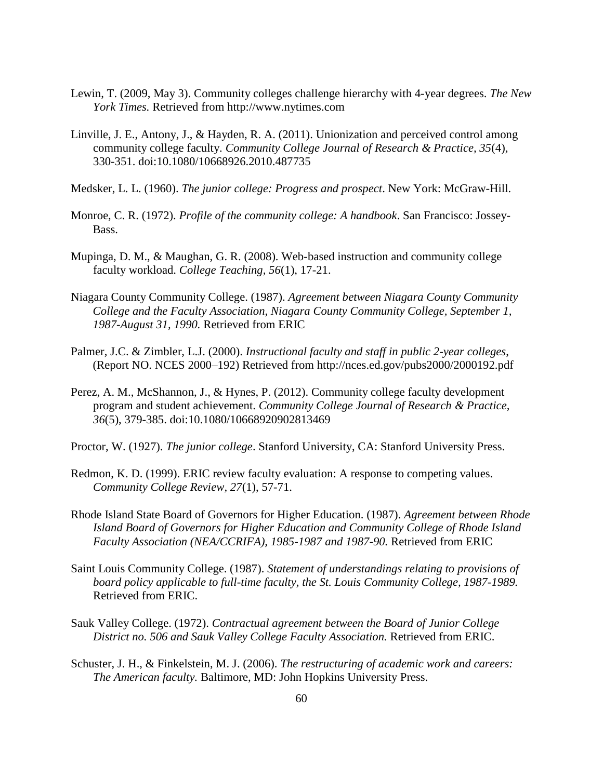- Lewin, T. (2009, May 3). Community colleges challenge hierarchy with 4-year degrees. *The New York Times.* Retrieved from http://www.nytimes.com
- Linville, J. E., Antony, J., & Hayden, R. A. (2011). Unionization and perceived control among community college faculty. *Community College Journal of Research & Practice, 35*(4), 330-351. doi:10.1080/10668926.2010.487735
- Medsker, L. L. (1960). *The junior college: Progress and prospect*. New York: McGraw-Hill.
- Monroe, C. R. (1972). *Profile of the community college: A handbook*. San Francisco: Jossey-Bass.
- Mupinga, D. M., & Maughan, G. R. (2008). Web-based instruction and community college faculty workload. *College Teaching, 56*(1), 17-21.
- Niagara County Community College. (1987). *Agreement between Niagara County Community College and the Faculty Association, Niagara County Community College, September 1, 1987-August 31, 1990.* Retrieved from ERIC
- Palmer, J.C. & Zimbler, L.J. (2000). *Instructional faculty and staff in public 2-year colleges*, (Report NO. NCES 2000–192) Retrieved from http://nces.ed.gov/pubs2000/2000192.pdf
- Perez, A. M., McShannon, J., & Hynes, P. (2012). Community college faculty development program and student achievement. *Community College Journal of Research & Practice, 36*(5), 379-385. doi:10.1080/10668920902813469
- Proctor, W. (1927). *The junior college*. Stanford University, CA: Stanford University Press.
- Redmon, K. D. (1999). ERIC review faculty evaluation: A response to competing values. *Community College Review, 27*(1), 57-71.
- Rhode Island State Board of Governors for Higher Education. (1987). *Agreement between Rhode Island Board of Governors for Higher Education and Community College of Rhode Island Faculty Association (NEA/CCRIFA), 1985-1987 and 1987-90.* Retrieved from ERIC
- Saint Louis Community College. (1987). *Statement of understandings relating to provisions of board policy applicable to full-time faculty, the St. Louis Community College, 1987-1989.* Retrieved from ERIC.
- Sauk Valley College. (1972). *Contractual agreement between the Board of Junior College District no. 506 and Sauk Valley College Faculty Association.* Retrieved from ERIC.
- Schuster, J. H., & Finkelstein, M. J. (2006). *The restructuring of academic work and careers: The American faculty.* Baltimore, MD: John Hopkins University Press.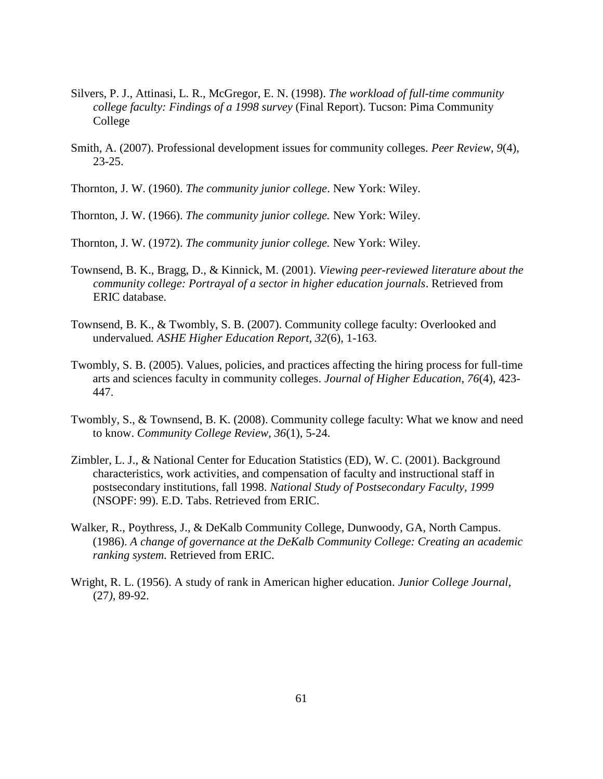- Silvers, P. J., Attinasi, L. R., McGregor, E. N. (1998). *The workload of full-time community college faculty: Findings of a 1998 survey* (Final Report). Tucson: Pima Community College
- Smith, A. (2007). Professional development issues for community colleges. *Peer Review, 9*(4), 23-25.

Thornton, J. W. (1960). *The community junior college*. New York: Wiley.

Thornton, J. W. (1966). *The community junior college.* New York: Wiley.

Thornton, J. W. (1972). *The community junior college.* New York: Wiley.

- Townsend, B. K., Bragg, D., & Kinnick, M. (2001). *Viewing peer-reviewed literature about the community college: Portrayal of a sector in higher education journals*. Retrieved from ERIC database.
- Townsend, B. K., & Twombly, S. B. (2007). Community college faculty: Overlooked and undervalued*. ASHE Higher Education Report, 32*(6), 1-163.
- Twombly, S. B. (2005). Values, policies, and practices affecting the hiring process for full-time arts and sciences faculty in community colleges. *Journal of Higher Education, 76*(4), 423- 447.
- Twombly, S., & Townsend, B. K. (2008). Community college faculty: What we know and need to know. *Community College Review, 36*(1), 5-24.
- Zimbler, L. J., & National Center for Education Statistics (ED), W. C. (2001). Background characteristics, work activities, and compensation of faculty and instructional staff in postsecondary institutions, fall 1998. *National Study of Postsecondary Faculty, 1999* (NSOPF: 99). E.D. Tabs. Retrieved from ERIC.
- Walker, R., Poythress, J., & DeKalb Community College, Dunwoody, GA, North Campus. (1986). *A change of governance at the DeKalb Community College: Creating an academic ranking system.* Retrieved from ERIC.
- Wright, R. L. (1956). A study of rank in American higher education. *Junior College Journal,*  (27*),* 89-92.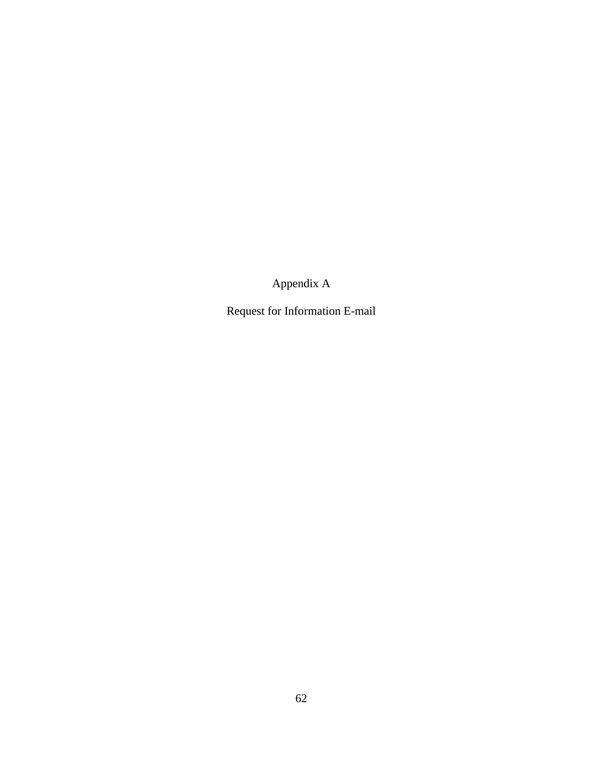Appendix A

Request for Information E-mail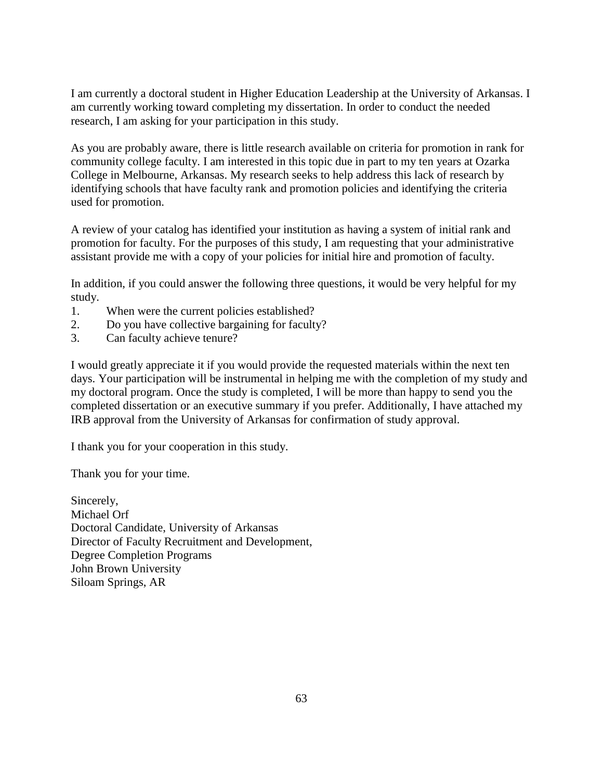I am currently a doctoral student in Higher Education Leadership at the University of Arkansas. I am currently working toward completing my dissertation. In order to conduct the needed research, I am asking for your participation in this study.

As you are probably aware, there is little research available on criteria for promotion in rank for community college faculty. I am interested in this topic due in part to my ten years at Ozarka College in Melbourne, Arkansas. My research seeks to help address this lack of research by identifying schools that have faculty rank and promotion policies and identifying the criteria used for promotion.

A review of your catalog has identified your institution as having a system of initial rank and promotion for faculty. For the purposes of this study, I am requesting that your administrative assistant provide me with a copy of your policies for initial hire and promotion of faculty.

In addition, if you could answer the following three questions, it would be very helpful for my study.

- 1. When were the current policies established?
- 2. Do you have collective bargaining for faculty?
- 3. Can faculty achieve tenure?

I would greatly appreciate it if you would provide the requested materials within the next ten days. Your participation will be instrumental in helping me with the completion of my study and my doctoral program. Once the study is completed, I will be more than happy to send you the completed dissertation or an executive summary if you prefer. Additionally, I have attached my IRB approval from the University of Arkansas for confirmation of study approval.

I thank you for your cooperation in this study.

Thank you for your time.

Sincerely, Michael Orf Doctoral Candidate, University of Arkansas Director of Faculty Recruitment and Development, Degree Completion Programs John Brown University Siloam Springs, AR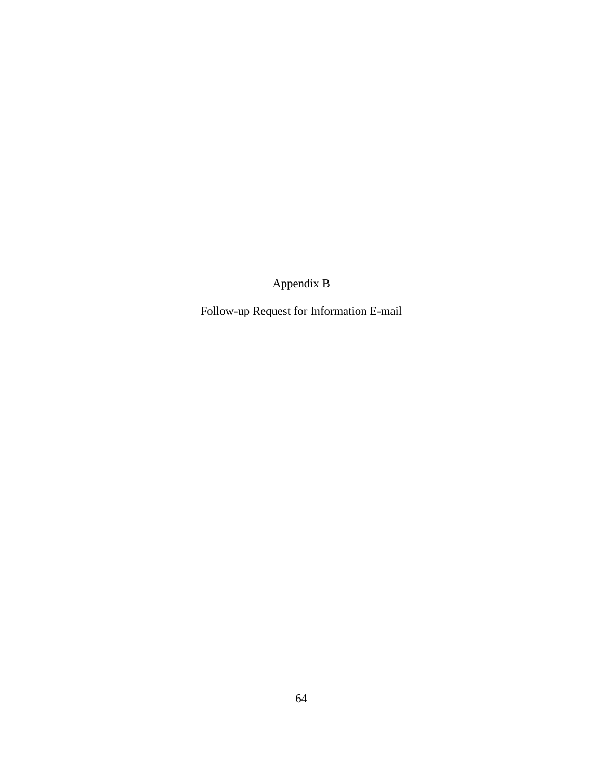Appendix B

Follow-up Request for Information E-mail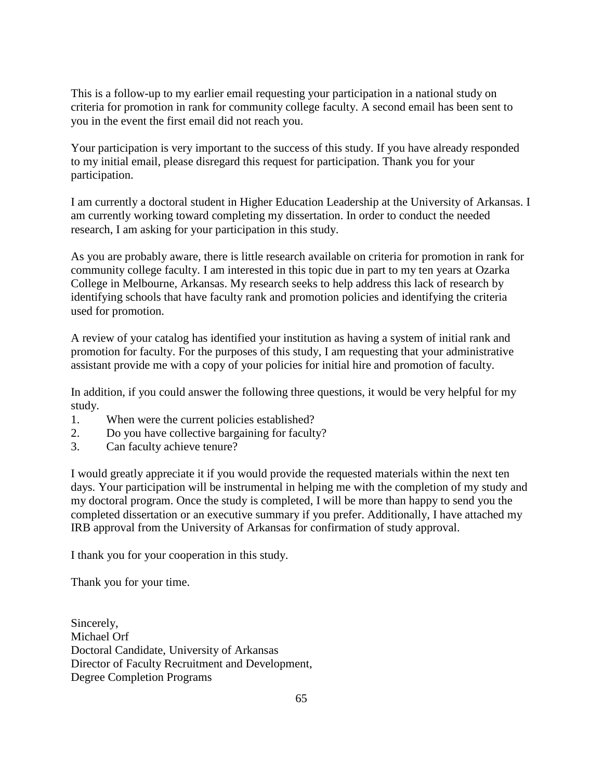This is a follow-up to my earlier email requesting your participation in a national study on criteria for promotion in rank for community college faculty. A second email has been sent to you in the event the first email did not reach you.

Your participation is very important to the success of this study. If you have already responded to my initial email, please disregard this request for participation. Thank you for your participation.

I am currently a doctoral student in Higher Education Leadership at the University of Arkansas. I am currently working toward completing my dissertation. In order to conduct the needed research, I am asking for your participation in this study.

As you are probably aware, there is little research available on criteria for promotion in rank for community college faculty. I am interested in this topic due in part to my ten years at Ozarka College in Melbourne, Arkansas. My research seeks to help address this lack of research by identifying schools that have faculty rank and promotion policies and identifying the criteria used for promotion.

A review of your catalog has identified your institution as having a system of initial rank and promotion for faculty. For the purposes of this study, I am requesting that your administrative assistant provide me with a copy of your policies for initial hire and promotion of faculty.

In addition, if you could answer the following three questions, it would be very helpful for my study.

- 1. When were the current policies established?
- 2. Do you have collective bargaining for faculty?
- 3. Can faculty achieve tenure?

I would greatly appreciate it if you would provide the requested materials within the next ten days. Your participation will be instrumental in helping me with the completion of my study and my doctoral program. Once the study is completed, I will be more than happy to send you the completed dissertation or an executive summary if you prefer. Additionally, I have attached my IRB approval from the University of Arkansas for confirmation of study approval.

I thank you for your cooperation in this study.

Thank you for your time.

Sincerely, Michael Orf Doctoral Candidate, University of Arkansas Director of Faculty Recruitment and Development, Degree Completion Programs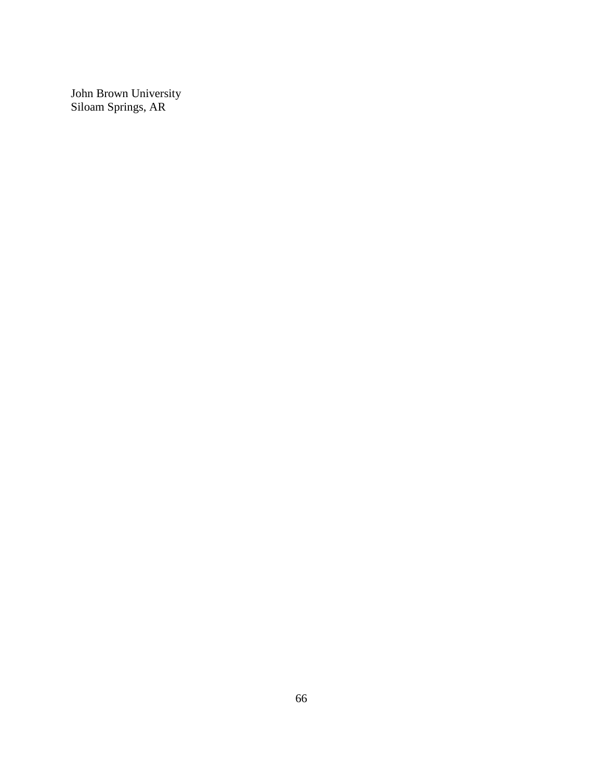John Brown University Siloam Springs, AR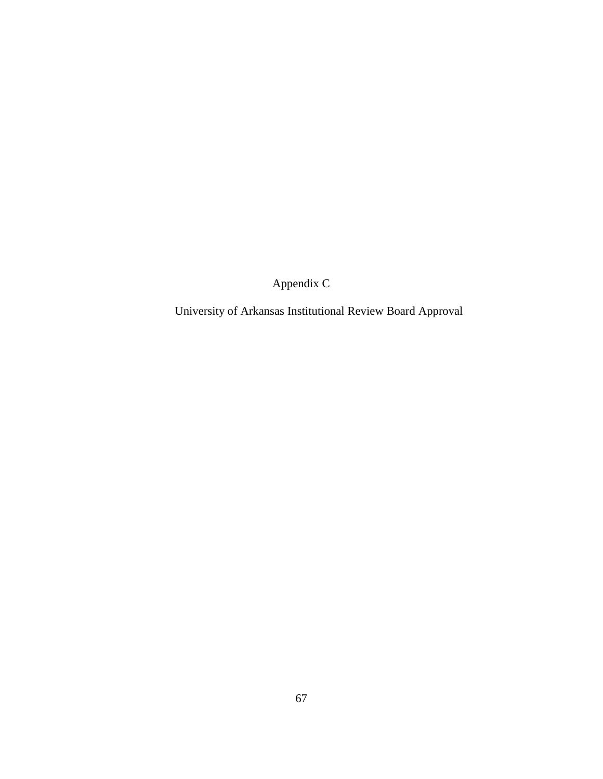Appendix C

University of Arkansas Institutional Review Board Approval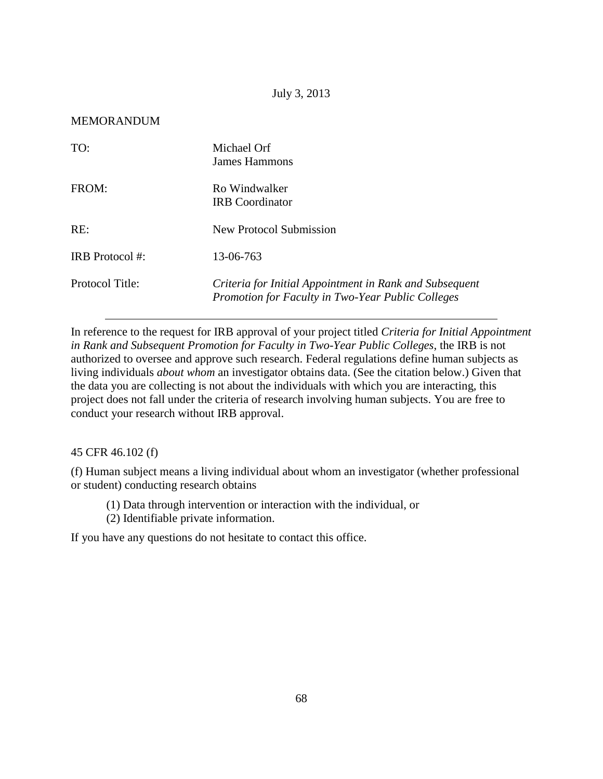## July 3, 2013

## MEMORANDUM

| TO:                    | Michael Orf<br>James Hammons                                                                                 |
|------------------------|--------------------------------------------------------------------------------------------------------------|
| FROM:                  | Ro Windwalker<br><b>IRB</b> Coordinator                                                                      |
| RE:                    | New Protocol Submission                                                                                      |
| <b>IRB</b> Protocol #: | 13-06-763                                                                                                    |
| Protocol Title:        | Criteria for Initial Appointment in Rank and Subsequent<br>Promotion for Faculty in Two-Year Public Colleges |

In reference to the request for IRB approval of your project titled *Criteria for Initial Appointment in Rank and Subsequent Promotion for Faculty in Two-Year Public Colleges*, the IRB is not authorized to oversee and approve such research. Federal regulations define human subjects as living individuals *about whom* an investigator obtains data. (See the citation below.) Given that the data you are collecting is not about the individuals with which you are interacting, this project does not fall under the criteria of research involving human subjects. You are free to conduct your research without IRB approval.

45 CFR 46.102 (f)

(f) Human subject means a living individual about whom an investigator (whether professional or student) conducting research obtains

(1) Data through intervention or interaction with the individual, or

(2) Identifiable private information.

If you have any questions do not hesitate to contact this office.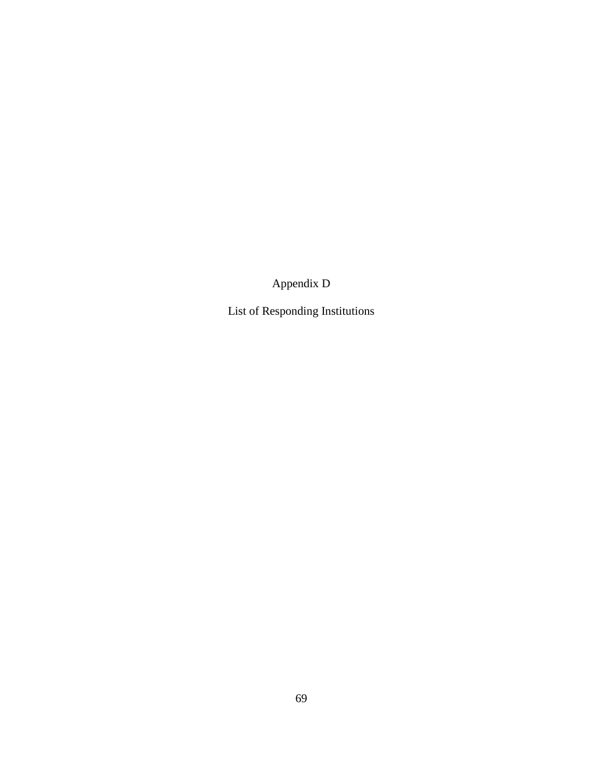Appendix D

List of Responding Institutions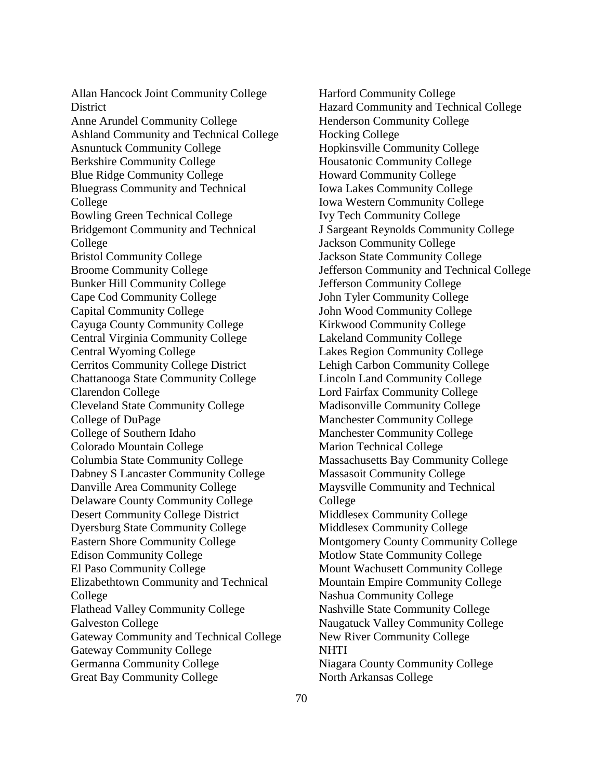Allan Hancock Joint Community College **District** Anne Arundel Community College Ashland Community and Technical College Asnuntuck Community College Berkshire Community College Blue Ridge Community College Bluegrass Community and Technical College Bowling Green Technical College Bridgemont Community and Technical College Bristol Community College Broome Community College Bunker Hill Community College Cape Cod Community College Capital Community College Cayuga County Community College Central Virginia Community College Central Wyoming College Cerritos Community College District Chattanooga State Community College Clarendon College Cleveland State Community College College of DuPage College of Southern Idaho Colorado Mountain College Columbia State Community College Dabney S Lancaster Community College Danville Area Community College Delaware County Community College Desert Community College District Dyersburg State Community College Eastern Shore Community College Edison Community College El Paso Community College Elizabethtown Community and Technical College Flathead Valley Community College Galveston College Gateway Community and Technical College Gateway Community College Germanna Community College Great Bay Community College

Harford Community College Hazard Community and Technical College Henderson Community College Hocking College Hopkinsville Community College Housatonic Community College Howard Community College Iowa Lakes Community College Iowa Western Community College Ivy Tech Community College J Sargeant Reynolds Community College Jackson Community College Jackson State Community College Jefferson Community and Technical College Jefferson Community College John Tyler Community College John Wood Community College Kirkwood Community College Lakeland Community College Lakes Region Community College Lehigh Carbon Community College Lincoln Land Community College Lord Fairfax Community College Madisonville Community College Manchester Community College Manchester Community College Marion Technical College Massachusetts Bay Community College Massasoit Community College Maysville Community and Technical College Middlesex Community College Middlesex Community College Montgomery County Community College Motlow State Community College Mount Wachusett Community College Mountain Empire Community College Nashua Community College Nashville State Community College Naugatuck Valley Community College New River Community College **NHTI** Niagara County Community College North Arkansas College